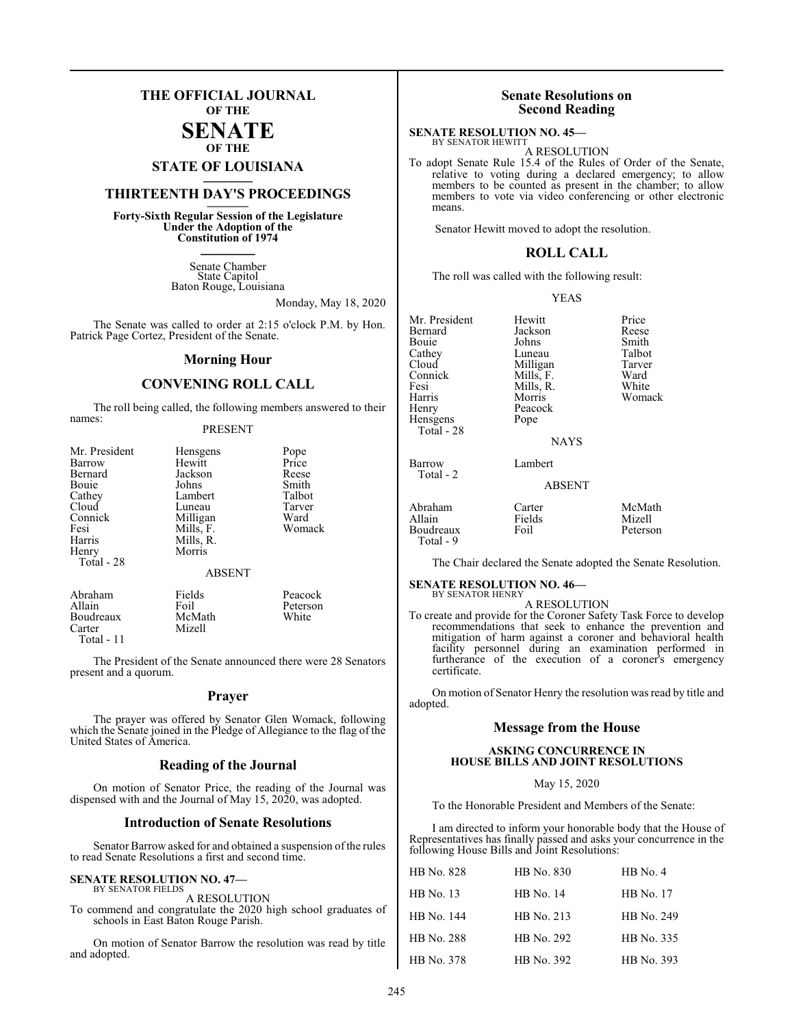## **THE OFFICIAL JOURNAL OF THE**

### **SENATE OF THE**

# **STATE OF LOUISIANA \_\_\_\_\_\_\_**

## **THIRTEENTH DAY'S PROCEEDINGS \_\_\_\_\_\_\_**

**Forty-Sixth Regular Session of the Legislature Under the Adoption of the Constitution of 1974 \_\_\_\_\_\_\_**

> Senate Chamber State Capitol Baton Rouge, Louisiana

> > Monday, May 18, 2020

The Senate was called to order at 2:15 o'clock P.M. by Hon. Patrick Page Cortez, President of the Senate.

#### **Morning Hour**

## **CONVENING ROLL CALL**

The roll being called, the following members answered to their names:

#### PRESENT

| Mr. President | Hensgens      | Pope<br>Price |
|---------------|---------------|---------------|
| Barrow        | Hewitt        |               |
| Bernard       | Jackson       | Reese         |
| Bouie         | Johns         | Smith         |
| Cathey        | Lambert       | Talbot        |
| Cloud         | Luneau        | Tarver        |
| Connick       | Milligan      | Ward          |
| Fesi          | Mills, F.     | Womack        |
| Harris        | Mills, R.     |               |
| Henry         | Morris        |               |
| Total - 28    |               |               |
|               | <b>ABSENT</b> |               |
| Abraham       | Fields        | Peacock       |

Allain Foil Peterson<br>Boudreaux McMath White Boudreaux<br>Carter Mizell Total - 11

The President of the Senate announced there were 28 Senators present and a quorum.

#### **Prayer**

The prayer was offered by Senator Glen Womack, following which the Senate joined in the Pledge of Allegiance to the flag of the United States of America.

#### **Reading of the Journal**

On motion of Senator Price, the reading of the Journal was dispensed with and the Journal of May 15, 2020, was adopted.

#### **Introduction of Senate Resolutions**

Senator Barrow asked for and obtained a suspension of the rules to read Senate Resolutions a first and second time.

#### **SENATE RESOLUTION NO. 47—** BY SENATOR FIELDS

A RESOLUTION

To commend and congratulate the 2020 high school graduates of schools in East Baton Rouge Parish.

On motion of Senator Barrow the resolution was read by title and adopted.

## **Senate Resolutions on Second Reading**

#### **SENATE RESOLUTION NO. 45—** BY SENATOR HEWITT

A RESOLUTION

To adopt Senate Rule 15.4 of the Rules of Order of the Senate, relative to voting during a declared emergency; to allow members to be counted as present in the chamber; to allow members to vote via video conferencing or other electronic means.

Senator Hewitt moved to adopt the resolution.

#### **ROLL CALL**

The roll was called with the following result:

#### YEAS

| Mr. President | Hewitt      | Price        |
|---------------|-------------|--------------|
| Bernard       | Jackson     | <b>Rees</b>  |
| Bouie         | Johns       | Smitl        |
| Cathey        | Luneau      | Talbo        |
| Cloud         | Milligan    | <b>Tarve</b> |
| Connick       | Mills, F.   | Ward         |
| Fesi          | Mills, R.   | Whit         |
| Harris        | Morris      | Wom          |
| Henry         | Peacock     |              |
| Hensgens      | Pope        |              |
| Total - 28    |             |              |
|               | <b>NAYS</b> |              |
|               |             |              |

Total - 2

Jackson Reese<br>Johns Smith Johns Smith<br>Luneau Talbot Luneau Talbot<br>Milligan Tarver Milligan Tarver<br>
Mills, F. Ward Mills, F. Ward<br>
Mills, R. White Mills, R.<br>Morris Peacock Pope

Womack

#### **NAYS**

#### Barrow Lambert

ABSENT

| Abraham                | Carter | McMath   |
|------------------------|--------|----------|
| Allain                 | Fields | Mizell   |
| Boudreaux<br>Total - 9 | Foil   | Peterson |

The Chair declared the Senate adopted the Senate Resolution.

#### **SENATE RESOLUTION NO. 46—** BY SENATOR HENRY

A RESOLUTION

To create and provide for the Coroner Safety Task Force to develop recommendations that seek to enhance the prevention and mitigation of harm against a coroner and behavioral health facility personnel during an examination performed in furtherance of the execution of a coroner's emergency certificate.

On motion of Senator Henry the resolution was read by title and adopted.

#### **Message from the House**

#### **ASKING CONCURRENCE IN HOUSE BILLS AND JOINT RESOLUTIONS**

#### May 15, 2020

To the Honorable President and Members of the Senate:

I am directed to inform your honorable body that the House of Representatives has finally passed and asks your concurrence in the following House Bills and Joint Resolutions:

| HB No. 828       | HB No. 830       | $HB$ No. 4       |
|------------------|------------------|------------------|
| <b>HB</b> No. 13 | <b>HB</b> No. 14 | <b>HB</b> No. 17 |
| HB No. 144       | HB No. 213       | HB No. 249       |
| HB No. 288       | HB No. 292       | HB No. 335       |
| HB No. 378       | HB No. 392       | HB No. 393       |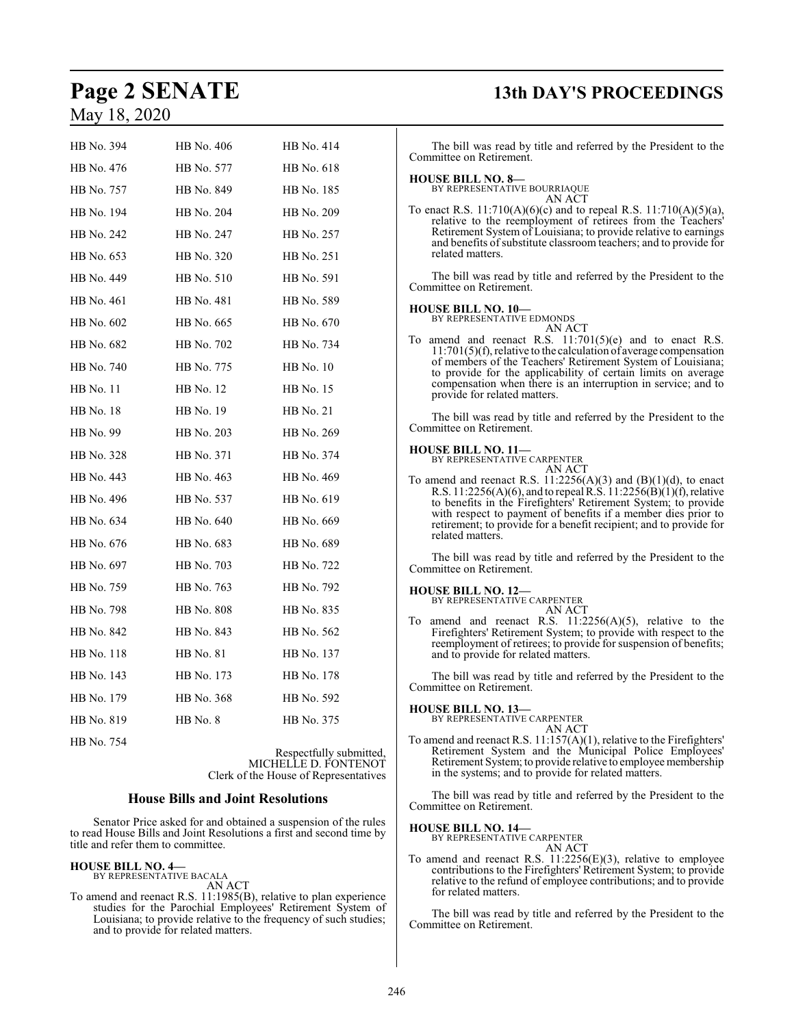| HB No. 394       | HB No. 406       | HB No. 414       |
|------------------|------------------|------------------|
| HB No. 476       | HB No. 577       | HB No. 618       |
| HB No. 757       | HB No. 849       | HB No. 185       |
| HB No. 194       | HB No. 204       | HB No. 209       |
| HB No. 242       | HB No. 247       | HB No. 257       |
| HB No. 653       | HB No. 320       | HB No. 251       |
| HB No. 449       | HB No. 510       | HB No. 591       |
| HB No. 461       | HB No. 481       | HB No. 589       |
| HB No. 602       | HB No. 665       | HB No. 670       |
| HB No. 682       | HB No. 702       | HB No. 734       |
| HB No. 740       | HB No. 775       | <b>HB</b> No. 10 |
| <b>HB</b> No. 11 | <b>HB</b> No. 12 | HB No. 15        |
| HB No. 18        | HB No. 19        | HB No. 21        |
| HB No. 99        | HB No. 203       | HB No. 269       |
| HB No. 328       | HB No. 371       | HB No. 374       |
| HB No. 443       | HB No. 463       | HB No. 469       |
| HB No. 496       | HB No. 537       | HB No. 619       |
| HB No. 634       | HB No. 640       | HB No. 669       |
| HB No. 676       | HB No. 683       | HB No. 689       |
| HB No. 697       | HB No. 703       | HB No. 722       |
| HB No. 759       | HB No. 763       | HB No. 792       |
| HB No. 798       | HB No. 808       | HB No. 835       |
| HB No. 842       | HB No. 843       | HB No. 562       |
| HB No. 118       | HB No. 81        | HB No. 137       |
| HB No. 143       | HB No. 173       | HB No. 178       |
| HB No. 179       | HB No. 368       | HB No. 592       |
| HB No. 819       | HB No. 8         | HB No. 375       |
| HB No. 754       |                  |                  |

Respectfully submitted, MICHELLE D. FONTENOT Clerk of the House of Representatives

#### **House Bills and Joint Resolutions**

Senator Price asked for and obtained a suspension of the rules to read House Bills and Joint Resolutions a first and second time by title and refer them to committee.

## **HOUSE BILL NO. 4—** BY REPRESENTATIVE BACALA

AN ACT

To amend and reenact R.S. 11:1985(B), relative to plan experience studies for the Parochial Employees' Retirement System of Louisiana; to provide relative to the frequency of such studies; and to provide for related matters.

# **Page 2 SENATE 13th DAY'S PROCEEDINGS**

The bill was read by title and referred by the President to the Committee on Retirement. **HOUSE BILL NO. 8—** BY REPRESENTATIVE BOURRIAQUE AN ACT To enact R.S. 11:710(A)(6)(c) and to repeal R.S. 11:710(A)(5)(a), relative to the reemployment of retirees from the Teachers' Retirement System of Louisiana; to provide relative to earnings and benefits of substitute classroom teachers; and to provide for related matters. The bill was read by title and referred by the President to the Committee on Retirement.

## **HOUSE BILL NO. 10—** BY REPRESENTATIVE EDMONDS

AN ACT

To amend and reenact R.S.  $11:701(5)(e)$  and to enact R.S. 11:701(5)(f), relative to the calculation of average compensation of members of the Teachers' Retirement System of Louisiana; to provide for the applicability of certain limits on average compensation when there is an interruption in service; and to provide for related matters.

The bill was read by title and referred by the President to the Committee on Retirement.

#### **HOUSE BILL NO. 11—**

BY REPRESENTATIVE CARPENTER AN ACT

To amend and reenact R.S.  $11:2256(A)(3)$  and  $(B)(1)(d)$ , to enact R.S. 11:2256(A)(6), and to repeal R.S.  $11:2256(B)(1)(f)$ , relative to benefits in the Firefighters' Retirement System; to provide with respect to payment of benefits if a member dies prior to retirement; to provide for a benefit recipient; and to provide for related matters.

The bill was read by title and referred by the President to the Committee on Retirement.

#### **HOUSE BILL NO. 12—**

BY REPRESENTATIVE CARPENTER AN ACT

To amend and reenact R.S. 11:2256(A)(5), relative to the Firefighters' Retirement System; to provide with respect to the reemployment of retirees; to provide for suspension of benefits; and to provide for related matters.

The bill was read by title and referred by the President to the Committee on Retirement.

#### **HOUSE BILL NO. 13—**

BY REPRESENTATIVE CARPENTER

AN ACT To amend and reenact R.S. 11:157(A)(1), relative to the Firefighters' Retirement System and the Municipal Police Employees' Retirement System; to provide relative to employee membership in the systems; and to provide for related matters.

The bill was read by title and referred by the President to the Committee on Retirement.

#### **HOUSE BILL NO. 14—**

BY REPRESENTATIVE CARPENTER AN ACT

To amend and reenact R.S. 11:2256(E)(3), relative to employee contributions to the Firefighters' Retirement System; to provide relative to the refund of employee contributions; and to provide for related matters.

The bill was read by title and referred by the President to the Committee on Retirement.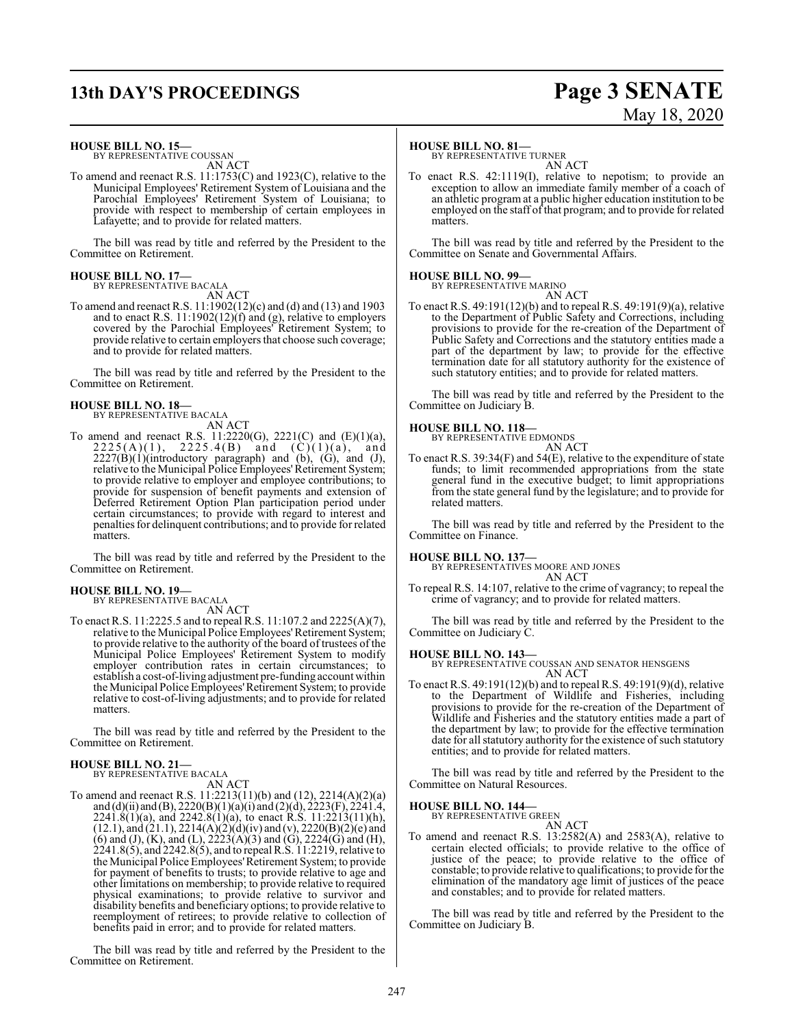# **13th DAY'S PROCEEDINGS Page 3 SENATE**

#### **HOUSE BILL NO. 15—**

BY REPRESENTATIVE COUSSAN AN ACT

To amend and reenact R.S. 11:1753(C) and 1923(C), relative to the Municipal Employees' Retirement System of Louisiana and the Parochial Employees' Retirement System of Louisiana; to provide with respect to membership of certain employees in Lafayette; and to provide for related matters.

The bill was read by title and referred by the President to the Committee on Retirement.

**HOUSE BILL NO. 17—** BY REPRESENTATIVE BACALA

AN ACT

To amend and reenact R.S. 11:1902(12)(c) and (d) and (13) and 1903 and to enact R.S. 11:1902(12)(f) and (g), relative to employers covered by the Parochial Employees' Retirement System; to provide relative to certain employers that choose such coverage; and to provide for related matters.

The bill was read by title and referred by the President to the Committee on Retirement.

### **HOUSE BILL NO. 18—**

BY REPRESENTATIVE BACALA

AN ACT To amend and reenact R.S.  $11:2220(G)$ ,  $2221(C)$  and  $(E)(1)(a)$ ,  $2225(A)(1)$ ,  $2225.4(B)$  and  $(C)(1)(a)$ , and  $2227(B)(1)$ (introductory paragraph) and (b), (G), and (J), relative to the Municipal Police Employees'Retirement System; to provide relative to employer and employee contributions; to provide for suspension of benefit payments and extension of Deferred Retirement Option Plan participation period under certain circumstances; to provide with regard to interest and penalties for delinquent contributions; and to provide for related matters.

The bill was read by title and referred by the President to the Committee on Retirement.

#### **HOUSE BILL NO. 19—**

BY REPRESENTATIVE BACALA AN ACT

To enact R.S. 11:2225.5 and to repeal R.S. 11:107.2 and 2225(A)(7), relative to the Municipal Police Employees' Retirement System; to provide relative to the authority of the board of trustees of the Municipal Police Employees' Retirement System to modify employer contribution rates in certain circumstances; to establish a cost-of-living adjustment pre-funding account within the Municipal Police Employees'Retirement System; to provide relative to cost-of-living adjustments; and to provide for related matters.

The bill was read by title and referred by the President to the Committee on Retirement.

#### **HOUSE BILL NO. 21—** BY REPRESENTATIVE BACALA

AN ACT

To amend and reenact R.S. 11:2213(11)(b) and (12), 2214(A)(2)(a) and (d)(ii) and (B), 2220(B)(1)(a)(i) and (2)(d), 2223(F), 2241.4,  $2241.8(1)(a)$ , and  $2242.8(1)(a)$ , to enact R.S.  $11:2213(11)(h)$ ,  $(12.1)$ , and  $(21.1)$ ,  $2214(A)(2)(d)(iv)$  and  $(v)$ ,  $2220(B)(2)(e)$  and (6) and (J), (K), and (L),  $2223(A)(3)$  and (G),  $2224(G)$  and (H), 2241.8(5), and 2242.8(5), and to repeal R.S. 11:2219, relative to the Municipal Police Employees'Retirement System; to provide for payment of benefits to trusts; to provide relative to age and other limitations on membership; to provide relative to required physical examinations; to provide relative to survivor and disability benefits and beneficiary options; to provide relative to reemployment of retirees; to provide relative to collection of benefits paid in error; and to provide for related matters.

The bill was read by title and referred by the President to the Committee on Retirement.

#### **HOUSE BILL NO. 81—**

BY REPRESENTATIVE TURNER AN ACT

To enact R.S. 42:1119(I), relative to nepotism; to provide an exception to allow an immediate family member of a coach of an athletic program at a public higher education institution to be employed on the staff of that program; and to provide for related matters.

The bill was read by title and referred by the President to the Committee on Senate and Governmental Affairs.

#### **HOUSE BILL NO. 99—**

BY REPRESENTATIVE MARINO

AN ACT To enact R.S. 49:191(12)(b) and to repeal R.S. 49:191(9)(a), relative to the Department of Public Safety and Corrections, including provisions to provide for the re-creation of the Department of Public Safety and Corrections and the statutory entities made a part of the department by law; to provide for the effective termination date for all statutory authority for the existence of such statutory entities; and to provide for related matters.

The bill was read by title and referred by the President to the Committee on Judiciary B.

#### **HOUSE BILL NO. 118—**

BY REPRESENTATIVE EDMONDS

## AN ACT

To enact R.S. 39:34 $(F)$  and 54 $(E)$ , relative to the expenditure of state funds; to limit recommended appropriations from the state general fund in the executive budget; to limit appropriations from the state general fund by the legislature; and to provide for related matters.

The bill was read by title and referred by the President to the Committee on Finance.

#### **HOUSE BILL NO. 137—**

BY REPRESENTATIVES MOORE AND JONES AN ACT

To repeal R.S. 14:107, relative to the crime of vagrancy; to repeal the crime of vagrancy; and to provide for related matters.

The bill was read by title and referred by the President to the Committee on Judiciary C.

#### **HOUSE BILL NO. 143—**

BY REPRESENTATIVE COUSSAN AND SENATOR HENSGENS AN ACT

To enact R.S. 49:191(12)(b) and to repeal R.S. 49:191(9)(d), relative to the Department of Wildlife and Fisheries, including provisions to provide for the re-creation of the Department of Wildlife and Fisheries and the statutory entities made a part of the department by law; to provide for the effective termination date for all statutory authority for the existence of such statutory entities; and to provide for related matters.

The bill was read by title and referred by the President to the Committee on Natural Resources.

#### **HOUSE BILL NO. 144—** BY REPRESENTATIVE GREEN

AN ACT

To amend and reenact R.S. 13:2582(A) and 2583(A), relative to certain elected officials; to provide relative to the office of justice of the peace; to provide relative to the office of constable; to provide relative to qualifications; to provide for the elimination of the mandatory age limit of justices of the peace and constables; and to provide for related matters.

The bill was read by title and referred by the President to the Committee on Judiciary B.

247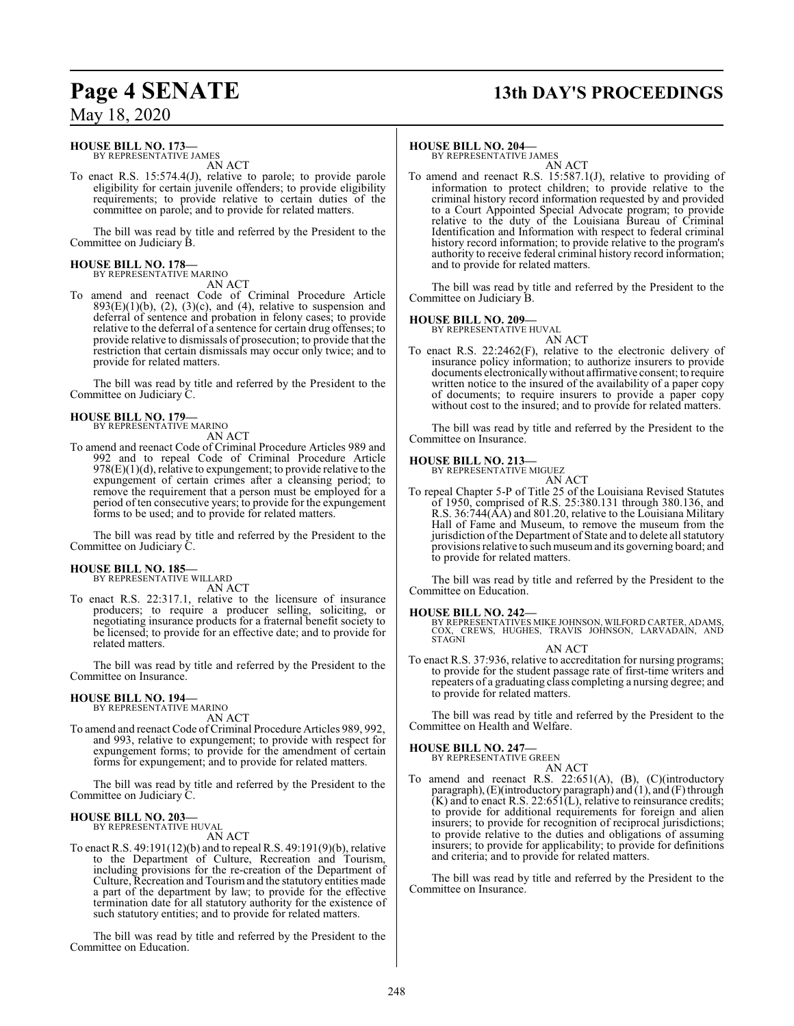# **Page 4 SENATE 13th DAY'S PROCEEDINGS**

## May 18, 2020

### **HOUSE BILL NO. 173—**

BY REPRESENTATIVE JAMES AN ACT

To enact R.S. 15:574.4(J), relative to parole; to provide parole eligibility for certain juvenile offenders; to provide eligibility requirements; to provide relative to certain duties of the committee on parole; and to provide for related matters.

The bill was read by title and referred by the President to the Committee on Judiciary B.

#### **HOUSE BILL NO. 178—** BY REPRESENTATIVE MARINO

AN ACT

To amend and reenact Code of Criminal Procedure Article  $893(E)(1)(b)$ ,  $(2)$ ,  $(3)(c)$ , and  $(4)$ , relative to suspension and deferral of sentence and probation in felony cases; to provide relative to the deferral of a sentence for certain drug offenses; to provide relative to dismissals of prosecution; to provide that the restriction that certain dismissals may occur only twice; and to provide for related matters.

The bill was read by title and referred by the President to the Committee on Judiciary C.

#### **HOUSE BILL NO. 179—** BY REPRESENTATIVE MARINO

AN ACT

To amend and reenact Code of Criminal Procedure Articles 989 and 992 and to repeal Code of Criminal Procedure Article 978(E)(1)(d), relative to expungement; to provide relative to the expungement of certain crimes after a cleansing period; to remove the requirement that a person must be employed for a period of ten consecutive years; to provide for the expungement forms to be used; and to provide for related matters.

The bill was read by title and referred by the President to the Committee on Judiciary C.

#### **HOUSE BILL NO. 185—** BY REPRESENTATIVE WILLARD

AN ACT

To enact R.S. 22:317.1, relative to the licensure of insurance producers; to require a producer selling, soliciting, or negotiating insurance products for a fraternal benefit society to be licensed; to provide for an effective date; and to provide for related matters.

The bill was read by title and referred by the President to the Committee on Insurance.

#### **HOUSE BILL NO. 194—** BY REPRESENTATIVE MARINO

AN ACT

To amend and reenact Code of Criminal Procedure Articles 989, 992, and 993, relative to expungement; to provide with respect for expungement forms; to provide for the amendment of certain forms for expungement; and to provide for related matters.

The bill was read by title and referred by the President to the Committee on Judiciary C.

#### **HOUSE BILL NO. 203—** BY REPRESENTATIVE HUVAL

AN ACT

To enact R.S. 49:191(12)(b) and to repeal R.S. 49:191(9)(b), relative to the Department of Culture, Recreation and Tourism, including provisions for the re-creation of the Department of Culture, Recreation and Tourismand the statutory entities made a part of the department by law; to provide for the effective termination date for all statutory authority for the existence of such statutory entities; and to provide for related matters.

The bill was read by title and referred by the President to the Committee on Education.

#### **HOUSE BILL NO. 204—**

BY REPRESENTATIVE JAMES AN ACT

To amend and reenact R.S. 15:587.1(J), relative to providing of information to protect children; to provide relative to the criminal history record information requested by and provided to a Court Appointed Special Advocate program; to provide relative to the duty of the Louisiana Bureau of Criminal Identification and Information with respect to federal criminal history record information; to provide relative to the program's authority to receive federal criminal history record information; and to provide for related matters.

The bill was read by title and referred by the President to the Committee on Judiciary B.

## **HOUSE BILL NO. 209—**

BY REPRESENTATIVE HUVAL AN ACT

To enact R.S. 22:2462(F), relative to the electronic delivery of insurance policy information; to authorize insurers to provide documents electronicallywithout affirmative consent; to require written notice to the insured of the availability of a paper copy of documents; to require insurers to provide a paper copy without cost to the insured; and to provide for related matters.

The bill was read by title and referred by the President to the Committee on Insurance.

#### **HOUSE BILL NO. 213—**

BY REPRESENTATIVE MIGUEZ AN ACT

To repeal Chapter 5-P of Title 25 of the Louisiana Revised Statutes of 1950, comprised of R.S. 25:380.131 through 380.136, and R.S. 36:744(AA) and 801.20, relative to the Louisiana Military Hall of Fame and Museum, to remove the museum from the jurisdiction of the Department of State and to delete all statutory provisions relative to such museumand its governing board; and to provide for related matters.

The bill was read by title and referred by the President to the Committee on Education.

#### **HOUSE BILL NO. 242—**

BY REPRESENTATIVES MIKE JOHNSON, WILFORD CARTER, ADAMS,<br>COX, CREWS, HUGHES, TRAVIS JOHNSON, LARVADAIN, AND<br>STAGNI

AN ACT

To enact R.S. 37:936, relative to accreditation for nursing programs; to provide for the student passage rate of first-time writers and repeaters of a graduating class completing a nursing degree; and to provide for related matters.

The bill was read by title and referred by the President to the Committee on Health and Welfare.

## **HOUSE BILL NO. 247—**

BY REPRESENTATIVE GREEN AN ACT

To amend and reenact R.S. 22:651(A), (B), (C)(introductory paragraph),(E)(introductory paragraph) and (1), and (F) through  $(K)$  and to enact R.S. 22:651 $(L)$ , relative to reinsurance credits; to provide for additional requirements for foreign and alien insurers; to provide for recognition of reciprocal jurisdictions; to provide relative to the duties and obligations of assuming insurers; to provide for applicability; to provide for definitions and criteria; and to provide for related matters.

The bill was read by title and referred by the President to the Committee on Insurance.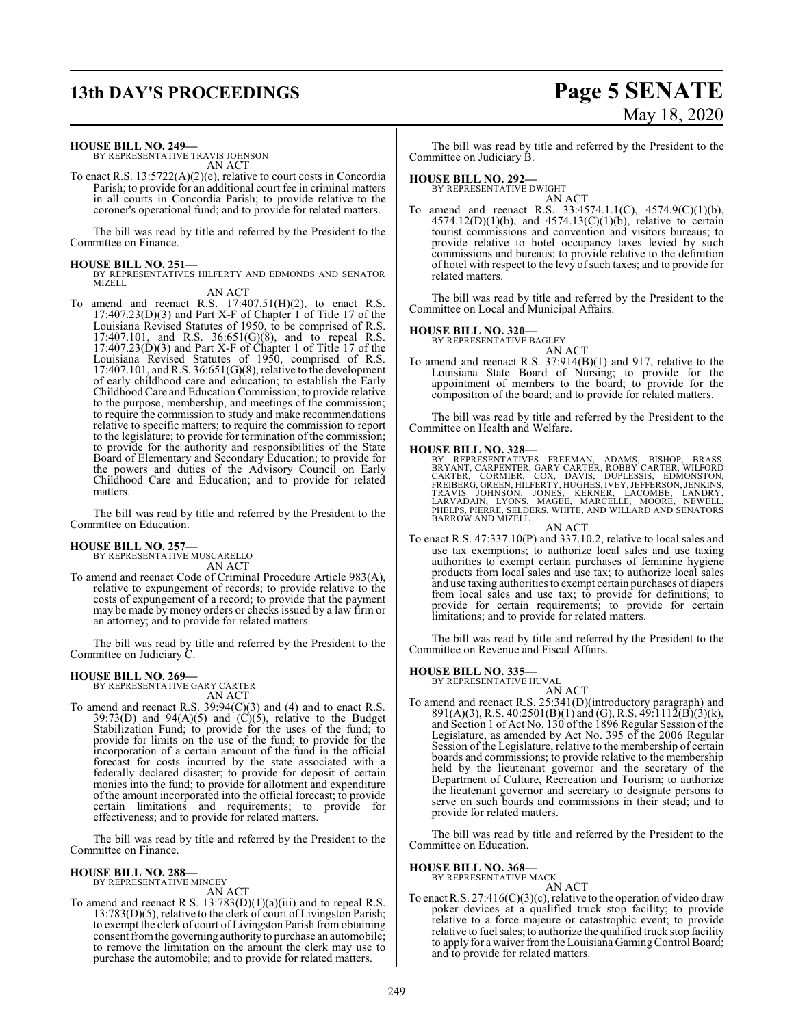# **13th DAY'S PROCEEDINGS Page 5 SENATE**

# May 18, 2020

#### **HOUSE BILL NO. 249—**

BY REPRESENTATIVE TRAVIS JOHNSON AN ACT

To enact R.S. 13:5722(A)(2)(e), relative to court costs in Concordia Parish; to provide for an additional court fee in criminal matters in all courts in Concordia Parish; to provide relative to the coroner's operational fund; and to provide for related matters.

The bill was read by title and referred by the President to the Committee on Finance.

**HOUSE BILL NO. 251—** BY REPRESENTATIVES HILFERTY AND EDMONDS AND SENATOR MIZELL

#### AN ACT

To amend and reenact R.S.  $17:407.51(H)(2)$ , to enact R.S. 17:407.23(D)(3) and Part X-F of Chapter 1 of Title 17 of the Louisiana Revised Statutes of 1950, to be comprised of R.S. 17:407.101, and R.S. 36:651(G)(8), and to repeal R.S. 17:407.23(D)(3) and Part X-F of Chapter 1 of Title 17 of the Louisiana Revised Statutes of 1950, comprised of R.S. 17:407.101, and R.S. 36:651(G)(8), relative to the development of early childhood care and education; to establish the Early Childhood Care and Education Commission; to provide relative to the purpose, membership, and meetings of the commission; to require the commission to study and make recommendations relative to specific matters; to require the commission to report to the legislature; to provide for termination of the commission; to provide for the authority and responsibilities of the State Board of Elementary and Secondary Education; to provide for the powers and duties of the Advisory Council on Early Childhood Care and Education; and to provide for related matters.

The bill was read by title and referred by the President to the Committee on Education.

#### **HOUSE BILL NO. 257—**

BY REPRESENTATIVE MUSCARELLO AN ACT

To amend and reenact Code of Criminal Procedure Article 983(A), relative to expungement of records; to provide relative to the costs of expungement of a record; to provide that the payment may be made by money orders or checks issued by a law firm or an attorney; and to provide for related matters.

The bill was read by title and referred by the President to the Committee on Judiciary C.

# **HOUSE BILL NO. 269—** BY REPRESENTATIVE GARY CARTER

AN ACT

To amend and reenact R.S.  $39:94(C)(3)$  and (4) and to enact R.S.  $39:73(D)$  and  $94(A)(5)$  and  $(C)(5)$ , relative to the Budget Stabilization Fund; to provide for the uses of the fund; to provide for limits on the use of the fund; to provide for the incorporation of a certain amount of the fund in the official forecast for costs incurred by the state associated with a federally declared disaster; to provide for deposit of certain monies into the fund; to provide for allotment and expenditure of the amount incorporated into the official forecast; to provide certain limitations and requirements; to provide for effectiveness; and to provide for related matters.

The bill was read by title and referred by the President to the Committee on Finance.

#### **HOUSE BILL NO. 288—**

BY REPRESENTATIVE MINCEY AN ACT

To amend and reenact R.S. 13:783(D)(1)(a)(iii) and to repeal R.S. 13:783(D)(5), relative to the clerk of court of Livingston Parish; to exempt the clerk of court of Livingston Parish from obtaining consent fromthe governing authority to purchase an automobile; to remove the limitation on the amount the clerk may use to purchase the automobile; and to provide for related matters.

The bill was read by title and referred by the President to the Committee on Judiciary B.

## **HOUSE BILL NO. 292—**

BY REPRESENTATIVE DWIGHT AN ACT

To amend and reenact R.S. 33:4574.1.1(C), 4574.9(C)(1)(b),  $4574.12(D)(1)(b)$ , and  $4574.13(C)(1)(b)$ , relative to certain tourist commissions and convention and visitors bureaus; to provide relative to hotel occupancy taxes levied by such commissions and bureaus; to provide relative to the definition of hotel with respect to the levy ofsuch taxes; and to provide for related matters.

The bill was read by title and referred by the President to the Committee on Local and Municipal Affairs.

#### **HOUSE BILL NO. 320—**

BY REPRESENTATIVE BAGLEY

AN ACT To amend and reenact R.S. 37:914(B)(1) and 917, relative to the Louisiana State Board of Nursing; to provide for the appointment of members to the board; to provide for the composition of the board; and to provide for related matters.

The bill was read by title and referred by the President to the Committee on Health and Welfare.

**HOUSE BILL NO. 328—**<br>BY REPRESENTATIVES FREEMAN, ADAMS, BISHOP, BRASS,<br>BRYANT, CARPENTER, GARY CARTER, ROBBY CARTER, WILFORD<br>CARTER, CORMIER, COX, DAVIS, DUPLESSIS, EDMONSTON,<br>FREIBERG, GREEN, HILFERTY, HUGHES, IVEY, JEFF BARROW AND MIZELL

AN ACT To enact R.S. 47:337.10(P) and 337.10.2, relative to local sales and use tax exemptions; to authorize local sales and use taxing authorities to exempt certain purchases of feminine hygiene products from local sales and use tax; to authorize local sales and use taxing authorities to exempt certain purchases of diapers from local sales and use tax; to provide for definitions; to provide for certain requirements; to provide for certain limitations; and to provide for related matters.

The bill was read by title and referred by the President to the Committee on Revenue and Fiscal Affairs.

#### **HOUSE BILL NO. 335—**

- BY REPRESENTATIVE HUVAL AN ACT
- To amend and reenact R.S. 25:341(D)(introductory paragraph) and 891(A)(3), R.S. 40:2501(B)(1) and (G), R.S. 49:1112(B)(3)(k), and Section 1 of Act No. 130 of the 1896 Regular Session of the Legislature, as amended by Act No. 395 of the 2006 Regular Session of the Legislature, relative to the membership of certain boards and commissions; to provide relative to the membership held by the lieutenant governor and the secretary of the Department of Culture, Recreation and Tourism; to authorize the lieutenant governor and secretary to designate persons to serve on such boards and commissions in their stead; and to provide for related matters.

The bill was read by title and referred by the President to the Committee on Education.

## **HOUSE BILL NO. 368—** BY REPRESENTATIVE MACK

AN ACT

To enact R.S. 27:416(C)(3)(c), relative to the operation of video draw poker devices at a qualified truck stop facility; to provide relative to a force majeure or catastrophic event; to provide relative to fuel sales; to authorize the qualified truck stop facility to apply for a waiver from the Louisiana Gaming Control Board; and to provide for related matters.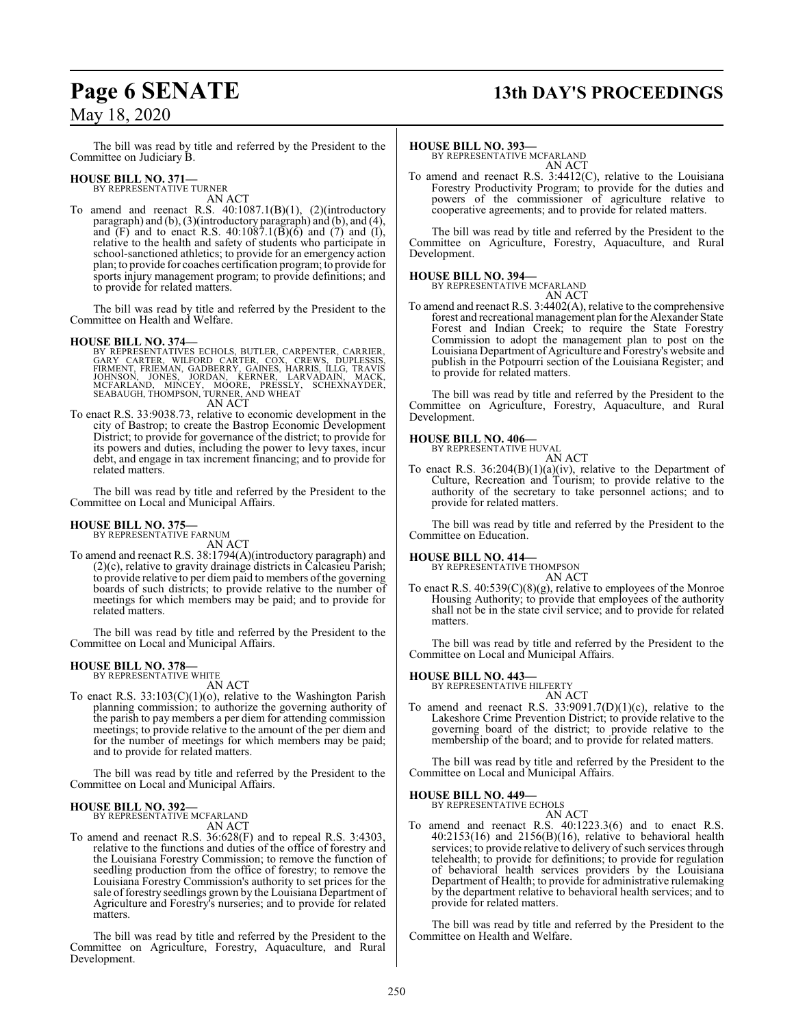## **Page 6 SENATE 13th DAY'S PROCEEDINGS**

## May 18, 2020

The bill was read by title and referred by the President to the Committee on Judiciary B.

#### **HOUSE BILL NO. 371—**

BY REPRESENTATIVE TURNER AN ACT

To amend and reenact R.S. 40:1087.1(B)(1), (2)(introductory paragraph) and (b), (3)(introductory paragraph) and (b), and (4), and (F) and to enact R.S.  $40:1087.1(B)(6)$  and (7) and (I), relative to the health and safety of students who participate in school-sanctioned athletics; to provide for an emergency action plan; to provide for coaches certification program; to provide for sports injury management program; to provide definitions; and to provide for related matters.

The bill was read by title and referred by the President to the Committee on Health and Welfare.

#### **HOUSE BILL NO. 374—**

- BY REPRESENTATIVES ECHOLS, BUTLER, CARPENTER, CARRIER,<br>GARY CARTER, WILFORD CARTER, COX, CREWS, DUPLESSIS,<br>FIRMENT, FRIEMAN, GADBERRY, GAINES, HARRIS, ILLG, TRAVIS<br>JOHNSON, JONES, JORDAN, KERNER, LARVADAIN, MACK,<br>MCFARLAND AN ACT
- To enact R.S. 33:9038.73, relative to economic development in the city of Bastrop; to create the Bastrop Economic Development District; to provide for governance of the district; to provide for its powers and duties, including the power to levy taxes, incur debt, and engage in tax increment financing; and to provide for related matters.

The bill was read by title and referred by the President to the Committee on Local and Municipal Affairs.

# **HOUSE BILL NO. 375—** BY REPRESENTATIVE FARNUM

AN ACT

To amend and reenact R.S. 38:1794(A)(introductory paragraph) and (2)(c), relative to gravity drainage districts in Calcasieu Parish; to provide relative to per diem paid to members of the governing boards of such districts; to provide relative to the number of meetings for which members may be paid; and to provide for related matters.

The bill was read by title and referred by the President to the Committee on Local and Municipal Affairs.

# **HOUSE BILL NO. 378—** BY REPRESENTATIVE WHITE

- AN ACT
- To enact R.S. 33:103(C)(1)(o), relative to the Washington Parish planning commission; to authorize the governing authority of the parish to pay members a per diem for attending commission meetings; to provide relative to the amount of the per diem and for the number of meetings for which members may be paid; and to provide for related matters.

The bill was read by title and referred by the President to the Committee on Local and Municipal Affairs.

#### **HOUSE BILL NO. 392—** BY REPRESENTATIVE MCFARLAND

AN ACT

To amend and reenact R.S. 36:628(F) and to repeal R.S. 3:4303, relative to the functions and duties of the office of forestry and the Louisiana Forestry Commission; to remove the function of seedling production from the office of forestry; to remove the Louisiana Forestry Commission's authority to set prices for the sale of forestry seedlings grown by the Louisiana Department of Agriculture and Forestry's nurseries; and to provide for related matters.

The bill was read by title and referred by the President to the Committee on Agriculture, Forestry, Aquaculture, and Rural Development.

#### **HOUSE BILL NO. 393—**

BY REPRESENTATIVE MCFARLAND AN ACT

To amend and reenact R.S. 3:4412(C), relative to the Louisiana Forestry Productivity Program; to provide for the duties and powers of the commissioner of agriculture relative to cooperative agreements; and to provide for related matters.

The bill was read by title and referred by the President to the Committee on Agriculture, Forestry, Aquaculture, and Rural Development.

## **HOUSE BILL NO. 394—**

BY REPRESENTATIVE MCFARLAND AN ACT

To amend and reenact R.S. 3:4402(A), relative to the comprehensive forest and recreational management plan for the Alexander State Forest and Indian Creek; to require the State Forestry Commission to adopt the management plan to post on the Louisiana Department of Agriculture and Forestry's website and publish in the Potpourri section of the Louisiana Register; and to provide for related matters.

The bill was read by title and referred by the President to the Committee on Agriculture, Forestry, Aquaculture, and Rural Development.

## **HOUSE BILL NO. 406—** BY REPRESENTATIVE HUVAL

AN ACT To enact R.S. 36:204(B)(1)(a)(iv), relative to the Department of Culture, Recreation and Tourism; to provide relative to the authority of the secretary to take personnel actions; and to provide for related matters.

The bill was read by title and referred by the President to the Committee on Education.

**HOUSE BILL NO. 414—**

BY REPRESENTATIVE THOMPSON AN ACT

To enact R.S. 40:539(C)(8)(g), relative to employees of the Monroe Housing Authority; to provide that employees of the authority shall not be in the state civil service; and to provide for related matters.

The bill was read by title and referred by the President to the Committee on Local and Municipal Affairs.

## **HOUSE BILL NO. 443—** BY REPRESENTATIVE HILFERTY

AN ACT To amend and reenact R.S.  $33:9091.7(D)(1)(c)$ , relative to the Lakeshore Crime Prevention District; to provide relative to the governing board of the district; to provide relative to the membership of the board; and to provide for related matters.

The bill was read by title and referred by the President to the Committee on Local and Municipal Affairs.

#### **HOUSE BILL NO. 449—**

BY REPRESENTATIVE ECHOLS

AN ACT

To amend and reenact R.S. 40:1223.3(6) and to enact R.S. 40:2153(16) and 2156(B)(16), relative to behavioral health services; to provide relative to delivery of such services through telehealth; to provide for definitions; to provide for regulation of behavioral health services providers by the Louisiana Department of Health; to provide for administrative rulemaking by the department relative to behavioral health services; and to provide for related matters.

The bill was read by title and referred by the President to the Committee on Health and Welfare.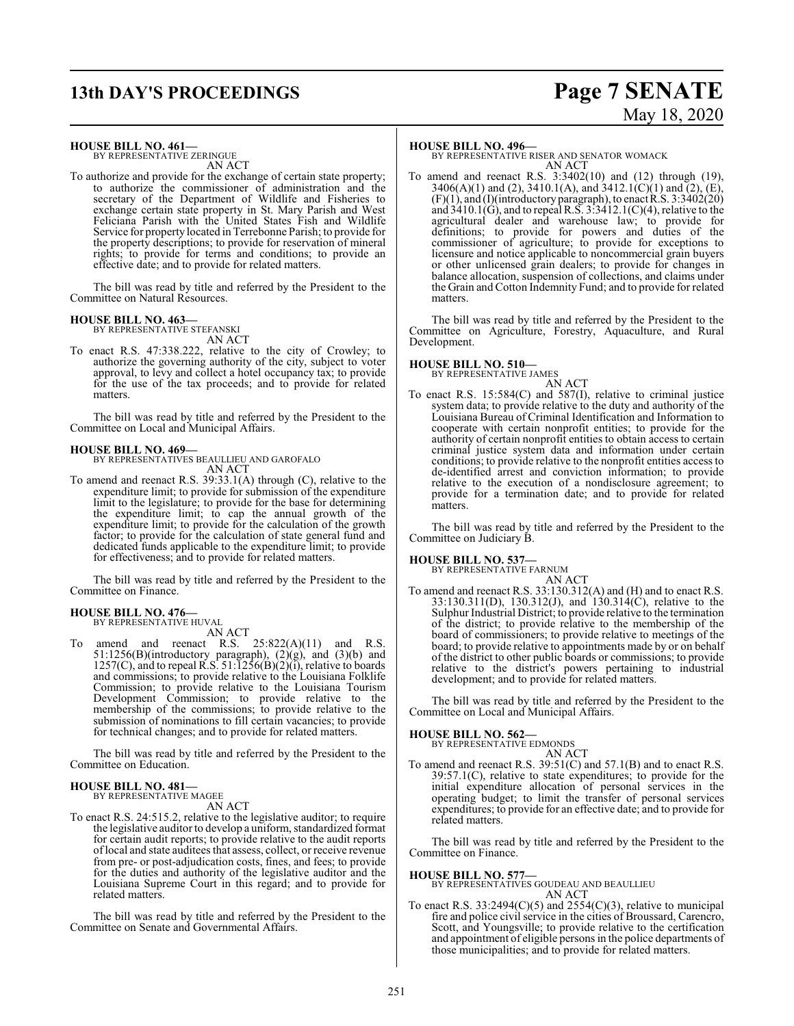# **13th DAY'S PROCEEDINGS Page 7 SENATE**

# May 18, 2020

#### **HOUSE BILL NO. 461—**

BY REPRESENTATIVE ZERINGUE AN ACT

To authorize and provide for the exchange of certain state property; to authorize the commissioner of administration and the secretary of the Department of Wildlife and Fisheries to exchange certain state property in St. Mary Parish and West Feliciana Parish with the United States Fish and Wildlife Service for property located in Terrebonne Parish; to provide for the property descriptions; to provide for reservation of mineral rights; to provide for terms and conditions; to provide an effective date; and to provide for related matters.

The bill was read by title and referred by the President to the Committee on Natural Resources.

#### **HOUSE BILL NO. 463—**

BY REPRESENTATIVE STEFANSKI AN ACT

To enact R.S. 47:338.222, relative to the city of Crowley; to authorize the governing authority of the city, subject to voter approval, to levy and collect a hotel occupancy tax; to provide for the use of the tax proceeds; and to provide for related matters.

The bill was read by title and referred by the President to the Committee on Local and Municipal Affairs.

**HOUSE BILL NO. 469—** BY REPRESENTATIVES BEAULLIEU AND GAROFALO AN ACT

To amend and reenact R.S. 39:33.1(A) through (C), relative to the expenditure limit; to provide for submission of the expenditure limit to the legislature; to provide for the base for determining the expenditure limit; to cap the annual growth of the expenditure limit; to provide for the calculation of the growth factor; to provide for the calculation of state general fund and dedicated funds applicable to the expenditure limit; to provide for effectiveness; and to provide for related matters.

The bill was read by title and referred by the President to the Committee on Finance.

#### **HOUSE BILL NO. 476—** BY REPRESENTATIVE HUVAL

AN ACT

To amend and reenact R.S.  $25:822(A)(11)$  and R.S.  $51:1256(B)$ (introductory paragraph),  $(2)(g)$ , and  $(3)(b)$  and  $1257(C)$ , and to repeal R.S.  $51:1256(B)(2)(i)$ , relative to boards and commissions; to provide relative to the Louisiana Folklife Commission; to provide relative to the Louisiana Tourism Development Commission; to provide relative to the membership of the commissions; to provide relative to the submission of nominations to fill certain vacancies; to provide for technical changes; and to provide for related matters.

The bill was read by title and referred by the President to the Committee on Education.

#### **HOUSE BILL NO. 481—** BY REPRESENTATIVE MAGEE

AN ACT

To enact R.S. 24:515.2, relative to the legislative auditor; to require the legislative auditor to develop a uniform, standardized format for certain audit reports; to provide relative to the audit reports oflocal and state auditees that assess, collect, or receive revenue from pre- or post-adjudication costs, fines, and fees; to provide for the duties and authority of the legislative auditor and the Louisiana Supreme Court in this regard; and to provide for related matters.

The bill was read by title and referred by the President to the Committee on Senate and Governmental Affairs.

#### **HOUSE BILL NO. 496—**

BY REPRESENTATIVE RISER AND SENATOR WOMACK AN ACT

To amend and reenact R.S. 3:3402(10) and (12) through (19), 3406(A)(1) and (2), 3410.1(A), and 3412.1(C)(1) and (2), (E),  $(F)(1)$ , and  $(I)(introductory paragraph)$ , to enact R.S. 3:3402(20) and  $3410.1(\text{G})$ , and to repeal R.S.  $3:3412.1(\text{C})(4)$ , relative to the agricultural dealer and warehouse law; to provide for definitions; to provide for powers and duties of the commissioner of agriculture; to provide for exceptions to licensure and notice applicable to noncommercial grain buyers or other unlicensed grain dealers; to provide for changes in balance allocation, suspension of collections, and claims under the Grain and Cotton Indemnity Fund; and to provide for related matters.

The bill was read by title and referred by the President to the Committee on Agriculture, Forestry, Aquaculture, and Rural Development.

## **HOUSE BILL NO. 510—** BY REPRESENTATIVE JAMES

AN ACT To enact R.S. 15:584(C) and 587(I), relative to criminal justice system data; to provide relative to the duty and authority of the Louisiana Bureau of Criminal Identification and Information to cooperate with certain nonprofit entities; to provide for the authority of certain nonprofit entities to obtain access to certain criminal justice system data and information under certain conditions; to provide relative to the nonprofit entities access to de-identified arrest and conviction information; to provide relative to the execution of a nondisclosure agreement; to provide for a termination date; and to provide for related matters.

The bill was read by title and referred by the President to the Committee on Judiciary B.

#### **HOUSE BILL NO. 537—**

BY REPRESENTATIVE FARNUM

AN ACT To amend and reenact R.S. 33:130.312(A) and (H) and to enact R.S. 33:130.311(D), 130.312(J), and 130.314(C), relative to the Sulphur Industrial District; to provide relative to the termination of the district; to provide relative to the membership of the board of commissioners; to provide relative to meetings of the board; to provide relative to appointments made by or on behalf of the district to other public boards or commissions; to provide relative to the district's powers pertaining to industrial development; and to provide for related matters.

The bill was read by title and referred by the President to the Committee on Local and Municipal Affairs.

#### **HOUSE BILL NO. 562—**

BY REPRESENTATIVE EDMONDS

AN ACT To amend and reenact R.S. 39:51(C) and 57.1(B) and to enact R.S. 39:57.1(C), relative to state expenditures; to provide for the initial expenditure allocation of personal services in the operating budget; to limit the transfer of personal services expenditures; to provide for an effective date; and to provide for related matters.

The bill was read by title and referred by the President to the Committee on Finance.

### **HOUSE BILL NO. 577—**

BY REPRESENTATIVES GOUDEAU AND BEAULLIEU AN ACT

To enact R.S. 33:2494 $(C)(5)$  and 2554 $(C)(3)$ , relative to municipal fire and police civil service in the cities of Broussard, Carencro, Scott, and Youngsville; to provide relative to the certification and appointment of eligible persons in the police departments of those municipalities; and to provide for related matters.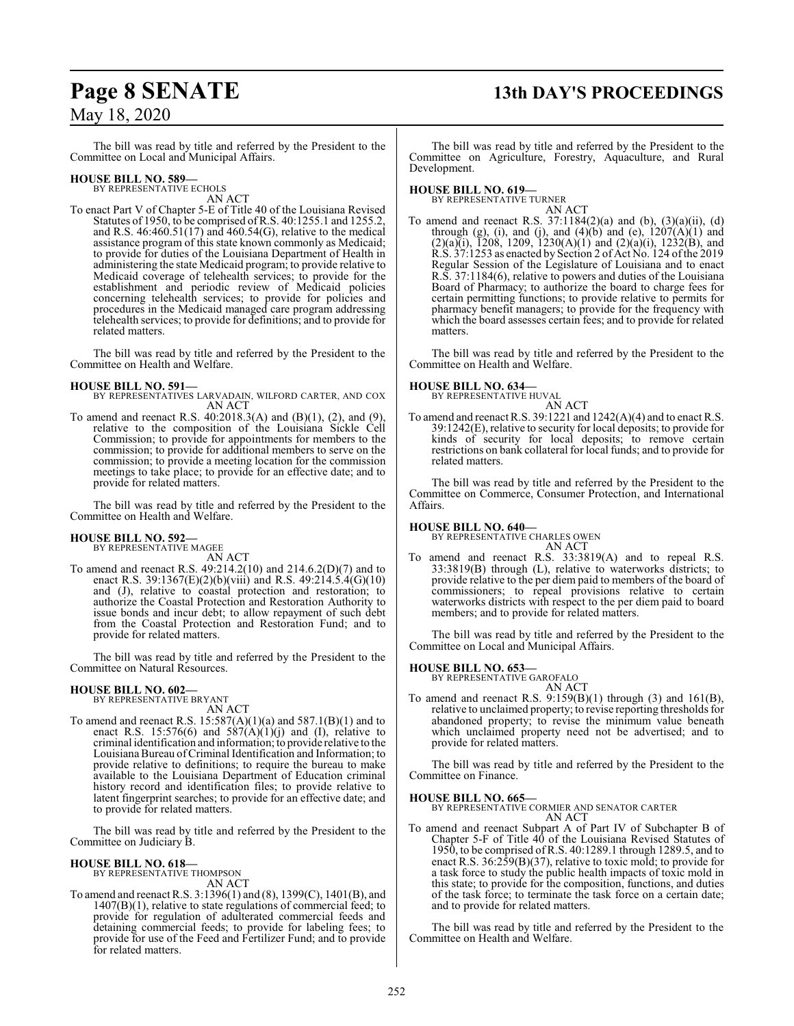# **Page 8 SENATE 13th DAY'S PROCEEDINGS**

## May 18, 2020

The bill was read by title and referred by the President to the Committee on Local and Municipal Affairs.

#### **HOUSE BILL NO. 589—**

BY REPRESENTATIVE ECHOLS AN ACT

To enact Part V of Chapter 5-E of Title 40 of the Louisiana Revised Statutes of 1950, to be comprised ofR.S. 40:1255.1 and 1255.2, and R.S. 46:460.51(17) and 460.54(G), relative to the medical assistance program of this state known commonly as Medicaid; to provide for duties of the Louisiana Department of Health in administering the state Medicaid program; to provide relative to Medicaid coverage of telehealth services; to provide for the establishment and periodic review of Medicaid policies concerning telehealth services; to provide for policies and procedures in the Medicaid managed care program addressing telehealth services; to provide for definitions; and to provide for related matters.

The bill was read by title and referred by the President to the Committee on Health and Welfare.

#### **HOUSE BILL NO. 591—**

BY REPRESENTATIVES LARVADAIN, WILFORD CARTER, AND COX AN ACT

To amend and reenact R.S. 40:2018.3(A) and (B)(1), (2), and (9), relative to the composition of the Louisiana Sickle Cell Commission; to provide for appointments for members to the commission; to provide for additional members to serve on the commission; to provide a meeting location for the commission meetings to take place; to provide for an effective date; and to provide for related matters.

The bill was read by title and referred by the President to the Committee on Health and Welfare.

#### **HOUSE BILL NO. 592—** BY REPRESENTATIVE MAGEE

AN ACT To amend and reenact R.S. 49:214.2(10) and 214.6.2(D)(7) and to enact R.S. 39:1367(E)(2)(b)(viii) and R.S. 49:214.5.4(G)(10) and (J), relative to coastal protection and restoration; to authorize the Coastal Protection and Restoration Authority to issue bonds and incur debt; to allow repayment of such debt from the Coastal Protection and Restoration Fund; and to provide for related matters.

The bill was read by title and referred by the President to the Committee on Natural Resources.

# **HOUSE BILL NO. 602—** BY REPRESENTATIVE BRYANT

AN ACT

To amend and reenact R.S. 15:587(A)(1)(a) and 587.1(B)(1) and to enact R.S. 15:576(6) and  $587(A)(1)(j)$  and (I), relative to criminal identification and information; to provide relative to the LouisianaBureau ofCriminal Identification and Information; to provide relative to definitions; to require the bureau to make available to the Louisiana Department of Education criminal history record and identification files; to provide relative to latent fingerprint searches; to provide for an effective date; and to provide for related matters.

The bill was read by title and referred by the President to the Committee on Judiciary B.

**HOUSE BILL NO. 618—** BY REPRESENTATIVE THOMPSON AN ACT

To amend and reenact R.S. 3:1396(1) and (8), 1399(C), 1401(B), and 1407(B)(1), relative to state regulations of commercial feed; to provide for regulation of adulterated commercial feeds and detaining commercial feeds; to provide for labeling fees; to provide for use of the Feed and Fertilizer Fund; and to provide for related matters.

The bill was read by title and referred by the President to the Committee on Agriculture, Forestry, Aquaculture, and Rural Development.

#### **HOUSE BILL NO. 619—**

BY REPRESENTATIVE TURNER AN ACT

To amend and reenact R.S. 37:1184(2)(a) and (b), (3)(a)(ii), (d) through (g), (i), and (j), and (4)(b) and (e),  $1207(A)(1)$  and  $(2)(a)(i)$ , 1208, 1209, 1230(A)(1) and (2)(a)(i), 1232(B), and R.S. 37:1253 as enacted by Section 2 of Act No. 124 ofthe 2019 Regular Session of the Legislature of Louisiana and to enact R.S. 37:1184(6), relative to powers and duties of the Louisiana Board of Pharmacy; to authorize the board to charge fees for certain permitting functions; to provide relative to permits for pharmacy benefit managers; to provide for the frequency with which the board assesses certain fees; and to provide for related matters.

The bill was read by title and referred by the President to the Committee on Health and Welfare.

**HOUSE BILL NO. 634—**

BY REPRESENTATIVE HUVAL AN ACT

To amend and reenact R.S. 39:1221 and 1242(A)(4) and to enact R.S. 39:1242(E), relative to security for local deposits; to provide for kinds of security for local deposits; to remove certain restrictions on bank collateral for local funds; and to provide for related matters.

The bill was read by title and referred by the President to the Committee on Commerce, Consumer Protection, and International Affairs.

**HOUSE BILL NO. 640—** BY REPRESENTATIVE CHARLES OWEN AN ACT

To amend and reenact R.S. 33:3819(A) and to repeal R.S. 33:3819(B) through (L), relative to waterworks districts; to provide relative to the per diem paid to members of the board of commissioners; to repeal provisions relative to certain waterworks districts with respect to the per diem paid to board members; and to provide for related matters.

The bill was read by title and referred by the President to the Committee on Local and Municipal Affairs.

# **HOUSE BILL NO. 653—** BY REPRESENTATIVE GAROFALO

AN ACT

To amend and reenact R.S.  $9:159(B)(1)$  through (3) and  $161(B)$ , relative to unclaimed property; to revise reporting thresholds for abandoned property; to revise the minimum value beneath which unclaimed property need not be advertised; and to provide for related matters.

The bill was read by title and referred by the President to the Committee on Finance.

#### **HOUSE BILL NO. 665—**

BY REPRESENTATIVE CORMIER AND SENATOR CARTER AN ACT

To amend and reenact Subpart A of Part IV of Subchapter B of Chapter 5-F of Title 40 of the Louisiana Revised Statutes of 1950, to be comprised of R.S. 40:1289.1 through 1289.5, and to enact R.S. 36:259(B)(37), relative to toxic mold; to provide for a task force to study the public health impacts of toxic mold in this state; to provide for the composition, functions, and duties of the task force; to terminate the task force on a certain date; and to provide for related matters.

The bill was read by title and referred by the President to the Committee on Health and Welfare.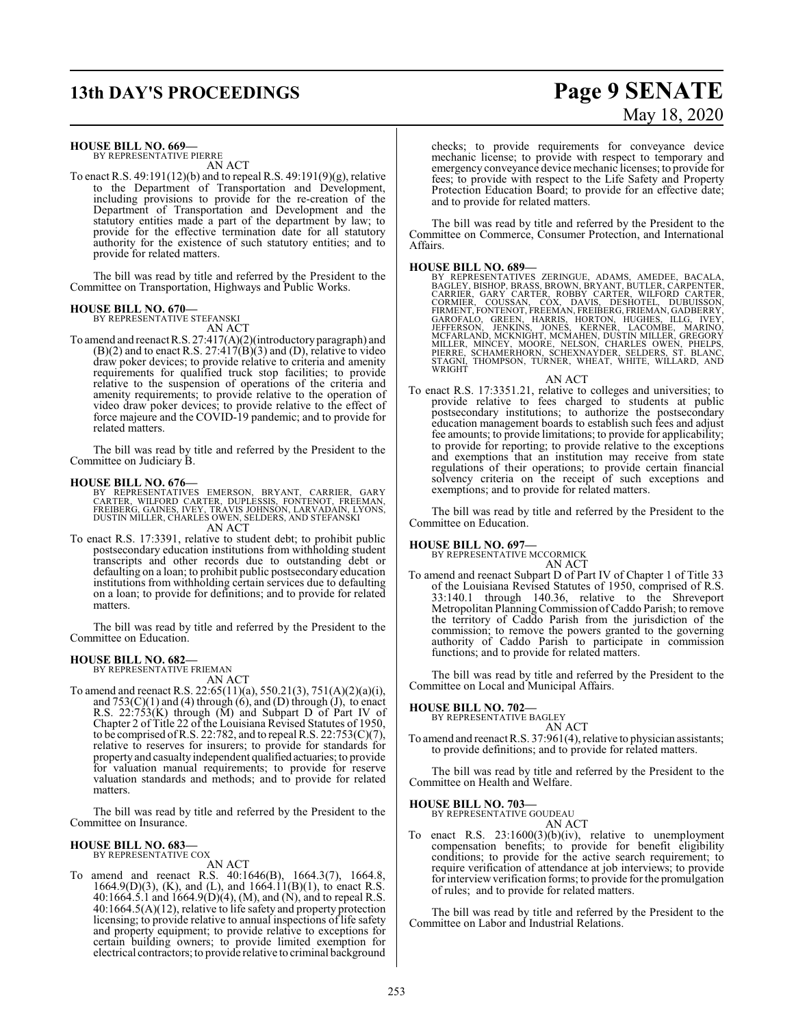# **13th DAY'S PROCEEDINGS Page 9 SENATE**

#### **HOUSE BILL NO. 669—**

BY REPRESENTATIVE PIERRE AN ACT

To enact R.S. 49:191(12)(b) and to repeal R.S. 49:191(9)(g), relative to the Department of Transportation and Development, including provisions to provide for the re-creation of the Department of Transportation and Development and the statutory entities made a part of the department by law; to provide for the effective termination date for all statutory authority for the existence of such statutory entities; and to provide for related matters.

The bill was read by title and referred by the President to the Committee on Transportation, Highways and Public Works.

## **HOUSE BILL NO. 670—** BY REPRESENTATIVE STEFANSKI

AN ACT

To amend and reenactR.S. 27:417(A)(2)(introductory paragraph) and  $(B)(2)$  and to enact R.S. 27:417( $\overrightarrow{B}$ )(3) and (D), relative to video draw poker devices; to provide relative to criteria and amenity requirements for qualified truck stop facilities; to provide relative to the suspension of operations of the criteria and amenity requirements; to provide relative to the operation of video draw poker devices; to provide relative to the effect of force majeure and the COVID-19 pandemic; and to provide for related matters.

The bill was read by title and referred by the President to the Committee on Judiciary B.

- **HOUSE BILL NO. 676—**<br>BY REPRESENTATIVES EMERSON, BRYANT, CARRIER, GARY<br>CARTER, WILFORD CARTER, DUPLESSIS, FONTENOT, FREEMAN,<br>FREIBERG, GAINES, IVEY, TRAVIS JOHNSON, LARVADAIN, LYONS,<br>DUSTIN MILLER, CHARLES OWEN, SELDERS, AN ACT
- To enact R.S. 17:3391, relative to student debt; to prohibit public postsecondary education institutions from withholding student transcripts and other records due to outstanding debt or defaulting on a loan; to prohibit public postsecondary education institutions from withholding certain services due to defaulting on a loan; to provide for definitions; and to provide for related matters.

The bill was read by title and referred by the President to the Committee on Education.

#### **HOUSE BILL NO. 682—**

BY REPRESENTATIVE FRIEMAN AN ACT

To amend and reenact R.S. 22:65(11)(a), 550.21(3), 751(A)(2)(a)(i), and  $753(C)(1)$  and  $(4)$  through  $(6)$ , and  $(D)$  through  $(J)$ , to enact R.S. 22:753(K) through (M) and Subpart D of Part IV of Chapter 2 of Title 22 of the Louisiana Revised Statutes of 1950, to be comprised of R.S. 22:782, and to repeal R.S. 22:753(C)(7), relative to reserves for insurers; to provide for standards for property and casualty independent qualified actuaries; to provide for valuation manual requirements; to provide for reserve valuation standards and methods; and to provide for related matters.

The bill was read by title and referred by the President to the Committee on Insurance.

#### **HOUSE BILL NO. 683—** BY REPRESENTATIVE COX

AN ACT

To amend and reenact R.S. 40:1646(B), 1664.3(7), 1664.8, 1664.9(D)(3), (K), and (L), and  $1664.11(B)(1)$ , to enact R.S. 40:1664.5.1 and 1664.9(D)(4), (M), and (N), and to repeal R.S. 40:1664.5(A)(12), relative to life safety and property protection licensing; to provide relative to annual inspections of life safety and property equipment; to provide relative to exceptions for certain building owners; to provide limited exemption for electrical contractors;to provide relative to criminal background

# May 18, 2020

checks; to provide requirements for conveyance device mechanic license; to provide with respect to temporary and emergency conveyance device mechanic licenses; to provide for fees; to provide with respect to the Life Safety and Property Protection Education Board; to provide for an effective date; and to provide for related matters.

The bill was read by title and referred by the President to the Committee on Commerce, Consumer Protection, and International Affairs.

HOUSE BILL NO. 689-<br>BY REPRESENTATIVES ZERINGUE, ADAMS, AMEDEE, BACALA,<br>BAGLEY, BISHOP, BRASS, BROWN, BRYANT, BUTLER, CARPENTER,<br>CARRIER, GARY CARTER, ROBBY CARTER, WILFORD CARTER,<br>CORMIER, COUSSAN, COX, DAVIS, DESHOTEL, D

#### AN ACT

To enact R.S. 17:3351.21, relative to colleges and universities; to provide relative to fees charged to students at public postsecondary institutions; to authorize the postsecondary education management boards to establish such fees and adjust fee amounts; to provide limitations; to provide for applicability; to provide for reporting; to provide relative to the exceptions and exemptions that an institution may receive from state regulations of their operations; to provide certain financial solvency criteria on the receipt of such exceptions and exemptions; and to provide for related matters.

The bill was read by title and referred by the President to the Committee on Education.

#### **HOUSE BILL NO. 697—**

BY REPRESENTATIVE MCCORMICK

AN ACT To amend and reenact Subpart D of Part IV of Chapter 1 of Title 33 of the Louisiana Revised Statutes of 1950, comprised of R.S. 33:140.1 through 140.36, relative to the Shreveport Metropolitan Planning Commission of Caddo Parish; to remove the territory of Caddo Parish from the jurisdiction of the commission; to remove the powers granted to the governing authority of Caddo Parish to participate in commission functions; and to provide for related matters.

The bill was read by title and referred by the President to the Committee on Local and Municipal Affairs.

#### **HOUSE BILL NO. 702—**

BY REPRESENTATIVE BAGLEY AN ACT

To amend and reenact R.S. 37:961(4), relative to physician assistants; to provide definitions; and to provide for related matters.

The bill was read by title and referred by the President to the Committee on Health and Welfare.

#### **HOUSE BILL NO. 703—**

BY REPRESENTATIVE GOUDEAU AN ACT

To enact R.S. 23:1600(3)(b)(iv), relative to unemployment compensation benefits; to provide for benefit eligibility conditions; to provide for the active search requirement; to require verification of attendance at job interviews; to provide for interview verification forms; to provide for the promulgation of rules; and to provide for related matters.

The bill was read by title and referred by the President to the Committee on Labor and Industrial Relations.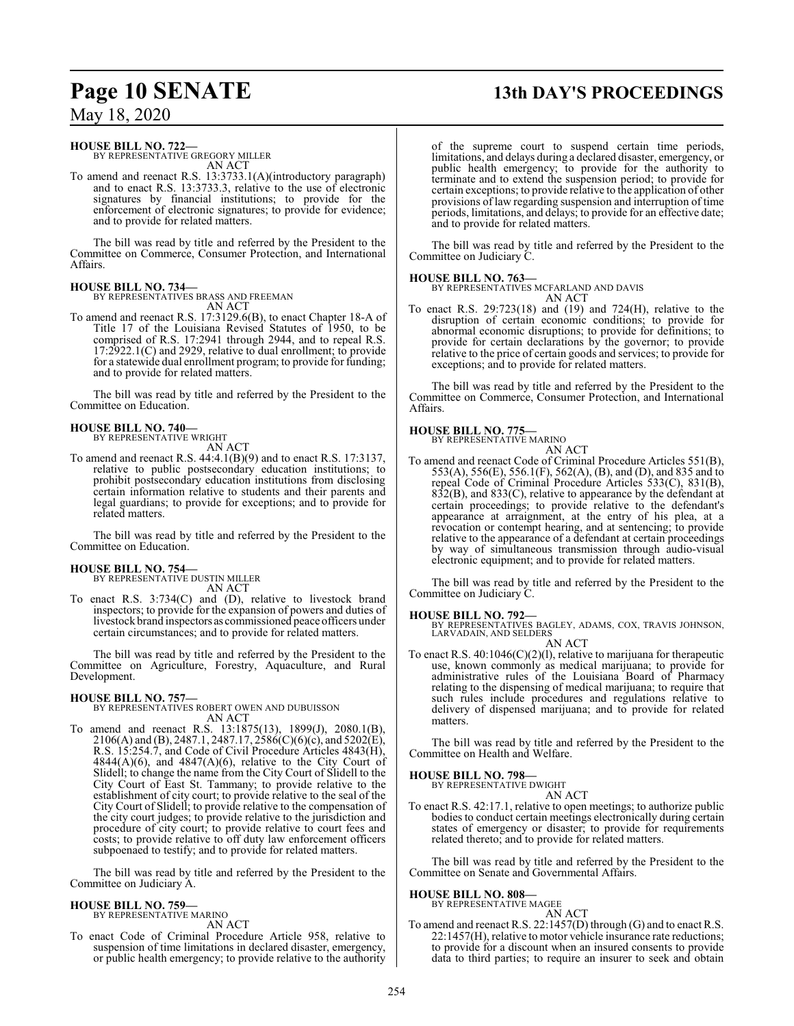# **Page 10 SENATE 13th DAY'S PROCEEDINGS**

## May 18, 2020

#### **HOUSE BILL NO. 722—**

BY REPRESENTATIVE GREGORY MILLER AN ACT

To amend and reenact R.S. 13:3733.1(A)(introductory paragraph) and to enact R.S. 13:3733.3, relative to the use of electronic signatures by financial institutions; to provide for the enforcement of electronic signatures; to provide for evidence; and to provide for related matters.

The bill was read by title and referred by the President to the Committee on Commerce, Consumer Protection, and International Affairs.

**HOUSE BILL NO. 734—** BY REPRESENTATIVES BRASS AND FREEMAN AN ACT

To amend and reenact R.S. 17:3129.6(B), to enact Chapter 18-A of Title 17 of the Louisiana Revised Statutes of 1950, to be comprised of R.S. 17:2941 through 2944, and to repeal R.S. 17:2922.1(C) and 2929, relative to dual enrollment; to provide for a statewide dual enrollment program; to provide for funding; and to provide for related matters.

The bill was read by title and referred by the President to the Committee on Education.

#### **HOUSE BILL NO. 740—** BY REPRESENTATIVE WRIGHT

AN ACT

To amend and reenact R.S. 44:4.1(B)(9) and to enact R.S. 17:3137, relative to public postsecondary education institutions; to prohibit postsecondary education institutions from disclosing certain information relative to students and their parents and legal guardians; to provide for exceptions; and to provide for related matters.

The bill was read by title and referred by the President to the Committee on Education.

# **HOUSE BILL NO. 754—** BY REPRESENTATIVE DUSTIN MILLER

AN ACT

To enact R.S. 3:734(C) and (D), relative to livestock brand inspectors; to provide for the expansion of powers and duties of livestock brand inspectors as commissioned peace officers under certain circumstances; and to provide for related matters.

The bill was read by title and referred by the President to the Committee on Agriculture, Forestry, Aquaculture, and Rural Development.

**HOUSE BILL NO. 757—** BY REPRESENTATIVES ROBERT OWEN AND DUBUISSON AN ACT

To amend and reenact R.S. 13:1875(13), 1899(J), 2080.1(B), 2106(A) and (B), 2487.1, 2487.17, 2586(C)(6)(c), and 5202(E), R.S. 15:254.7, and Code of Civil Procedure Articles 4843(H),  $4844(A)(6)$ , and  $4847(A)(6)$ , relative to the City Court of Slidell; to change the name from the City Court of Slidell to the City Court of East St. Tammany; to provide relative to the establishment of city court; to provide relative to the seal of the City Court of Slidell; to provide relative to the compensation of the city court judges; to provide relative to the jurisdiction and procedure of city court; to provide relative to court fees and costs; to provide relative to off duty law enforcement officers subpoenaed to testify; and to provide for related matters.

The bill was read by title and referred by the President to the Committee on Judiciary A.

#### **HOUSE BILL NO. 759—**

BY REPRESENTATIVE MARINO AN ACT

To enact Code of Criminal Procedure Article 958, relative to suspension of time limitations in declared disaster, emergency, or public health emergency; to provide relative to the authority of the supreme court to suspend certain time periods, limitations, and delays during a declared disaster, emergency, or public health emergency; to provide for the authority to terminate and to extend the suspension period; to provide for certain exceptions; to provide relative to the application of other provisions of law regarding suspension and interruption of time periods, limitations, and delays; to provide for an effective date; and to provide for related matters.

The bill was read by title and referred by the President to the Committee on Judiciary C.

#### **HOUSE BILL NO. 763—**

BY REPRESENTATIVES MCFARLAND AND DAVIS AN ACT

To enact R.S. 29:723(18) and (19) and 724(H), relative to the disruption of certain economic conditions; to provide for abnormal economic disruptions; to provide for definitions; to provide for certain declarations by the governor; to provide relative to the price of certain goods and services; to provide for exceptions; and to provide for related matters.

The bill was read by title and referred by the President to the Committee on Commerce, Consumer Protection, and International Affairs.

#### **HOUSE BILL NO. 775—**

BY REPRESENTATIVE MARINO

AN ACT To amend and reenact Code of Criminal Procedure Articles 551(B), 553(A), 556(E), 556.1(F), 562(A), (B), and (D), and 835 and to repeal Code of Criminal Procedure Articles 533(C), 831(B), 832(B), and 833(C), relative to appearance by the defendant at certain proceedings; to provide relative to the defendant's appearance at arraignment, at the entry of his plea, at a revocation or contempt hearing, and at sentencing; to provide relative to the appearance of a defendant at certain proceedings by way of simultaneous transmission through audio-visual electronic equipment; and to provide for related matters.

The bill was read by title and referred by the President to the Committee on Judiciary C.

#### **HOUSE BILL NO. 792—**

BY REPRESENTATIVES BAGLEY, ADAMS, COX, TRAVIS JOHNSON, LARVADAIN, AND SELDERS AN ACT

To enact R.S. 40:1046(C)(2)(l), relative to marijuana for therapeutic use, known commonly as medical marijuana; to provide for administrative rules of the Louisiana Board of Pharmacy relating to the dispensing of medical marijuana; to require that such rules include procedures and regulations relative to delivery of dispensed marijuana; and to provide for related matters.

The bill was read by title and referred by the President to the Committee on Health and Welfare.

#### **HOUSE BILL NO. 798—**

BY REPRESENTATIVE DWIGHT AN ACT

To enact R.S. 42:17.1, relative to open meetings; to authorize public bodies to conduct certain meetings electronically during certain states of emergency or disaster; to provide for requirements related thereto; and to provide for related matters.

The bill was read by title and referred by the President to the Committee on Senate and Governmental Affairs.

#### **HOUSE BILL NO. 808—**

BY REPRESENTATIVE MAGEE

AN ACT To amend and reenact R.S. 22:1457(D) through (G) and to enact R.S. 22:1457(H), relative to motor vehicle insurance rate reductions; to provide for a discount when an insured consents to provide data to third parties; to require an insurer to seek and obtain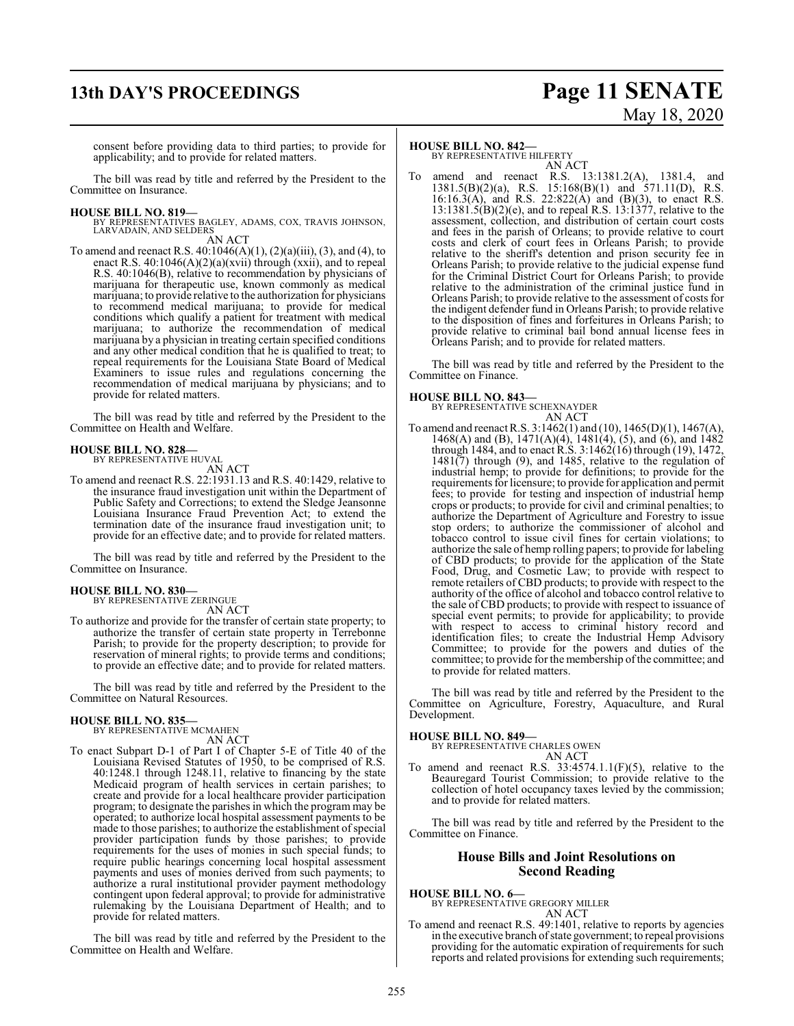## **13th DAY'S PROCEEDINGS Page 11 SENATE**

# May 18, 2020

consent before providing data to third parties; to provide for applicability; and to provide for related matters.

The bill was read by title and referred by the President to the Committee on Insurance.

#### **HOUSE BILL NO. 819—**

BY REPRESENTATIVES BAGLEY, ADAMS, COX, TRAVIS JOHNSON, LARVADAIN, AND SELDERS AN ACT

To amend and reenact R.S.  $40:1046(A)(1)$ ,  $(2)(a)(iii)$ ,  $(3)$ , and  $(4)$ , to enact R.S.  $40:1046(A)(2)(a)(xvii)$  through  $(xxii)$ , and to repeal R.S. 40:1046(B), relative to recommendation by physicians of marijuana for therapeutic use, known commonly as medical marijuana; to provide relative to the authorization for physicians to recommend medical marijuana; to provide for medical conditions which qualify a patient for treatment with medical marijuana; to authorize the recommendation of medical marijuana by a physician in treating certain specified conditions and any other medical condition that he is qualified to treat; to repeal requirements for the Louisiana State Board of Medical Examiners to issue rules and regulations concerning the recommendation of medical marijuana by physicians; and to provide for related matters.

The bill was read by title and referred by the President to the Committee on Health and Welfare.

## **HOUSE BILL NO. 828—** BY REPRESENTATIVE HUVAL

- AN ACT
- To amend and reenact R.S. 22:1931.13 and R.S. 40:1429, relative to the insurance fraud investigation unit within the Department of Public Safety and Corrections; to extend the Sledge Jeansonne Louisiana Insurance Fraud Prevention Act; to extend the termination date of the insurance fraud investigation unit; to provide for an effective date; and to provide for related matters.

The bill was read by title and referred by the President to the Committee on Insurance.

#### **HOUSE BILL NO. 830—**

BY REPRESENTATIVE ZERINGUE AN ACT

To authorize and provide for the transfer of certain state property; to authorize the transfer of certain state property in Terrebonne Parish; to provide for the property description; to provide for reservation of mineral rights; to provide terms and conditions; to provide an effective date; and to provide for related matters.

The bill was read by title and referred by the President to the Committee on Natural Resources.

#### **HOUSE BILL NO. 835—** BY REPRESENTATIVE MCMAHEN

AN ACT

To enact Subpart D-1 of Part I of Chapter 5-E of Title 40 of the Louisiana Revised Statutes of 1950, to be comprised of R.S. 40:1248.1 through 1248.11, relative to financing by the state Medicaid program of health services in certain parishes; to create and provide for a local healthcare provider participation program; to designate the parishes in which the program may be operated; to authorize local hospital assessment payments to be made to those parishes; to authorize the establishment of special provider participation funds by those parishes; to provide requirements for the uses of monies in such special funds; to require public hearings concerning local hospital assessment payments and uses of monies derived from such payments; to authorize a rural institutional provider payment methodology contingent upon federal approval; to provide for administrative rulemaking by the Louisiana Department of Health; and to provide for related matters.

The bill was read by title and referred by the President to the Committee on Health and Welfare.

#### **HOUSE BILL NO. 842—**

BY REPRESENTATIVE HILFERTY AN ACT

To amend and reenact R.S. 13:1381.2(A), 1381.4, and  $1381.5(B)(2)(a)$ , R.S.  $15:168(B)(1)$  and  $571.11(D)$ , R.S. 16:16.3(A), and R.S. 22:822(A) and (B)(3), to enact R.S. 13:1381.5(B)(2)(e), and to repeal R.S. 13:1377, relative to the assessment, collection, and distribution of certain court costs and fees in the parish of Orleans; to provide relative to court costs and clerk of court fees in Orleans Parish; to provide relative to the sheriff's detention and prison security fee in Orleans Parish; to provide relative to the judicial expense fund for the Criminal District Court for Orleans Parish; to provide relative to the administration of the criminal justice fund in Orleans Parish; to provide relative to the assessment of costs for the indigent defender fund in Orleans Parish; to provide relative to the disposition of fines and forfeitures in Orleans Parish; to provide relative to criminal bail bond annual license fees in Orleans Parish; and to provide for related matters.

The bill was read by title and referred by the President to the Committee on Finance.

#### **HOUSE BILL NO. 843—**

BY REPRESENTATIVE SCHEXNAYDER AN ACT

To amend and reenact R.S. 3:1462(1) and (10), 1465(D)(1), 1467(A), 1468(A) and (B), 1471(A)(4), 1481(4), (5), and (6), and 1482 through 1484, and to enact R.S. 3:1462(16) through (19), 1472, 1481(7) through (9), and 1485, relative to the regulation of industrial hemp; to provide for definitions; to provide for the requirements for licensure; to provide for application and permit fees; to provide for testing and inspection of industrial hemp crops or products; to provide for civil and criminal penalties; to authorize the Department of Agriculture and Forestry to issue stop orders; to authorize the commissioner of alcohol and tobacco control to issue civil fines for certain violations; to authorize the sale of hemp rolling papers; to provide for labeling of CBD products; to provide for the application of the State Food, Drug, and Cosmetic Law; to provide with respect to remote retailers of CBD products; to provide with respect to the authority of the office of alcohol and tobacco control relative to the sale of CBD products; to provide with respect to issuance of special event permits; to provide for applicability; to provide with respect to access to criminal history record and identification files; to create the Industrial Hemp Advisory Committee; to provide for the powers and duties of the committee; to provide for the membership of the committee; and to provide for related matters.

The bill was read by title and referred by the President to the Committee on Agriculture, Forestry, Aquaculture, and Rural Development.

#### **HOUSE BILL NO. 849—**

BY REPRESENTATIVE CHARLES OWEN AN ACT

To amend and reenact R.S.  $33:4574.1.1(F)(5)$ , relative to the Beauregard Tourist Commission; to provide relative to the collection of hotel occupancy taxes levied by the commission; and to provide for related matters.

The bill was read by title and referred by the President to the Committee on Finance.

#### **House Bills and Joint Resolutions on Second Reading**

**HOUSE BILL NO. 6—** BY REPRESENTATIVE GREGORY MILLER AN ACT

To amend and reenact R.S. 49:1401, relative to reports by agencies in the executive branch of state government; to repeal provisions providing for the automatic expiration of requirements for such reports and related provisions for extending such requirements;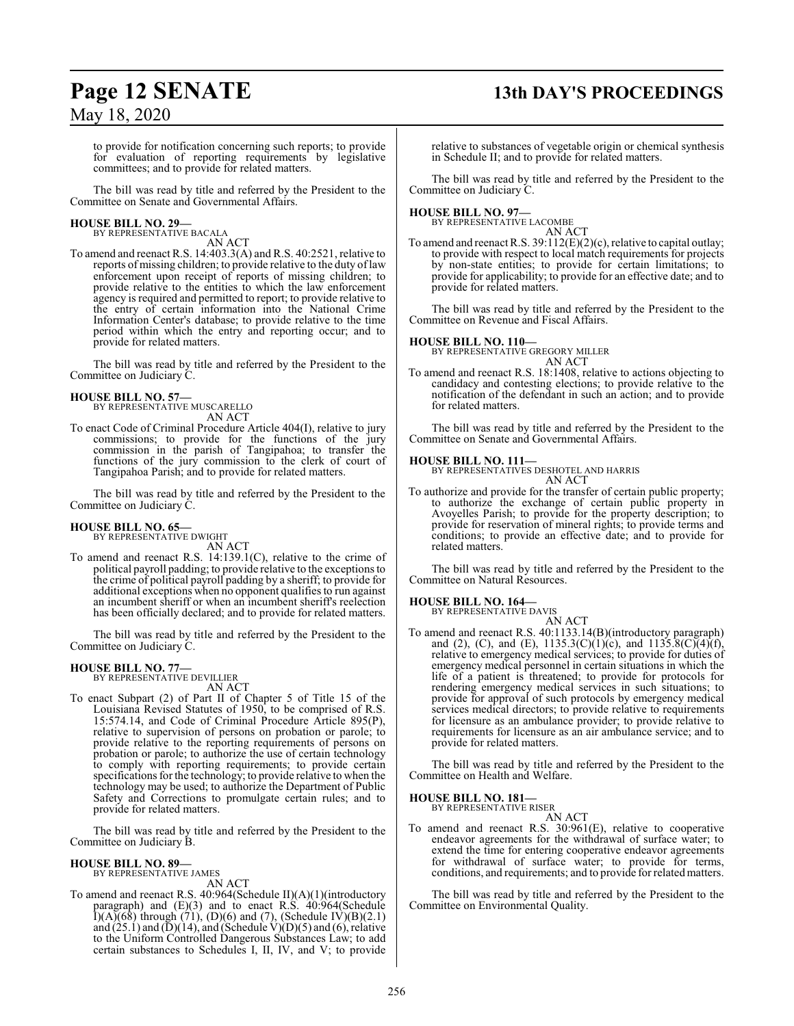# **Page 12 SENATE 13th DAY'S PROCEEDINGS**

to provide for notification concerning such reports; to provide for evaluation of reporting requirements by legislative committees; and to provide for related matters.

The bill was read by title and referred by the President to the Committee on Senate and Governmental Affairs.

#### **HOUSE BILL NO. 29—** BY REPRESENTATIVE BACALA

AN ACT

To amend and reenact R.S. 14:403.3(A) and R.S. 40:2521, relative to reports of missing children; to provide relative to the duty oflaw enforcement upon receipt of reports of missing children; to provide relative to the entities to which the law enforcement agency is required and permitted to report; to provide relative to the entry of certain information into the National Crime Information Center's database; to provide relative to the time period within which the entry and reporting occur; and to provide for related matters.

The bill was read by title and referred by the President to the Committee on Judiciary C.

## **HOUSE BILL NO. 57—**

BY REPRESENTATIVE MUSCARELLO AN ACT

To enact Code of Criminal Procedure Article 404(I), relative to jury commissions; to provide for the functions of the jury commission in the parish of Tangipahoa; to transfer the functions of the jury commission to the clerk of court of Tangipahoa Parish; and to provide for related matters.

The bill was read by title and referred by the President to the Committee on Judiciary C.

## **HOUSE BILL NO. 65—** BY REPRESENTATIVE DWIGHT

AN ACT

To amend and reenact R.S. 14:139.1(C), relative to the crime of political payroll padding; to provide relative to the exceptions to the crime of political payroll padding by a sheriff; to provide for additional exceptions when no opponent qualifies to run against an incumbent sheriff or when an incumbent sheriff's reelection has been officially declared; and to provide for related matters.

The bill was read by title and referred by the President to the Committee on Judiciary C.

# **HOUSE BILL NO. 77—** BY REPRESENTATIVE DEVILLIER

AN ACT

To enact Subpart (2) of Part II of Chapter 5 of Title 15 of the Louisiana Revised Statutes of 1950, to be comprised of R.S. 15:574.14, and Code of Criminal Procedure Article 895(P), relative to supervision of persons on probation or parole; to provide relative to the reporting requirements of persons on probation or parole; to authorize the use of certain technology to comply with reporting requirements; to provide certain specifications for the technology; to provide relative to when the technology may be used; to authorize the Department of Public Safety and Corrections to promulgate certain rules; and to provide for related matters.

The bill was read by title and referred by the President to the Committee on Judiciary B.

# **HOUSE BILL NO. 89—** BY REPRESENTATIVE JAMES

AN ACT

To amend and reenact R.S. 40:964(Schedule II)(A)(1)(introductory paragraph) and (E)(3) and to enact R.S. 40:964(Schedule  $I(A)(68)$  through (71), (D)(6) and (7), (Schedule IV)(B)(2.1) and  $(25.1)$  and  $(D)(14)$ , and (Schedule V) $(D)(5)$  and  $(6)$ , relative to the Uniform Controlled Dangerous Substances Law; to add certain substances to Schedules I, II, IV, and V; to provide relative to substances of vegetable origin or chemical synthesis in Schedule II; and to provide for related matters.

The bill was read by title and referred by the President to the Committee on Judiciary C.

## **HOUSE BILL NO. 97—** BY REPRESENTATIVE LACOMBE

AN ACT

To amend and reenact R.S. 39:112(E)(2)(c), relative to capital outlay; to provide with respect to local match requirements for projects by non-state entities; to provide for certain limitations; to provide for applicability; to provide for an effective date; and to provide for related matters.

The bill was read by title and referred by the President to the Committee on Revenue and Fiscal Affairs.

#### **HOUSE BILL NO. 110—**

BY REPRESENTATIVE GREGORY MILLER

- AN ACT
- To amend and reenact R.S. 18:1408, relative to actions objecting to candidacy and contesting elections; to provide relative to the notification of the defendant in such an action; and to provide for related matters.

The bill was read by title and referred by the President to the Committee on Senate and Governmental Affairs.

#### **HOUSE BILL NO. 111—**

BY REPRESENTATIVES DESHOTEL AND HARRIS AN ACT

To authorize and provide for the transfer of certain public property; to authorize the exchange of certain public property in Avoyelles Parish; to provide for the property description; to provide for reservation of mineral rights; to provide terms and conditions; to provide an effective date; and to provide for related matters.

The bill was read by title and referred by the President to the Committee on Natural Resources.

#### **HOUSE BILL NO. 164—**

BY REPRESENTATIVE DAVIS

AN ACT To amend and reenact R.S. 40:1133.14(B)(introductory paragraph) and (2), (C), and (E),  $1135.3(C)(1)(c)$ , and  $1135.8(C)(4)(f)$ , relative to emergency medical services; to provide for duties of emergency medical personnel in certain situations in which the life of a patient is threatened; to provide for protocols for rendering emergency medical services in such situations; to provide for approval of such protocols by emergency medical services medical directors; to provide relative to requirements for licensure as an ambulance provider; to provide relative to requirements for licensure as an air ambulance service; and to provide for related matters.

The bill was read by title and referred by the President to the Committee on Health and Welfare.

**HOUSE BILL NO. 181—** BY REPRESENTATIVE RISER

AN ACT

To amend and reenact R.S. 30:961(E), relative to cooperative endeavor agreements for the withdrawal of surface water; to extend the time for entering cooperative endeavor agreements for withdrawal of surface water; to provide for terms, conditions, and requirements; and to provide for related matters.

The bill was read by title and referred by the President to the Committee on Environmental Quality.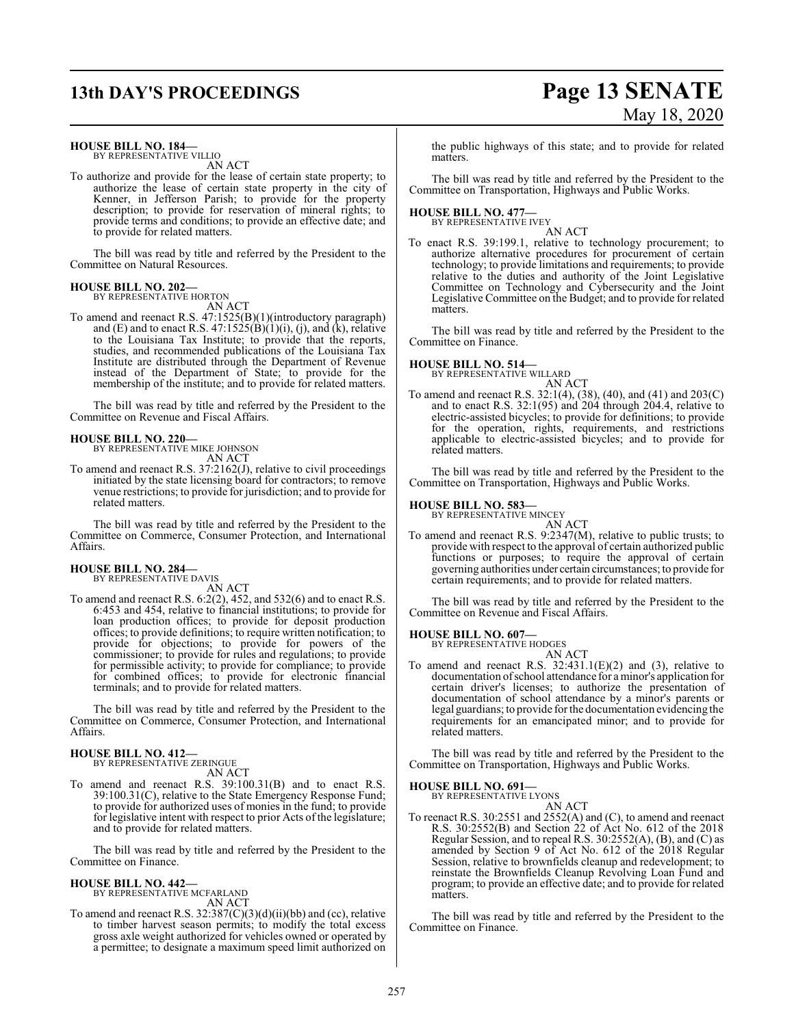# **13th DAY'S PROCEEDINGS Page 13 SENATE** May 18, 2020

**HOUSE BILL NO. 184—**

BY REPRESENTATIVE VILLIO AN ACT

To authorize and provide for the lease of certain state property; to authorize the lease of certain state property in the city of Kenner, in Jefferson Parish; to provide for the property description; to provide for reservation of mineral rights; to provide terms and conditions; to provide an effective date; and to provide for related matters.

The bill was read by title and referred by the President to the Committee on Natural Resources.

# **HOUSE BILL NO. 202—** BY REPRESENTATIVE HORTON

AN ACT

To amend and reenact R.S. 47:1525(B)(1)(introductory paragraph) and (E) and to enact R.S.  $47:1525(B)(1)(i)$ , (j), and (k), relative to the Louisiana Tax Institute; to provide that the reports, studies, and recommended publications of the Louisiana Tax Institute are distributed through the Department of Revenue instead of the Department of State; to provide for the membership of the institute; and to provide for related matters.

The bill was read by title and referred by the President to the Committee on Revenue and Fiscal Affairs.

## **HOUSE BILL NO. 220—** BY REPRESENTATIVE MIKE JOHNSON

AN ACT

To amend and reenact R.S. 37:2162(J), relative to civil proceedings initiated by the state licensing board for contractors; to remove venue restrictions; to provide for jurisdiction; and to provide for related matters.

The bill was read by title and referred by the President to the Committee on Commerce, Consumer Protection, and International Affairs.

## **HOUSE BILL NO. 284—** BY REPRESENTATIVE DAVIS

AN ACT

To amend and reenact R.S. 6:2(2), 452, and 532(6) and to enact R.S. 6:453 and 454, relative to financial institutions; to provide for loan production offices; to provide for deposit production offices; to provide definitions; to require written notification; to provide for objections; to provide for powers of the commissioner; to provide for rules and regulations; to provide for permissible activity; to provide for compliance; to provide for combined offices; to provide for electronic financial terminals; and to provide for related matters.

The bill was read by title and referred by the President to the Committee on Commerce, Consumer Protection, and International Affairs.

## **HOUSE BILL NO. 412—** BY REPRESENTATIVE ZERINGUE

AN ACT

To amend and reenact R.S. 39:100.31(B) and to enact R.S. 39:100.31(C), relative to the State Emergency Response Fund; to provide for authorized uses of monies in the fund; to provide for legislative intent with respect to prior Acts of the legislature; and to provide for related matters.

The bill was read by title and referred by the President to the Committee on Finance.

# **HOUSE BILL NO. 442—** BY REPRESENTATIVE MCFARLAND

AN ACT

To amend and reenact R.S. 32:387(C)(3)(d)(ii)(bb) and (cc), relative to timber harvest season permits; to modify the total excess gross axle weight authorized for vehicles owned or operated by a permittee; to designate a maximum speed limit authorized on

the public highways of this state; and to provide for related matters.

The bill was read by title and referred by the President to the Committee on Transportation, Highways and Public Works.

## **HOUSE BILL NO. 477—** BY REPRESENTATIVE IVEY

AN ACT

To enact R.S. 39:199.1, relative to technology procurement; to authorize alternative procedures for procurement of certain technology; to provide limitations and requirements; to provide relative to the duties and authority of the Joint Legislative Committee on Technology and Cybersecurity and the Joint Legislative Committee on the Budget; and to provide for related matters.

The bill was read by title and referred by the President to the Committee on Finance.

## **HOUSE BILL NO. 514—** BY REPRESENTATIVE WILLARD

AN ACT

To amend and reenact R.S. 32:1(4), (38), (40), and (41) and 203(C) and to enact R.S. 32:1(95) and 204 through 204.4, relative to electric-assisted bicycles; to provide for definitions; to provide for the operation, rights, requirements, and restrictions applicable to electric-assisted bicycles; and to provide for related matters.

The bill was read by title and referred by the President to the Committee on Transportation, Highways and Public Works.

#### **HOUSE BILL NO. 583—**

BY REPRESENTATIVE MINCEY

AN ACT To amend and reenact R.S. 9:2347(M), relative to public trusts; to provide with respect to the approval of certain authorized public functions or purposes; to require the approval of certain governing authorities under certain circumstances; to provide for certain requirements; and to provide for related matters.

The bill was read by title and referred by the President to the Committee on Revenue and Fiscal Affairs.

#### **HOUSE BILL NO. 607—**

BY REPRESENTATIVE HODGES AN ACT

To amend and reenact R.S. 32:431.1(E)(2) and (3), relative to documentation ofschool attendance for a minor's application for certain driver's licenses; to authorize the presentation of documentation of school attendance by a minor's parents or legal guardians; to provide for the documentation evidencing the requirements for an emancipated minor; and to provide for related matters.

The bill was read by title and referred by the President to the Committee on Transportation, Highways and Public Works.

#### **HOUSE BILL NO. 691—**

BY REPRESENTATIVE LYONS AN ACT

To reenact R.S. 30:2551 and 2552(A) and (C), to amend and reenact R.S. 30:2552(B) and Section 22 of Act No. 612 of the 2018 Regular Session, and to repeal R.S. 30:2552(A), (B), and (C) as amended by Section 9 of Act No. 612 of the 2018 Regular Session, relative to brownfields cleanup and redevelopment; to reinstate the Brownfields Cleanup Revolving Loan Fund and program; to provide an effective date; and to provide for related matters.

The bill was read by title and referred by the President to the Committee on Finance.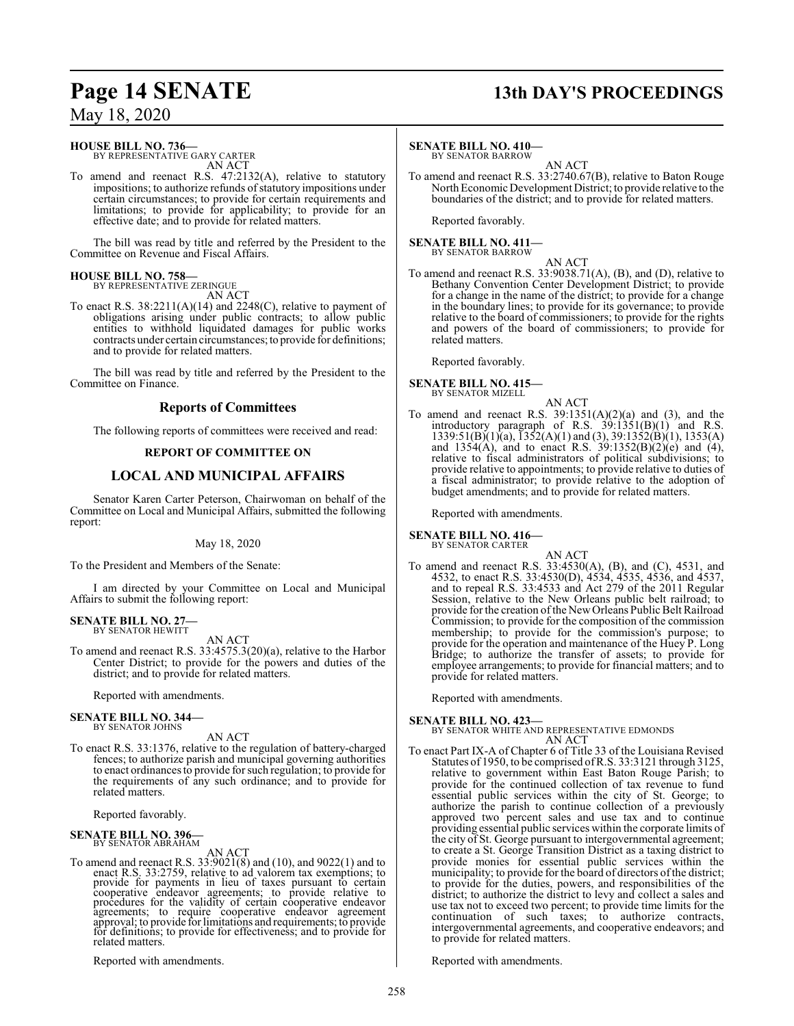#### **HOUSE BILL NO. 736—**

BY REPRESENTATIVE GARY CARTER AN ACT

To amend and reenact R.S. 47:2132(A), relative to statutory impositions; to authorize refunds of statutory impositions under certain circumstances; to provide for certain requirements and limitations; to provide for applicability; to provide for an effective date; and to provide for related matters.

The bill was read by title and referred by the President to the Committee on Revenue and Fiscal Affairs.

#### **HOUSE BILL NO. 758—** BY REPRESENTATIVE ZERINGUE

AN ACT

To enact R.S. 38:2211(A)(14) and 2248(C), relative to payment of obligations arising under public contracts; to allow public entities to withhold liquidated damages for public works contracts under certain circumstances;to provide for definitions; and to provide for related matters.

The bill was read by title and referred by the President to the Committee on Finance.

### **Reports of Committees**

The following reports of committees were received and read:

#### **REPORT OF COMMITTEE ON**

## **LOCAL AND MUNICIPAL AFFAIRS**

Senator Karen Carter Peterson, Chairwoman on behalf of the Committee on Local and Municipal Affairs, submitted the following report:

#### May 18, 2020

To the President and Members of the Senate:

I am directed by your Committee on Local and Municipal Affairs to submit the following report:

#### **SENATE BILL NO. 27—** BY SENATOR HEWITT

AN ACT

To amend and reenact R.S. 33:4575.3(20)(a), relative to the Harbor Center District; to provide for the powers and duties of the district; and to provide for related matters.

Reported with amendments.

#### **SENATE BILL NO. 344—** BY SENATOR JOHNS

AN ACT

To enact R.S. 33:1376, relative to the regulation of battery-charged fences; to authorize parish and municipal governing authorities to enact ordinances to provide for such regulation; to provide for the requirements of any such ordinance; and to provide for related matters.

Reported favorably.

## **SENATE BILL NO. 396—** BY SENATOR ABRAHAM

AN ACT<br>To amend and reenact R.S. 33:9021(8) and (10), and 9022(1) and to<br>enact R.S. 33:2759, relative to ad valorem tax exemptions; to<br>provide for payments in lieu of taxes pursuant to certain<br>cooperative endeavor agreemen agreements; to require cooperative endeavor agreement approval; to provide for limitations and requirements; to provide for definitions; to provide for effectiveness; and to provide for related matters.

Reported with amendments.

# **Page 14 SENATE 13th DAY'S PROCEEDINGS**

#### **SENATE BILL NO. 410—**

BY SENATOR BARROW AN ACT

To amend and reenact R.S. 33:2740.67(B), relative to Baton Rouge North Economic Development District; to provide relative to the boundaries of the district; and to provide for related matters.

Reported favorably.

#### **SENATE BILL NO. 411—** BY SENATOR BARROW

AN ACT

To amend and reenact R.S. 33:9038.71(A), (B), and (D), relative to Bethany Convention Center Development District; to provide for a change in the name of the district; to provide for a change in the boundary lines; to provide for its governance; to provide relative to the board of commissioners; to provide for the rights and powers of the board of commissioners; to provide for related matters.

Reported favorably.

#### **SENATE BILL NO. 415—** BY SENATOR MIZELL

- AN ACT
- To amend and reenact R.S.  $39:1351(A)(2)(a)$  and  $(3)$ , and the introductory paragraph of R.S. 39:1351(B)(1) and R.S.  $1339:51(B)(1)(a)$ ,  $1352(A)(1)$  and  $(3)$ ,  $39:1352(B)(1)$ ,  $1353(A)$ and 1354(A), and to enact R.S.  $39:1352(B)(2)(e)$  and (4), relative to fiscal administrators of political subdivisions; to provide relative to appointments; to provide relative to duties of a fiscal administrator; to provide relative to the adoption of budget amendments; and to provide for related matters.

Reported with amendments.

**SENATE BILL NO. 416—** BY SENATOR CARTER

AN ACT

To amend and reenact R.S. 33:4530(A), (B), and (C), 4531, and 4532, to enact R.S. 33:4530(D), 4534, 4535, 4536, and 4537, and to repeal R.S. 33:4533 and Act 279 of the 2011 Regular Session, relative to the New Orleans public belt railroad; to provide forthe creation ofthe NewOrleans Public Belt Railroad Commission; to provide for the composition of the commission membership; to provide for the commission's purpose; to provide for the operation and maintenance of the Huey P. Long Bridge; to authorize the transfer of assets; to provide for employee arrangements; to provide for financial matters; and to provide for related matters.

Reported with amendments.

**SENATE BILL NO. 423—** BY SENATOR WHITE AND REPRESENTATIVE EDMONDS AN ACT

To enact Part IX-A of Chapter 6 of Title 33 of the Louisiana Revised Statutes of 1950, to be comprised ofR.S. 33:3121 through 3125, relative to government within East Baton Rouge Parish; to provide for the continued collection of tax revenue to fund essential public services within the city of St. George; to authorize the parish to continue collection of a previously approved two percent sales and use tax and to continue providing essential public services within the corporate limits of the city of St. George pursuant to intergovernmental agreement; to create a St. George Transition District as a taxing district to provide monies for essential public services within the municipality; to provide for the board of directors ofthe district; to provide for the duties, powers, and responsibilities of the district; to authorize the district to levy and collect a sales and use tax not to exceed two percent; to provide time limits for the continuation of such taxes; to authorize contracts, intergovernmental agreements, and cooperative endeavors; and to provide for related matters.

Reported with amendments.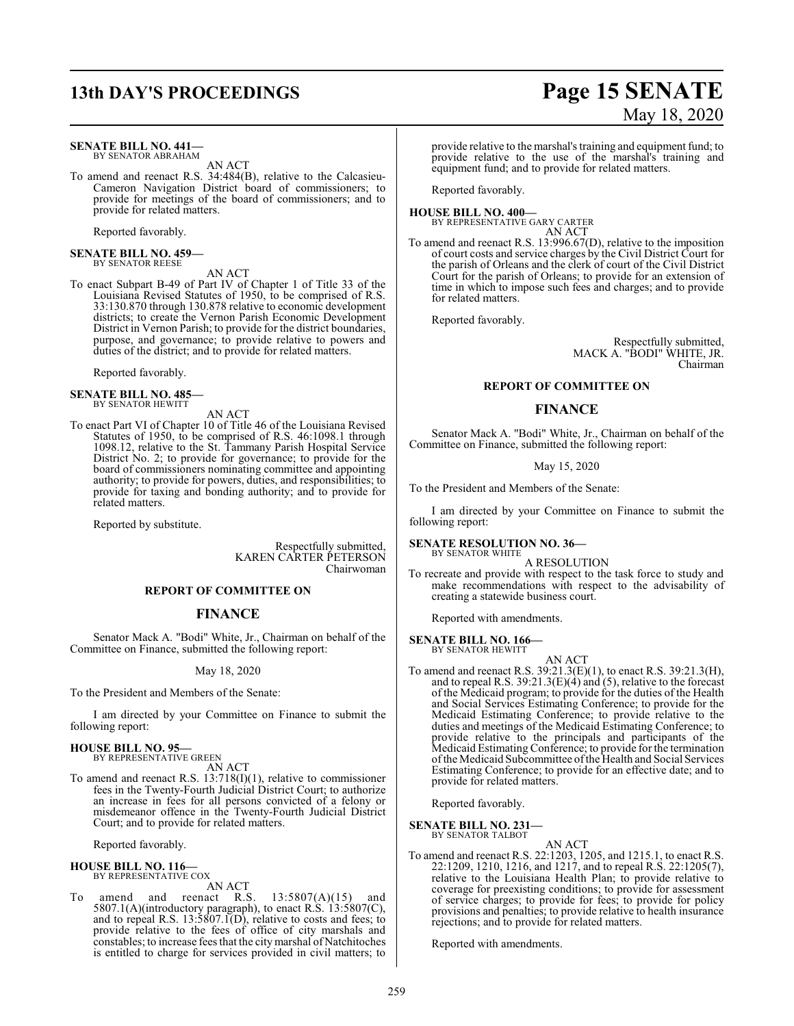#### **SENATE BILL NO. 441—** BY SENATOR ABRAHAM

AN ACT

To amend and reenact R.S. 34:484(B), relative to the Calcasieu-Cameron Navigation District board of commissioners; to provide for meetings of the board of commissioners; and to provide for related matters.

Reported favorably.

**SENATE BILL NO. 459—** BY SENATOR REESE

AN ACT

To enact Subpart B-49 of Part IV of Chapter 1 of Title 33 of the Louisiana Revised Statutes of 1950, to be comprised of R.S. 33:130.870 through 130.878 relative to economic development districts; to create the Vernon Parish Economic Development District in Vernon Parish; to provide for the district boundaries, purpose, and governance; to provide relative to powers and duties of the district; and to provide for related matters.

Reported favorably.

## **SENATE BILL NO. 485—** BY SENATOR HEWITT

AN ACT

To enact Part VI of Chapter 10 of Title 46 of the Louisiana Revised Statutes of 1950, to be comprised of R.S. 46:1098.1 through 1098.12, relative to the St. Tammany Parish Hospital Service District No. 2; to provide for governance; to provide for the board of commissioners nominating committee and appointing authority; to provide for powers, duties, and responsibilities; to provide for taxing and bonding authority; and to provide for related matters.

Reported by substitute.

Respectfully submitted, KAREN CARTER PETERSON Chairwoman

#### **REPORT OF COMMITTEE ON**

#### **FINANCE**

Senator Mack A. "Bodi" White, Jr., Chairman on behalf of the Committee on Finance, submitted the following report:

#### May 18, 2020

To the President and Members of the Senate:

I am directed by your Committee on Finance to submit the following report:

#### **HOUSE BILL NO. 95—**

BY REPRESENTATIVE GREEN

AN ACT To amend and reenact R.S. 13:718(I)(1), relative to commissioner fees in the Twenty-Fourth Judicial District Court; to authorize an increase in fees for all persons convicted of a felony or misdemeanor offence in the Twenty-Fourth Judicial District Court; and to provide for related matters.

Reported favorably.

**HOUSE BILL NO. 116—** BY REPRESENTATIVE COX

AN ACT<br>reenact R.S. To amend and reenact R.S. 13:5807(A)(15) and 5807.1(A)(introductory paragraph), to enact R.S. 13:5807(C), and to repeal R.S. 13:5807.1(D), relative to costs and fees; to provide relative to the fees of office of city marshals and constables; to increase fees that the citymarshal of Natchitoches is entitled to charge for services provided in civil matters; to

# **13th DAY'S PROCEEDINGS Page 15 SENATE** May 18, 2020

provide relative to the marshal's training and equipment fund; to provide relative to the use of the marshal's training and equipment fund; and to provide for related matters.

Reported favorably.

**HOUSE BILL NO. 400—** BY REPRESENTATIVE GARY CARTER

AN ACT

To amend and reenact R.S. 13:996.67(D), relative to the imposition of court costs and service charges by the Civil District Court for the parish of Orleans and the clerk of court of the Civil District Court for the parish of Orleans; to provide for an extension of time in which to impose such fees and charges; and to provide for related matters.

Reported favorably.

Respectfully submitted, MACK A. "BODI" WHITE, JR. Chairman

#### **REPORT OF COMMITTEE ON**

#### **FINANCE**

Senator Mack A. "Bodi" White, Jr., Chairman on behalf of the Committee on Finance, submitted the following report:

May 15, 2020

To the President and Members of the Senate:

I am directed by your Committee on Finance to submit the following report:

#### **SENATE RESOLUTION NO. 36—** BY SENATOR WHITE

A RESOLUTION

To recreate and provide with respect to the task force to study and make recommendations with respect to the advisability of creating a statewide business court.

Reported with amendments.

**SENATE BILL NO. 166—**

BY SENATOR HEWITT AN ACT

To amend and reenact R.S. 39:21.3(E)(1), to enact R.S. 39:21.3(H), and to repeal R.S.  $39:21.3(E)(4)$  and (5), relative to the forecast of the Medicaid program; to provide for the duties of the Health and Social Services Estimating Conference; to provide for the Medicaid Estimating Conference; to provide relative to the duties and meetings of the Medicaid Estimating Conference; to provide relative to the principals and participants of the Medicaid Estimating Conference; to provide for the termination ofthe Medicaid Subcommittee ofthe Health and Social Services Estimating Conference; to provide for an effective date; and to provide for related matters.

Reported favorably.

#### **SENATE BILL NO. 231—**

BY SENATOR TALBOT

AN ACT To amend and reenact R.S. 22:1203, 1205, and 1215.1, to enact R.S. 22:1209, 1210, 1216, and 1217, and to repeal R.S. 22:1205(7), relative to the Louisiana Health Plan; to provide relative to coverage for preexisting conditions; to provide for assessment of service charges; to provide for fees; to provide for policy provisions and penalties; to provide relative to health insurance rejections; and to provide for related matters.

Reported with amendments.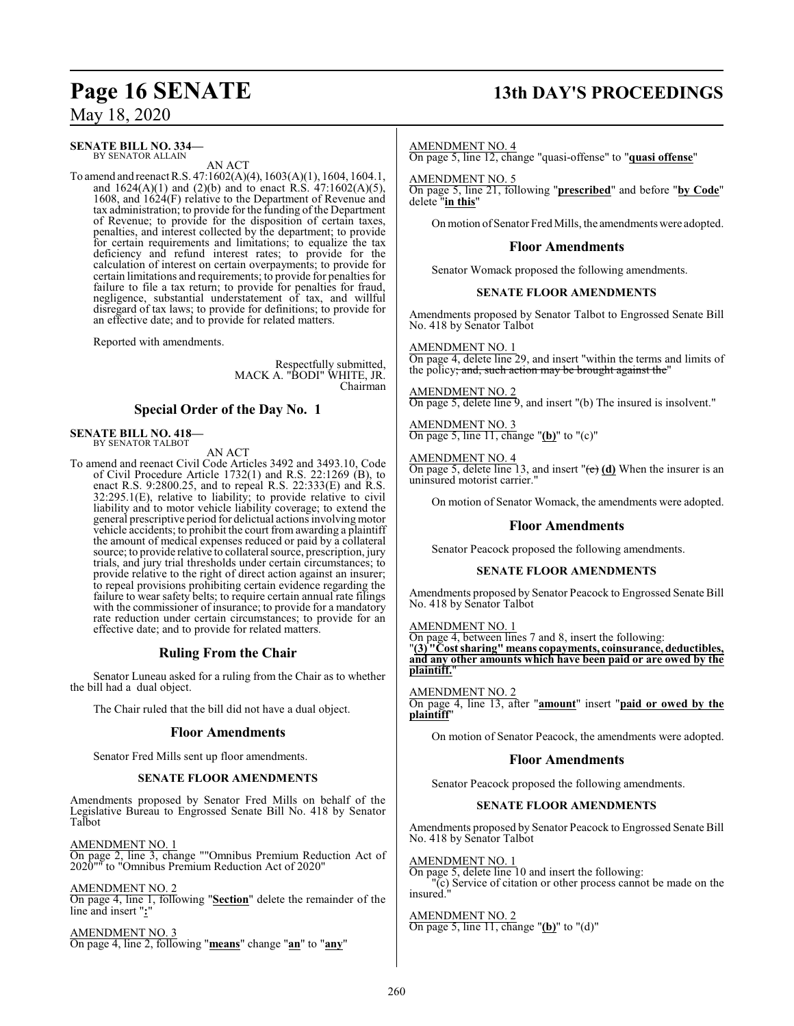# **Page 16 SENATE 13th DAY'S PROCEEDINGS**

## May 18, 2020

#### **SENATE BILL NO. 334—** BY SENATOR ALLAIN

AN ACT

To amend and reenact R.S. 47:1602(A)(4), 1603(A)(1), 1604, 1604.1, and  $1624(A)(1)$  and  $(2)(b)$  and to enact R.S.  $47:1602(A)(5)$ , 1608, and 1624(F) relative to the Department of Revenue and tax administration; to provide for the funding of the Department of Revenue; to provide for the disposition of certain taxes, penalties, and interest collected by the department; to provide for certain requirements and limitations; to equalize the tax deficiency and refund interest rates; to provide for the calculation of interest on certain overpayments; to provide for certain limitations and requirements; to provide for penalties for failure to file a tax return; to provide for penalties for fraud, negligence, substantial understatement of tax, and willful disregard of tax laws; to provide for definitions; to provide for an effective date; and to provide for related matters.

Reported with amendments.

Respectfully submitted, MACK A. "BODI" WHITE, JR. Chairman

## **Special Order of the Day No. 1**

#### **SENATE BILL NO. 418—** BY SENATOR TALBOT

AN ACT

To amend and reenact Civil Code Articles 3492 and 3493.10, Code of Civil Procedure Article 1732(1) and R.S. 22:1269 (B), to enact R.S. 9:2800.25, and to repeal R.S. 22:333(E) and R.S. 32:295.1(E), relative to liability; to provide relative to civil liability and to motor vehicle liability coverage; to extend the general prescriptive period for delictual actions involving motor vehicle accidents; to prohibit the court from awarding a plaintiff the amount of medical expenses reduced or paid by a collateral source; to provide relative to collateral source, prescription, jury trials, and jury trial thresholds under certain circumstances; to provide relative to the right of direct action against an insurer; to repeal provisions prohibiting certain evidence regarding the failure to wear safety belts; to require certain annual rate filings with the commissioner of insurance; to provide for a mandatory rate reduction under certain circumstances; to provide for an effective date; and to provide for related matters.

## **Ruling From the Chair**

Senator Luneau asked for a ruling from the Chair as to whether the bill had a dual object.

The Chair ruled that the bill did not have a dual object.

#### **Floor Amendments**

Senator Fred Mills sent up floor amendments.

#### **SENATE FLOOR AMENDMENTS**

Amendments proposed by Senator Fred Mills on behalf of the Legislative Bureau to Engrossed Senate Bill No. 418 by Senator Talbot

AMENDMENT NO. 1

On page 2, line 3, change ""Omnibus Premium Reduction Act of 2020"" to "Omnibus Premium Reduction Act of 2020"

AMENDMENT NO. 2

On page 4, line 1, following "**Section**" delete the remainder of the line and insert "**:**"

AMENDMENT NO. 3 On page 4, line 2, following "**means**" change "**an**" to "**any**"

#### AMENDMENT NO. 4

On page 5, line 12, change "quasi-offense" to "**quasi offense**"

AMENDMENT NO. 5

On page 5, line 21, following "**prescribed**" and before "**by Code**" delete "**in this**"

On motion of Senator Fred Mills, the amendments were adopted.

## **Floor Amendments**

Senator Womack proposed the following amendments.

#### **SENATE FLOOR AMENDMENTS**

Amendments proposed by Senator Talbot to Engrossed Senate Bill No. 418 by Senator Talbot

#### AMENDMENT NO. 1

On page 4, delete line 29, and insert "within the terms and limits of the policy; and, such action may be brought against the

#### AMENDMENT NO. 2

On page 5, delete line 9, and insert "(b) The insured is insolvent."

AMENDMENT NO. 3 On page 5, line 11, change "**(b)**" to "(c)"

#### AMENDMENT NO. 4

On page 5, delete line 13, and insert "(e) **(d)** When the insurer is an uninsured motorist carrier."

On motion of Senator Womack, the amendments were adopted.

#### **Floor Amendments**

Senator Peacock proposed the following amendments.

#### **SENATE FLOOR AMENDMENTS**

Amendments proposed by Senator Peacock to Engrossed Senate Bill No. 418 by Senator Talbot

#### AMENDMENT NO. 1

On page 4, between lines 7 and 8, insert the following: "**(3) "Cost sharing" means copayments, coinsurance, deductibles, and any other amounts which have been paid or are owed by the plaintiff.**"

AMENDMENT NO. 2 On page 4, line 13, after "**amount**" insert "**paid or owed by the plaintiff**"

On motion of Senator Peacock, the amendments were adopted.

## **Floor Amendments**

Senator Peacock proposed the following amendments.

#### **SENATE FLOOR AMENDMENTS**

Amendments proposed by Senator Peacock to Engrossed Senate Bill No. 418 by Senator Talbot

#### AMENDMENT NO. 1

On page 5, delete line 10 and insert the following: "(c) Service of citation or other process cannot be made on the insured."

AMENDMENT NO. 2 On page 5, line 11, change "**(b)**" to "(d)"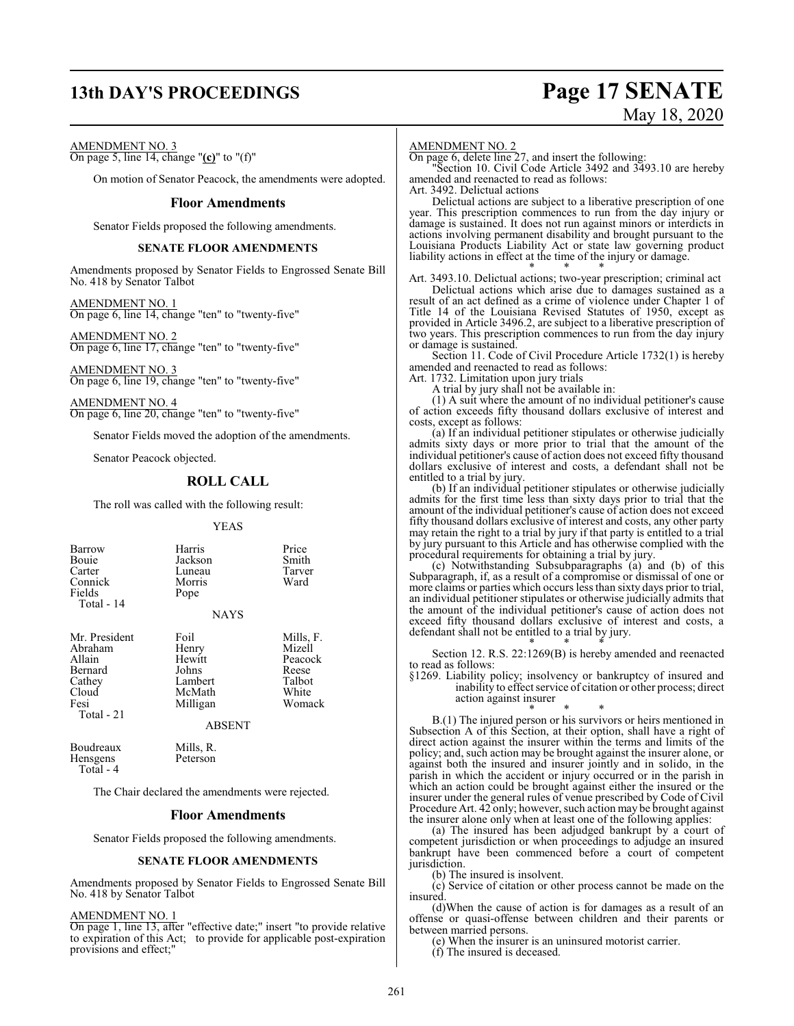## **13th DAY'S PROCEEDINGS Page 17 SENATE**

# May 18, 2020

AMENDMENT NO. 3

On page 5, line 14, change "**(c)**" to "(f)"

On motion of Senator Peacock, the amendments were adopted.

#### **Floor Amendments**

Senator Fields proposed the following amendments.

#### **SENATE FLOOR AMENDMENTS**

Amendments proposed by Senator Fields to Engrossed Senate Bill No. 418 by Senator Talbot

AMENDMENT NO. 1 On page 6, line 14, change "ten" to "twenty-five"

AMENDMENT NO. 2 On page 6, line 17, change "ten" to "twenty-five"

AMENDMENT NO. 3 On page 6, line 19, change "ten" to "twenty-five"

AMENDMENT NO. 4 On page 6, line 20, change "ten" to "twenty-five"

Senator Fields moved the adoption of the amendments.

Senator Peacock objected.

## **ROLL CALL**

The roll was called with the following result:

YEAS

| Barrow<br>Bouie<br>Carter<br>Connick<br>Fields<br>Total - 14                           | Harris<br>Jackson<br>Luneau<br>Morris<br>Pope<br><b>NAYS</b>                       | Price<br>Smith<br>Tarver<br>Ward                                     |
|----------------------------------------------------------------------------------------|------------------------------------------------------------------------------------|----------------------------------------------------------------------|
| Mr. President<br>Abraham<br>Allain<br>Bernard<br>Cathey<br>Cloud<br>Fesi<br>Total - 21 | Foil<br>Henry<br>Hewitt<br>Johns<br>Lambert<br>McMath<br>Milligan<br><b>ABSENT</b> | Mills, F.<br>Mizell<br>Peacock<br>Reese<br>Talbot<br>White<br>Womack |
| Boudreaux<br>Hensgens<br>Total - 4                                                     | Mills, R.<br>Peterson                                                              |                                                                      |

The Chair declared the amendments were rejected.

#### **Floor Amendments**

Senator Fields proposed the following amendments.

#### **SENATE FLOOR AMENDMENTS**

Amendments proposed by Senator Fields to Engrossed Senate Bill No. 418 by Senator Talbot

AMENDMENT NO. 1

On page 1, line 13, after "effective date;" insert "to provide relative to expiration of this Act; to provide for applicable post-expiration provisions and effect;"

#### AMENDMENT NO. 2

On page 6, delete line 27, and insert the following:

"Section 10. Civil Code Article 3492 and 3493.10 are hereby amended and reenacted to read as follows:

Art. 3492. Delictual actions

Delictual actions are subject to a liberative prescription of one year. This prescription commences to run from the day injury or damage is sustained. It does not run against minors or interdicts in actions involving permanent disability and brought pursuant to the Louisiana Products Liability Act or state law governing product liability actions in effect at the time of the injury or damage. \* \* \*

Art. 3493.10. Delictual actions; two-year prescription; criminal act

Delictual actions which arise due to damages sustained as a result of an act defined as a crime of violence under Chapter 1 of Title 14 of the Louisiana Revised Statutes of 1950, except as provided in Article 3496.2, are subject to a liberative prescription of two years. This prescription commences to run from the day injury or damage is sustained.

Section 11. Code of Civil Procedure Article 1732(1) is hereby amended and reenacted to read as follows:

Art. 1732. Limitation upon jury trials

A trial by jury shall not be available in:

(1) A suit where the amount of no individual petitioner's cause of action exceeds fifty thousand dollars exclusive of interest and costs, except as follows:

(a) If an individual petitioner stipulates or otherwise judicially admits sixty days or more prior to trial that the amount of the individual petitioner's cause of action does not exceed fifty thousand dollars exclusive of interest and costs, a defendant shall not be entitled to a trial by jury.

(b) If an individual petitioner stipulates or otherwise judicially admits for the first time less than sixty days prior to trial that the amount of the individual petitioner's cause of action does not exceed fifty thousand dollars exclusive of interest and costs, any other party may retain the right to a trial by jury if that party is entitled to a trial by jury pursuant to this Article and has otherwise complied with the procedural requirements for obtaining a trial by jury.

(c) Notwithstanding Subsubparagraphs (a) and (b) of this Subparagraph, if, as a result of a compromise or dismissal of one or more claims or parties which occurs less than sixty days prior to trial, an individual petitioner stipulates or otherwise judicially admits that the amount of the individual petitioner's cause of action does not exceed fifty thousand dollars exclusive of interest and costs, a defendant shall not be entitled to a trial by jury.

\* \* \* Section 12. R.S. 22:1269(B) is hereby amended and reenacted to read as follows:

§1269. Liability policy; insolvency or bankruptcy of insured and inability to effect service of citation or other process; direct action against insurer

\* \* \* B.(1) The injured person or his survivors or heirs mentioned in Subsection A of this Section, at their option, shall have a right of direct action against the insurer within the terms and limits of the policy; and, such action may be brought against the insurer alone, or against both the insured and insurer jointly and in solido, in the parish in which the accident or injury occurred or in the parish in which an action could be brought against either the insured or the insurer under the general rules of venue prescribed by Code of Civil

Procedure Art. 42 only; however, such action may be brought against the insurer alone only when at least one of the following applies: (a) The insured has been adjudged bankrupt by a court of competent jurisdiction or when proceedings to adjudge an insured

bankrupt have been commenced before a court of competent jurisdiction.

(b) The insured is insolvent.

(c) Service of citation or other process cannot be made on the insured.

(d)When the cause of action is for damages as a result of an offense or quasi-offense between children and their parents or between married persons.

(e) When the insurer is an uninsured motorist carrier.

(f) The insured is deceased.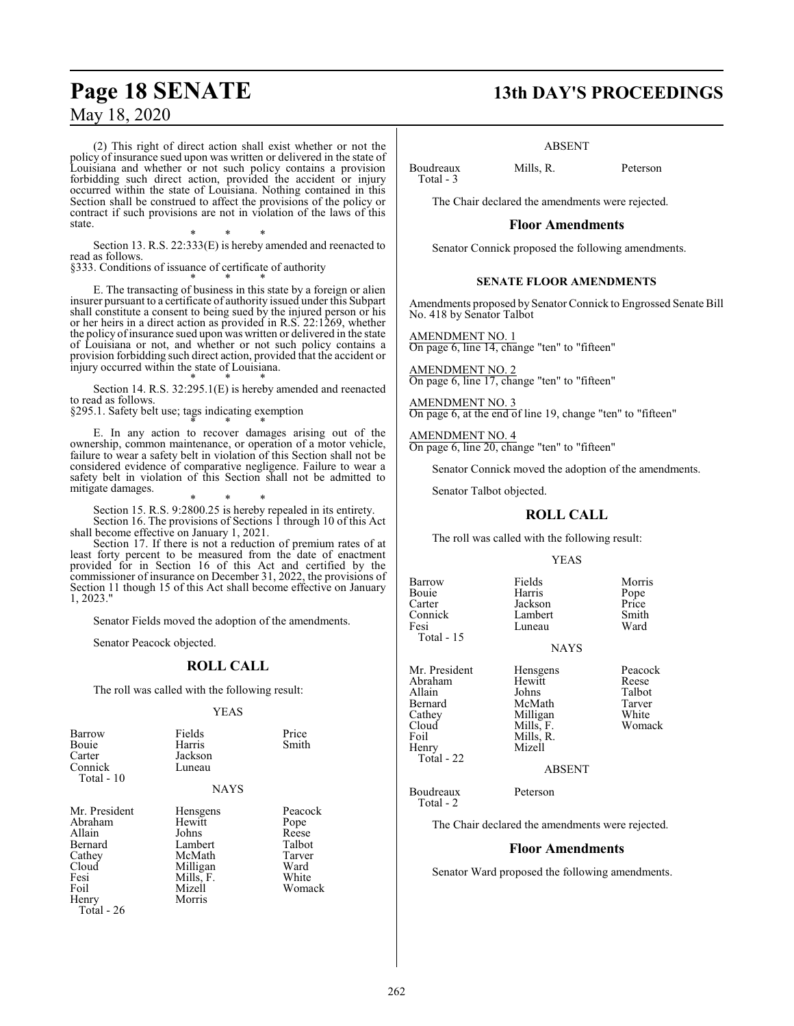(2) This right of direct action shall exist whether or not the policy of insurance sued upon was written or delivered in the state of Louisiana and whether or not such policy contains a provision forbidding such direct action, provided the accident or injury occurred within the state of Louisiana. Nothing contained in this Section shall be construed to affect the provisions of the policy or contract if such provisions are not in violation of the laws of this state.

\* \* \* Section 13. R.S. 22:333(E) is hereby amended and reenacted to read as follows.

§333. Conditions of issuance of certificate of authority

\* \* \* E. The transacting of business in this state by a foreign or alien insurer pursuant to a certificate of authority issued under this Subpart shall constitute a consent to being sued by the injured person or his or her heirs in a direct action as provided in R.S. 22:1269, whether the policy of insurance sued upon was written or delivered in the state of Louisiana or not, and whether or not such policy contains a provision forbidding such direct action, provided that the accident or injury occurred within the state of Louisiana.

\* \* \* Section 14. R.S. 32:295.1(E) is hereby amended and reenacted to read as follows.

§295.1. Safety belt use; tags indicating exemption

\* \* \* E. In any action to recover damages arising out of the ownership, common maintenance, or operation of a motor vehicle, failure to wear a safety belt in violation of this Section shall not be considered evidence of comparative negligence. Failure to wear a safety belt in violation of this Section shall not be admitted to mitigate damages.

\* \* \* Section 15. R.S. 9:2800.25 is hereby repealed in its entirety. Section 16. The provisions of Sections 1 through 10 of this Act shall become effective on January 1, 2021.

Section 17. If there is not a reduction of premium rates of at least forty percent to be measured from the date of enactment provided for in Section 16 of this Act and certified by the commissioner of insurance on December 31, 2022, the provisions of Section 11 though 15 of this Act shall become effective on January 1, 2023."

Senator Fields moved the adoption of the amendments.

Senator Peacock objected.

#### **ROLL CALL**

The roll was called with the following result:

#### YEAS

| Barrow<br>Bouie<br>Carter<br>Connick<br>Total - $10$                                                           | Fields<br>Harris<br>Jackson<br>Luneau<br><b>NAYS</b>                                          | Price<br>Smith                                                          |
|----------------------------------------------------------------------------------------------------------------|-----------------------------------------------------------------------------------------------|-------------------------------------------------------------------------|
| Mr. President<br>Abraham<br>Allain<br>Bernard<br>Cathey<br>Cloud<br>Fesi<br>Foil<br>Henry<br><b>Total - 26</b> | Hensgens<br>Hewitt<br>Johns<br>Lambert<br>McMath<br>Milligan<br>Mills, F.<br>Mizell<br>Morris | Peacock<br>Pope<br>Reese<br>Talbot<br>Tarver<br>Ward<br>White<br>Womack |

## **Page 18 SENATE 13th DAY'S PROCEEDINGS**

#### ABSENT

Boudreaux Mills, R. Peterson Total - 3

The Chair declared the amendments were rejected.

#### **Floor Amendments**

Senator Connick proposed the following amendments.

#### **SENATE FLOOR AMENDMENTS**

Amendments proposed by Senator Connick to Engrossed Senate Bill No. 418 by Senator Talbot

AMENDMENT NO. 1 On page 6, line 14, change "ten" to "fifteen"

AMENDMENT NO. 2 On page 6, line 17, change "ten" to "fifteen"

AMENDMENT NO. 3 On page 6, at the end of line 19, change "ten" to "fifteen"

AMENDMENT NO. 4 On page 6, line 20, change "ten" to "fifteen"

Senator Connick moved the adoption of the amendments.

Senator Talbot objected.

## **ROLL CALL**

The roll was called with the following result:

Luneau

#### YEAS

Barrow Fields Morris<br>
Bouie Harris Pope Bouie Harris Pope Carter Jackson Price Connick Lambert Smith Total - 15

**NAYS** 

Mr. President Hensgens Peacock<br>Abraham Hewitt Reese Abraham Hewit<br>Allain Johns Allain Johns Talbot Bernard McMath Tarver<br>Cathey Milligan White Cathey Milligan White<br>Cloud Mills, F. Womack Foil Mills, R.<br>Henry Mizell Henry Total - 22

Total - 2

ABSENT

Boudreaux Peterson

Mills, F.

The Chair declared the amendments were rejected.

#### **Floor Amendments**

Senator Ward proposed the following amendments.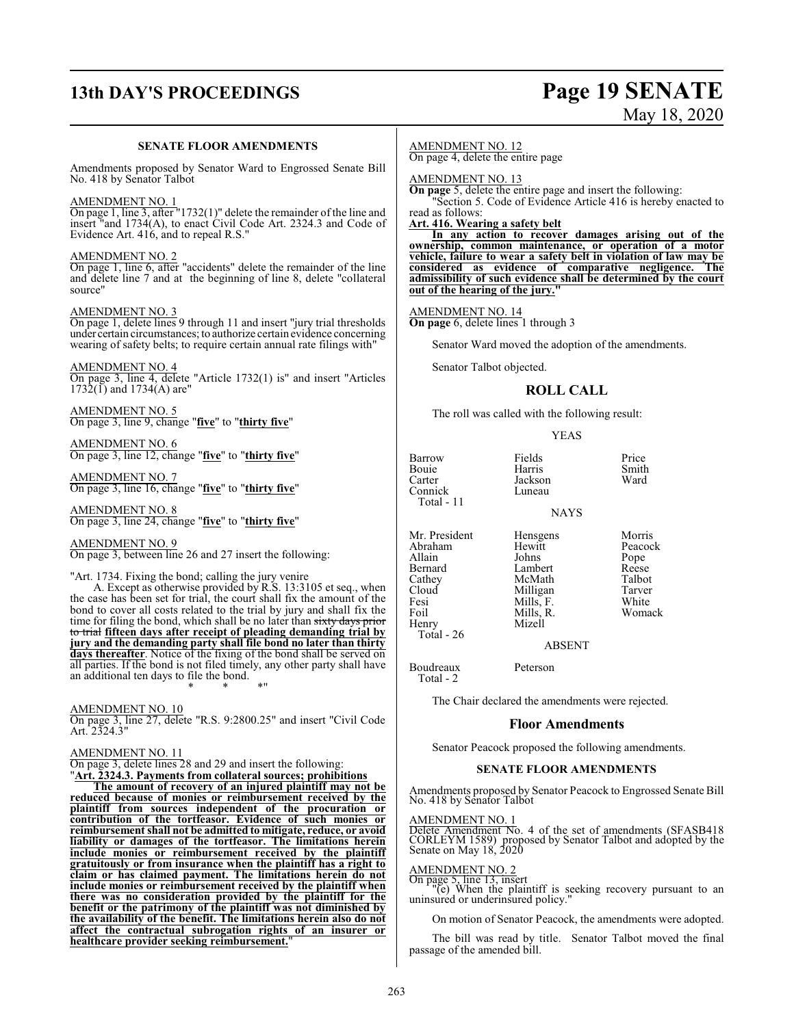# **13th DAY'S PROCEEDINGS Page 19 SENATE**

# May 18, 2020

#### **SENATE FLOOR AMENDMENTS**

Amendments proposed by Senator Ward to Engrossed Senate Bill No. 418 by Senator Talbot

#### AMENDMENT NO. 1

On page 1, line 3, after "1732(1)" delete the remainder of the line and insert "and 1734(A), to enact Civil Code Art. 2324.3 and Code of Evidence Art. 416, and to repeal R.S."

#### AMENDMENT NO. 2

On page 1, line 6, after "accidents" delete the remainder of the line and delete line 7 and at the beginning of line 8, delete "collateral source"

#### AMENDMENT NO. 3

On page 1, delete lines 9 through 11 and insert "jury trial thresholds under certain circumstances; to authorize certain evidence concerning wearing of safety belts; to require certain annual rate filings with"

#### AMENDMENT NO. 4

On page 3, line 4, delete "Article 1732(1) is" and insert "Articles  $1732(1)$  and  $1734(A)$  are"

AMENDMENT NO. 5 On page 3, line 9, change "**five**" to "**thirty five**"

AMENDMENT NO. 6 On page 3, line 12, change "**five**" to "**thirty five**"

AMENDMENT NO. 7 On page 3, line 16, change "**five**" to "**thirty five**"

AMENDMENT NO. 8 On page 3, line 24, change "**five**" to "**thirty five**"

#### AMENDMENT NO. 9

On page 3, between line 26 and 27 insert the following:

#### "Art. 1734. Fixing the bond; calling the jury venire

A. Except as otherwise provided by R.S. 13:3105 et seq., when the case has been set for trial, the court shall fix the amount of the bond to cover all costs related to the trial by jury and shall fix the time for filing the bond, which shall be no later than sixty days prior to trial **fifteen days after receipt of pleading demanding trial by jury and the demanding party shall file bond no later than thirty days thereafter**. Notice of the fixing of the bond shall be served on all parties. If the bond is not filed timely, any other party shall have an additional ten days to file the bond. \* \* \*"

AMENDMENT NO. 10

On page 3, line 27, delete "R.S. 9:2800.25" and insert "Civil Code Art. 2324.3"

#### AMENDMENT NO. 11

On page 3, delete lines 28 and 29 and insert the following:

"**Art. 2324.3. Payments from collateral sources; prohibitions**

**The amount of recovery of an injured plaintiff may not be reduced because of monies or reimbursement received by the plaintiff from sources independent of the procuration or contribution of the tortfeasor. Evidence of such monies or reimbursement shall not be admitted to mitigate, reduce, or avoid liability or damages of the tortfeasor. The limitations herein include monies or reimbursement received by the plaintiff gratuitously or from insurance when the plaintiff has a right to claim or has claimed payment. The limitations herein do not include monies or reimbursement received by the plaintiff when there was no consideration provided by the plaintiff for the benefit or the patrimony of the plaintiff was not diminished by the availability of the benefit. The limitations herein also do not affect the contractual subrogation rights of an insurer or healthcare provider seeking reimbursement.**"

#### AMENDMENT NO. 12

On page 4, delete the entire page

AMENDMENT NO. 13

**On page** 5, delete the entire page and insert the following: "Section 5. Code of Evidence Article 416 is hereby enacted to

read as follows:

**Art. 416. Wearing a safety belt**

**In any action to recover damages arising out of the ownership, common maintenance, or operation of a motor vehicle, failure to wear a safety belt in violation of law may be considered as evidence of comparative negligence. The admissibility of such evidence shall be determined by the court out of the hearing of the jury."**

#### AMENDMENT NO. 14

**On page** 6, delete lines 1 through 3

Senator Ward moved the adoption of the amendments.

Senator Talbot objected.

## **ROLL CALL**

The roll was called with the following result:

#### YEAS

Barrow Fields Price<br>
Bouie Harris Smith Bouie Harris Smith Carter Jackson Ward Connick Total - 11

NAYS

Mr. President Hensgens Morris<br>Abraham Hewitt Peacock Abraham Hewitt Peaco<br>
Allain Johns Pope Allain Johns Pope<br>
Bernard Lambert Reese Bernard Lambert Reese Cathey McMath Talbot<br>Cloud Milligan Tarver Cloud Milligan Tarver<br>
Fesi Mills, F. White Fesi Mills, F.<br>Foil Mills, R. Henry

 $Total - 26$ 

Mills, R. Womack<br>Mizell

ABSENT

Boudreaux Peterson Total - 2

The Chair declared the amendments were rejected.

## **Floor Amendments**

Senator Peacock proposed the following amendments.

#### **SENATE FLOOR AMENDMENTS**

Amendments proposed by Senator Peacock to Engrossed Senate Bill No. 418 by Senator Talbot

#### AMENDMENT NO. 1

Delete Amendment No. 4 of the set of amendments (SFASB418 CORLEYM 1589) proposed by Senator Talbot and adopted by the Senate on May 18, 2020

AMENDMENT NO. 2<br>
On page 5, line 13, insert<br>
"(e) When the plaintiff is seeking recovery pursuant to an<br>
uninsured or underinsured policy."

On motion of Senator Peacock, the amendments were adopted.

The bill was read by title. Senator Talbot moved the final passage of the amended bill.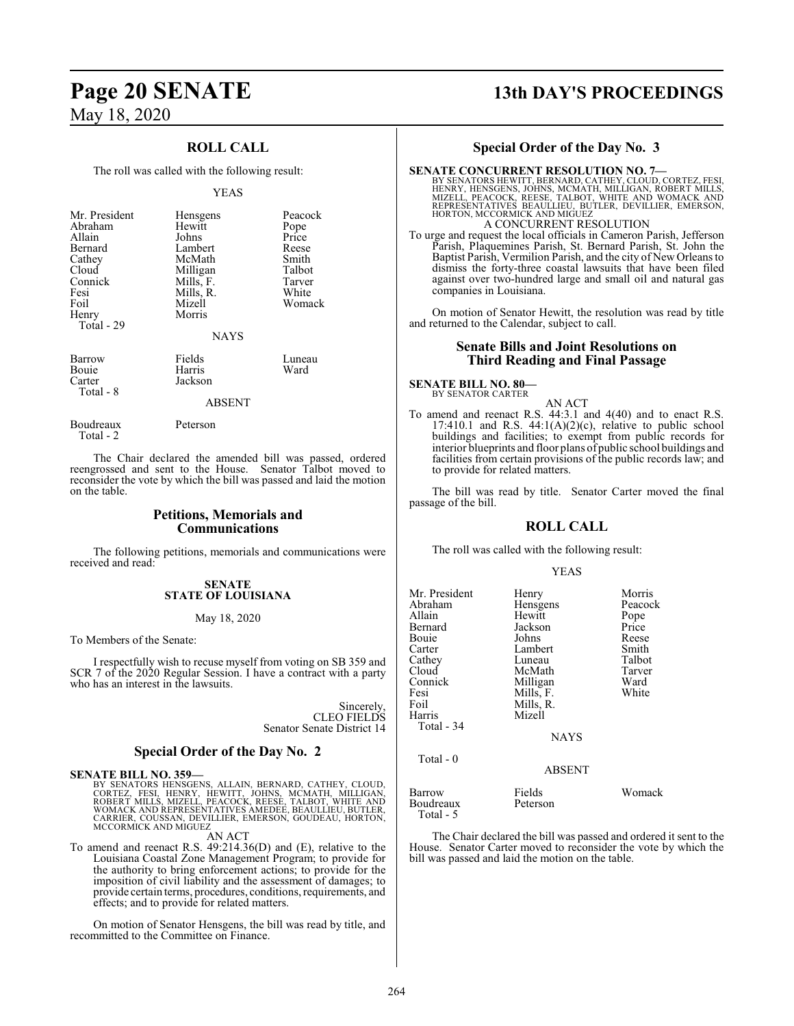## **ROLL CALL**

The roll was called with the following result:

#### YEAS

| Mr. President<br>Abraham<br>Allain<br>Bernard<br>Cathey<br>Cloud<br>Connick<br>Fesi<br>Foil | Hensgens<br>Hewitt<br>Johns<br>Lambert<br>McMath<br>Milligan<br>Mills, F.<br>Mills, R.<br>Mizell | Peacock<br>Pope<br>Price<br>Reese<br>Smith<br>Talbot<br>Tarver<br>White<br>Womack |
|---------------------------------------------------------------------------------------------|--------------------------------------------------------------------------------------------------|-----------------------------------------------------------------------------------|
| Henry<br>Total - 29                                                                         | Morris<br><b>NAYS</b>                                                                            |                                                                                   |
| Barrow<br>Bouie<br>Carter<br>Total - 8                                                      | Fields<br>Harris<br>Jackson                                                                      | Luneau<br>Ward                                                                    |

#### ABSENT

Total - 2

Boudreaux Peterson

The Chair declared the amended bill was passed, ordered reengrossed and sent to the House. Senator Talbot moved to reconsider the vote by which the bill was passed and laid the motion on the table.

#### **Petitions, Memorials and Communications**

The following petitions, memorials and communications were received and read:

#### **SENATE STATE OF LOUISIANA**

May 18, 2020

To Members of the Senate:

I respectfully wish to recuse myself from voting on SB 359 and SCR 7 of the 2020 Regular Session. I have a contract with a party who has an interest in the lawsuits.

> Sincerely, CLEO FIELDS Senator Senate District 14

#### **Special Order of the Day No. 2**

**SENATE BILL NO. 359—**

BY SENATORS HENSGENS, ALLAIN, BERNARD, CATHEY, CLOUD,<br>CORTEZ, FESI, HENRY, HEWITT, JOHNS, MCMATH, MILLIGAN,<br>ROBERT MILLS, MIZELL, PEACOCK, REESE, TALBOT, WHITE AND<br>WOMACK AND REPRESENTATIVES AMEDEE, BEAULLIEU, BUTLER,<br>CARR MCCORMICK AND MIGUEZ

AN ACT

To amend and reenact R.S. 49:214.36(D) and (E), relative to the Louisiana Coastal Zone Management Program; to provide for the authority to bring enforcement actions; to provide for the imposition of civil liability and the assessment of damages; to provide certain terms, procedures, conditions, requirements, and effects; and to provide for related matters.

On motion of Senator Hensgens, the bill was read by title, and recommitted to the Committee on Finance.

# **Page 20 SENATE 13th DAY'S PROCEEDINGS**

## **Special Order of the Day No. 3**

SENATE CONCURRENT RESOLUTION NO. 7—<br>
BY SENATORS HEWITT, BERNARD, CATHEY, CLOUD, CORTEZ, FESI,<br>
HENRY, HENSGENS, JOHNS, MCMATH, MILLIGAN, ROBERT MILLS,<br>
MIZELL, PEACOCK, REESE, TALBOT, WHITE AND WOMACK AND<br>
REPRESENTATIVES A CONCURRENT RESOLUTION

To urge and request the local officials in Cameron Parish, Jefferson Parish, Plaquemines Parish, St. Bernard Parish, St. John the Baptist Parish, Vermilion Parish, and the city of New Orleans to dismiss the forty-three coastal lawsuits that have been filed against over two-hundred large and small oil and natural gas companies in Louisiana.

On motion of Senator Hewitt, the resolution was read by title and returned to the Calendar, subject to call.

#### **Senate Bills and Joint Resolutions on Third Reading and Final Passage**

## **SENATE BILL NO. 80—** BY SENATOR CARTER

AN ACT

To amend and reenact R.S. 44:3.1 and 4(40) and to enact R.S.  $17:410.1$  and R.S.  $44:1(A)(2)(c)$ , relative to public school buildings and facilities; to exempt from public records for interior blueprints and floor plans of public school buildings and facilities from certain provisions of the public records law; and to provide for related matters.

The bill was read by title. Senator Carter moved the final passage of the bill.

#### **ROLL CALL**

The roll was called with the following result:

#### YEAS

| Mr. President<br>Abraham<br>Allain<br>Bernard<br>Bouie<br>Carter<br>Cathey<br>Cloud<br>Connick<br>Fesi<br>Foil<br>Harris<br>Total - 34 | Henry<br>Hensgens<br>Hewitt<br>Jackson<br>Johns<br>Lambert<br>Luneau<br>McMath<br>Milligan<br>Mills, F.<br>Mills, R.<br>Mizell<br><b>NAYS</b> | Morris<br>Peacock<br>Pope<br>Price<br>Reese<br>Smith<br>Talbot<br>Tarver<br>Ward<br>White |
|----------------------------------------------------------------------------------------------------------------------------------------|-----------------------------------------------------------------------------------------------------------------------------------------------|-------------------------------------------------------------------------------------------|
| Total - 0                                                                                                                              | <b>ABSENT</b>                                                                                                                                 |                                                                                           |
| Barrow<br>Boudreaux<br>Total - 5                                                                                                       | Fields<br>Peterson                                                                                                                            | Womack                                                                                    |

The Chair declared the bill was passed and ordered it sent to the House. Senator Carter moved to reconsider the vote by which the bill was passed and laid the motion on the table.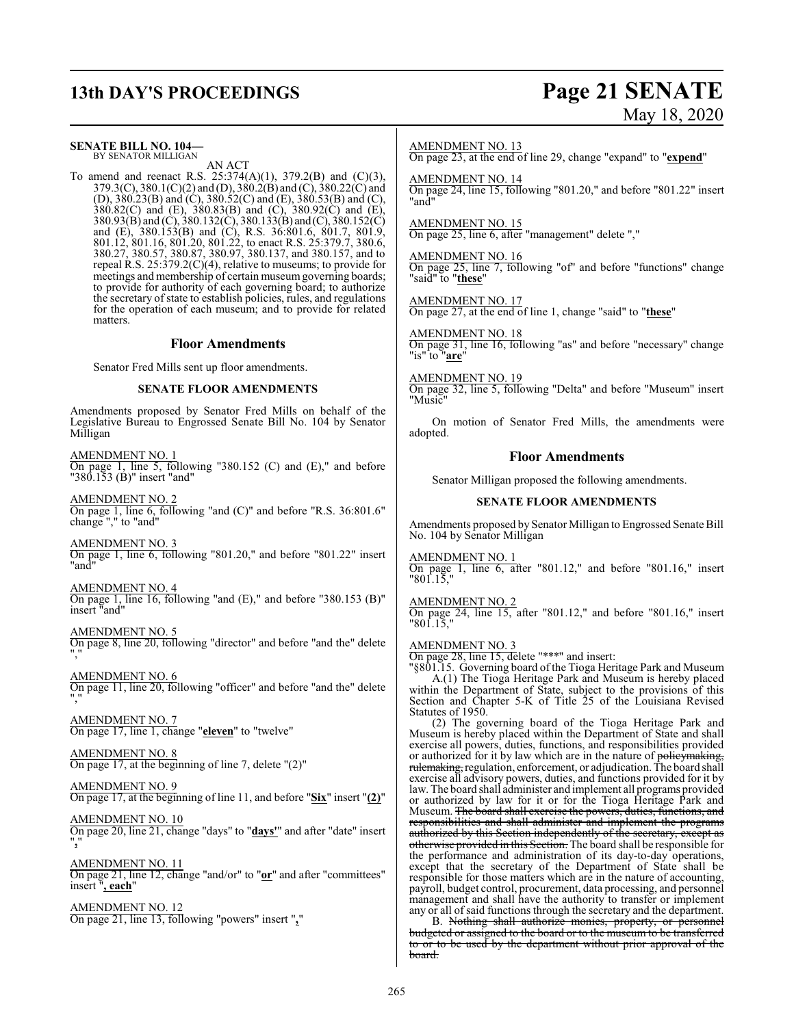# **13th DAY'S PROCEEDINGS Page 21 SENATE**

# May 18, 2020

## **SENATE BILL NO. 104—**

BY SENATOR MILLIGAN AN ACT

To amend and reenact R.S. 25:374(A)(1), 379.2(B) and (C)(3), 379.3(C), 380.1(C)(2) and (D), 380.2(B) and (C), 380.22(C) and (D), 380.23(B) and (C), 380.52(C) and (E), 380.53(B) and (C), 380.82(C) and (E), 380.83(B) and (C), 380.92(C) and (E), 380.93(B) and (C), 380.132(C), 380.133(B) and (C), 380.152(C) and (E), 380.153(B) and (C), R.S. 36:801.6, 801.7, 801.9, 801.12, 801.16, 801.20, 801.22, to enact R.S. 25:379.7, 380.6, 380.27, 380.57, 380.87, 380.97, 380.137, and 380.157, and to repeal R.S. 25:379.2(C)(4), relative to museums; to provide for meetings and membership of certain museum governing boards; to provide for authority of each governing board; to authorize the secretary of state to establish policies, rules, and regulations for the operation of each museum; and to provide for related matters.

#### **Floor Amendments**

Senator Fred Mills sent up floor amendments.

#### **SENATE FLOOR AMENDMENTS**

Amendments proposed by Senator Fred Mills on behalf of the Legislative Bureau to Engrossed Senate Bill No. 104 by Senator Milligan

AMENDMENT NO. 1 On page 1, line 5, following "380.152 (C) and (E)," and before "380.153 (B)" insert "and"

AMENDMENT NO. 2 On page 1, line 6, following "and (C)" and before "R.S. 36:801.6" change "," to "and"

AMENDMENT NO. 3 On page 1, line 6, following "801.20," and before "801.22" insert "and"

AMENDMENT NO. 4 On page 1, line 16, following "and (E)," and before "380.153 (B)" insert "and"

AMENDMENT NO. 5 On page 8, line 20, following "director" and before "and the" delete ","

AMENDMENT NO. 6 On page 11, line 20, following "officer" and before "and the" delete ","

AMENDMENT NO. 7 On page 17, line 1, change "**eleven**" to "twelve"

AMENDMENT NO. 8 On page 17, at the beginning of line 7, delete "(2)"

AMENDMENT NO. 9 On page 17, at the beginning of line 11, and before "**Six**" insert "**(2)**"

AMENDMENT NO. 10 On page 20, line 21, change "days" to "**days'**" and after "date" insert "**,**"

AMENDMENT NO. 11 On page 21, line 12, change "and/or" to "**or**" and after "committees" insert "**, each**"

AMENDMENT NO. 12 On page 21, line 13, following "powers" insert "**,**"

#### AMENDMENT NO. 13

On page 23, at the end of line 29, change "expand" to "**expend**"

#### AMENDMENT NO. 14

On page 24, line 15, following "801.20," and before "801.22" insert "and"

#### AMENDMENT NO. 15

On page 25, line 6, after "management" delete ","

### AMENDMENT NO. 16

On page 25, line 7, following "of" and before "functions" change "said" to "**these**"

## AMENDMENT NO. 17

On page 27, at the end of line 1, change "said" to "**these**"

#### AMENDMENT NO. 18

On page 31, line 16, following "as" and before "necessary" change "is" to "**are**"

#### AMENDMENT NO. 19

On page 32, line 5, following "Delta" and before "Museum" insert "Music"

On motion of Senator Fred Mills, the amendments were adopted.

#### **Floor Amendments**

Senator Milligan proposed the following amendments.

#### **SENATE FLOOR AMENDMENTS**

Amendments proposed by Senator Milligan to Engrossed Senate Bill No. 104 by Senator Milligan

#### AMENDMENT NO. 1

On page 1, line 6, after "801.12," and before "801.16," insert "801.15,"

#### AMENDMENT NO. 2

On page 24, line 15, after "801.12," and before "801.16," insert "801.15,"

#### AMENDMENT NO. 3

On page 28, line 15, delete "\*\*\*" and insert:

"§801.15. Governing board of the Tioga Heritage Park and Museum A.(1) The Tioga Heritage Park and Museum is hereby placed within the Department of State, subject to the provisions of this Section and Chapter 5-K of Title 25 of the Louisiana Revised Statutes of 1950.

(2) The governing board of the Tioga Heritage Park and Museum is hereby placed within the Department of State and shall exercise all powers, duties, functions, and responsibilities provided or authorized for it by law which are in the nature of policymaking, rulemaking, regulation, enforcement, or adjudication. The board shall exercise all advisory powers, duties, and functions provided for it by law. The board shall administer and implement all programs provided or authorized by law for it or for the Tioga Heritage Park and Museum. <del>The board shall exercise the powers, duties, functions, and</del> responsibilities and shall administer and implement the programs authorized by this Section independently of the secretary, exce otherwise provided in this Section. The board shall be responsible for the performance and administration of its day-to-day operations, except that the secretary of the Department of State shall be responsible for those matters which are in the nature of accounting, payroll, budget control, procurement, data processing, and personnel management and shall have the authority to transfer or implement any or all of said functions through the secretary and the department.

B. Nothing shall authorize monies, property, or personnel budgeted or assigned to the board or to the museum to be transferred to or to be used by the department without prior approval of the board.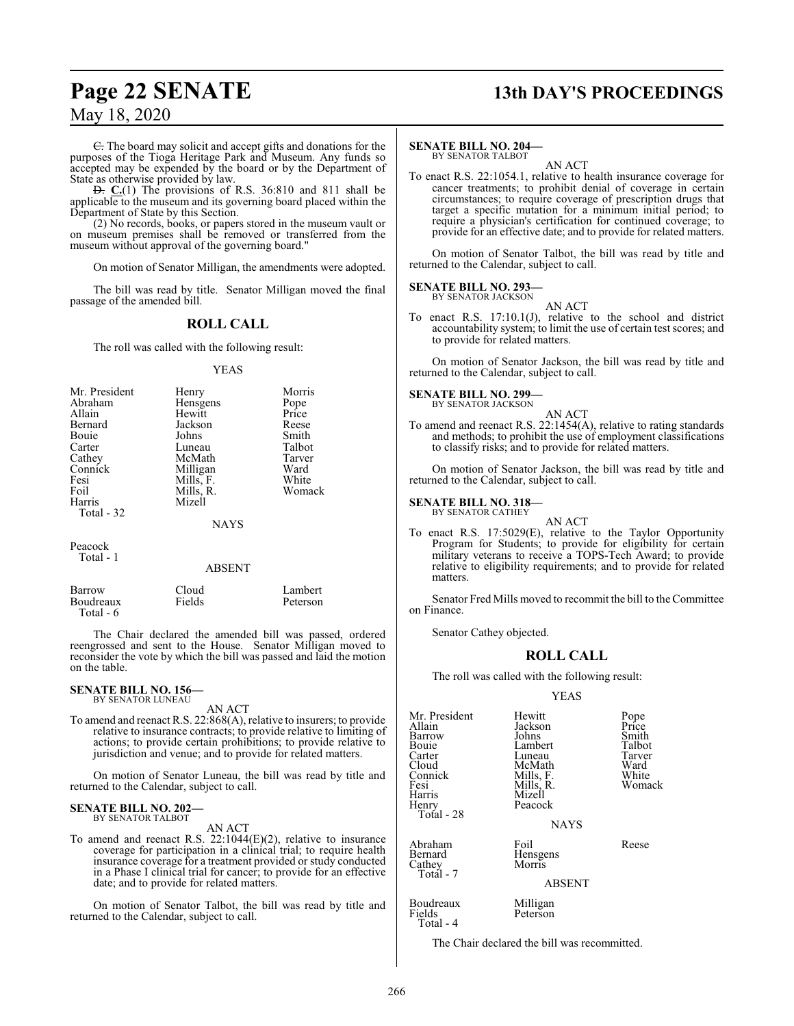C. The board may solicit and accept gifts and donations for the purposes of the Tioga Heritage Park and Museum. Any funds so accepted may be expended by the board or by the Department of State as otherwise provided by law.

D. **C.**(1) The provisions of R.S. 36:810 and 811 shall be applicable to the museum and its governing board placed within the Department of State by this Section.

(2) No records, books, or papers stored in the museum vault or on museum premises shall be removed or transferred from the museum without approval of the governing board."

On motion of Senator Milligan, the amendments were adopted.

The bill was read by title. Senator Milligan moved the final passage of the amended bill.

### **ROLL CALL**

The roll was called with the following result:

#### YEAS

| Mr. President | Henry       | Morris |
|---------------|-------------|--------|
| Abraham       | Hensgens    | Pope   |
| Allain        | Hewitt      | Price  |
| Bernard       | Jackson     | Reese  |
| Bouie         | Johns       | Smith  |
| Carter        | Luneau      | Talbot |
| Cathey        | McMath      | Tarver |
| Connick       | Milligan    | Ward   |
| Fesi          | Mills, F.   | White  |
| Foil          | Mills, R.   | Womack |
| Harris        | Mizell      |        |
| Total - 32    |             |        |
|               | <b>NAYS</b> |        |
| Peacock       |             |        |

#### ABSENT

| Barrow    | Cloud  | Lambert  |
|-----------|--------|----------|
| Boudreaux | Fields | Peterson |
| Total - 6 |        |          |

The Chair declared the amended bill was passed, ordered reengrossed and sent to the House. Senator Milligan moved to reconsider the vote by which the bill was passed and laid the motion on the table.

#### **SENATE BILL NO. 156—** BY SENATOR LUNEAU

Total - 1

AN ACT

To amend and reenact R.S. 22:868(A), relative to insurers; to provide relative to insurance contracts; to provide relative to limiting of actions; to provide certain prohibitions; to provide relative to jurisdiction and venue; and to provide for related matters.

On motion of Senator Luneau, the bill was read by title and returned to the Calendar, subject to call.

## **SENATE BILL NO. 202—** BY SENATOR TALBOT

AN ACT

To amend and reenact R.S. 22:1044(E)(2), relative to insurance coverage for participation in a clinical trial; to require health insurance coverage for a treatment provided or study conducted in a Phase I clinical trial for cancer; to provide for an effective date; and to provide for related matters.

On motion of Senator Talbot, the bill was read by title and returned to the Calendar, subject to call.

# **Page 22 SENATE 13th DAY'S PROCEEDINGS**

#### **SENATE BILL NO. 204—**

BY SENATOR TALBOT AN ACT

To enact R.S. 22:1054.1, relative to health insurance coverage for cancer treatments; to prohibit denial of coverage in certain circumstances; to require coverage of prescription drugs that target a specific mutation for a minimum initial period; to require a physician's certification for continued coverage; to provide for an effective date; and to provide for related matters.

On motion of Senator Talbot, the bill was read by title and returned to the Calendar, subject to call.

#### **SENATE BILL NO. 293** BY SENATOR JACKSON

AN ACT

To enact R.S. 17:10.1(J), relative to the school and district accountability system; to limit the use of certain test scores; and to provide for related matters.

On motion of Senator Jackson, the bill was read by title and returned to the Calendar, subject to call.

## **SENATE BILL NO. 299—** BY SENATOR JACKSON

AN ACT To amend and reenact R.S. 22:1454(A), relative to rating standards and methods; to prohibit the use of employment classifications to classify risks; and to provide for related matters.

On motion of Senator Jackson, the bill was read by title and returned to the Calendar, subject to call.

#### **SENATE BILL NO. 318—**

BY SENATOR CATHEY

AN ACT To enact R.S. 17:5029(E), relative to the Taylor Opportunity Program for Students; to provide for eligibility for certain military veterans to receive a TOPS-Tech Award; to provide relative to eligibility requirements; and to provide for related matters.

Senator Fred Mills moved to recommit the bill to the Committee on Finance.

Senator Cathey objected.

#### **ROLL CALL**

The roll was called with the following result:

#### YEAS

| Mr. President<br>Allain<br>Barrow<br>Bouie<br>Carter<br>Cloud<br>Connick<br>Fesi<br>Harris<br>Henry<br>Total - 28 | Hewitt<br>Jackson<br>Johns<br>Lambert<br>Luneau<br>McMath<br>Mills, F.<br>Mills, R.<br>Mizell<br>Peacock<br><b>NAYS</b> | Pope<br>Price<br>Smith<br>Talbot<br>Tarver<br>Ward<br>White<br>Womack |
|-------------------------------------------------------------------------------------------------------------------|-------------------------------------------------------------------------------------------------------------------------|-----------------------------------------------------------------------|
| Abraham<br>Bernard<br>Cathey<br>Totál - 7                                                                         | Foil<br>Hensgens<br>Morris<br><b>ABSENT</b>                                                                             | Reese                                                                 |
| Boudreaux<br>Fields                                                                                               | Milligan<br>Peterson                                                                                                    |                                                                       |

The Chair declared the bill was recommitted.

Total - 4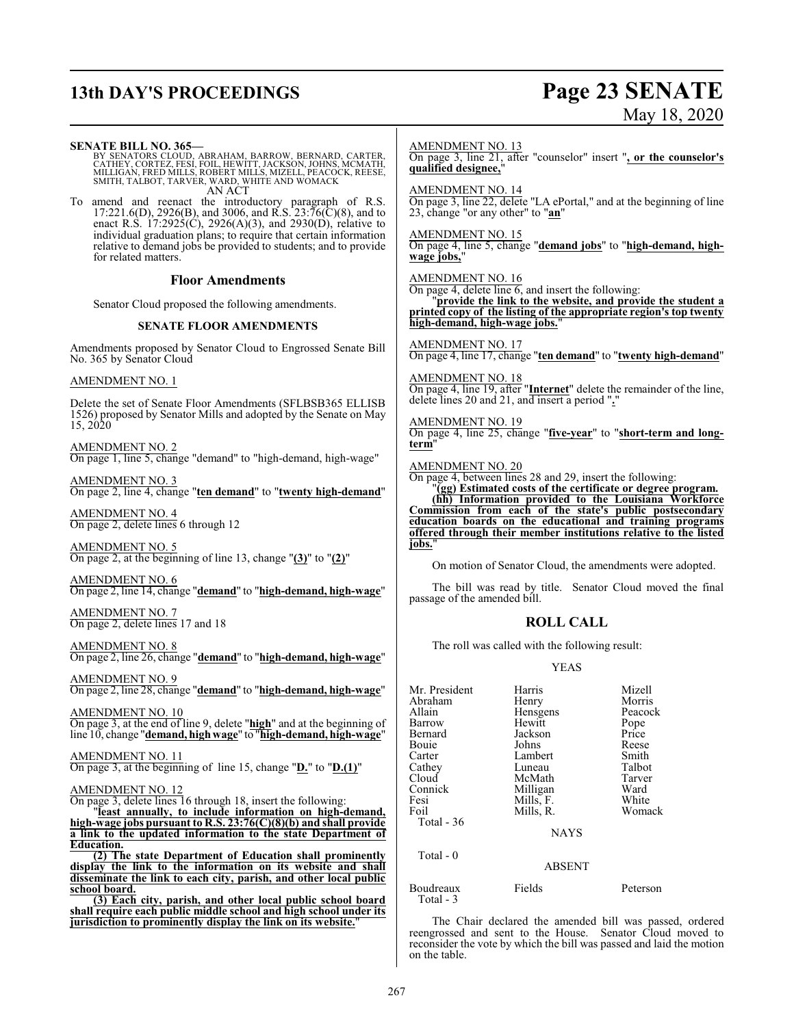# **13th DAY'S PROCEEDINGS Page 23 SENATE** May 18, 2020

| <b>SENATE BILL NO. 365-</b><br>BY SENATORS CLOUD, ABRAHAM, BARROW, BERNARD, CARTER, CATHEY, CORTEZ, FESI, FOIL, HEWITT, JACKSON, JOHNS, MCLIGAN, FREE<br>MILLIGAN, FRED MILLS, ROBERT MILLS, MIZELL, PEACOCK, REESE,<br>SMITH, TALBOT, TARVER, WARD, WHITE AND WOMA | qualified designee,"                                                                                                                                                                        |                                                           | $\frac{\text{AMENDMENT NO. 13}}{\text{On page 3, line 21, after "counselor" insert ", or the counselor's}}$                                                                               |
|---------------------------------------------------------------------------------------------------------------------------------------------------------------------------------------------------------------------------------------------------------------------|---------------------------------------------------------------------------------------------------------------------------------------------------------------------------------------------|-----------------------------------------------------------|-------------------------------------------------------------------------------------------------------------------------------------------------------------------------------------------|
| AN ACT<br>To amend and reenact the introductory paragraph of R.S. $17:221.6(D)$ , $2926(B)$ , and $3006$ , and R.S. $23:76(C)(8)$ , and to<br>enact R.S. $17:2925(\hat{C})$ , $2926(A)(3)$ , and $2930(\hat{D})$ , relative to                                      | <b>AMENDMENT NO. 14</b><br>23, change "or any other" to "an"                                                                                                                                |                                                           | On page 3, line 22, delete "LA ePortal," and at the beginning of line                                                                                                                     |
| individual graduation plans; to require that certain information<br>relative to demand jobs be provided to students; and to provide<br>for related matters.                                                                                                         | AMENDMENT NO. 15<br>wage jobs."                                                                                                                                                             |                                                           | On page 4, line 5, change "demand jobs" to "high-demand, high-                                                                                                                            |
| <b>Floor Amendments</b>                                                                                                                                                                                                                                             | AMENDMENT NO. 16                                                                                                                                                                            |                                                           |                                                                                                                                                                                           |
| Senator Cloud proposed the following amendments.                                                                                                                                                                                                                    | On page 4, delete line $6$ , and insert the following:<br>"provide the link to the website, and provide the student a<br>printed copy of the listing of the appropriate region's top twenty |                                                           |                                                                                                                                                                                           |
| <b>SENATE FLOOR AMENDMENTS</b>                                                                                                                                                                                                                                      | high-demand, high-wage jobs.'                                                                                                                                                               |                                                           |                                                                                                                                                                                           |
| Amendments proposed by Senator Cloud to Engrossed Senate Bill<br>No. 365 by Senator Cloud                                                                                                                                                                           | <b>AMENDMENT NO. 17</b>                                                                                                                                                                     |                                                           | On page 4, line 17, change "ten demand" to "twenty high-demand"                                                                                                                           |
| <b>AMENDMENT NO. 1</b>                                                                                                                                                                                                                                              | AMENDMENT NO. 18<br>On page 4, line 19, after " <i>Internet</i> " delete the remainder of the line,                                                                                         |                                                           |                                                                                                                                                                                           |
| Delete the set of Senate Floor Amendments (SFLBSB365 ELLISB<br>1526) proposed by Senator Mills and adopted by the Senate on May<br>15, 2020                                                                                                                         | <b>AMENDMENT NO. 19</b>                                                                                                                                                                     | delete lines 20 and 21, and insert a period "."           | On page 4, line 25, change "five-year" to "short-term and long-                                                                                                                           |
| AMENDMENT NO. 2<br>On page 1, line 5, change "demand" to "high-demand, high-wage"                                                                                                                                                                                   | term"<br><b>AMENDMENT NO. 20</b>                                                                                                                                                            |                                                           |                                                                                                                                                                                           |
| AMENDMENT NO. 3<br>On page 2, line 4, change "ten demand" to "twenty high-demand"                                                                                                                                                                                   |                                                                                                                                                                                             | On page 4, between lines 28 and 29, insert the following: | "(gg) Estimated costs of the certificate or degree program.<br>(hh) Information provided to the Louisiana Workforce                                                                       |
| AMENDMENT NO. 4<br>On page 2, delete lines 6 through 12                                                                                                                                                                                                             |                                                                                                                                                                                             |                                                           | Commission from each of the state's public postsecondary<br>education boards on the educational and training programs<br>offered through their member institutions relative to the listed |
| <b>AMENDMENT NO. 5</b><br>On page 2, at the beginning of line 13, change " $(3)$ " to " $(2)$ "                                                                                                                                                                     | jobs."                                                                                                                                                                                      |                                                           |                                                                                                                                                                                           |
|                                                                                                                                                                                                                                                                     |                                                                                                                                                                                             |                                                           | On motion of Senator Cloud, the amendments were adopted.                                                                                                                                  |
| AMENDMENT NO. 6<br>On page 2, line 14, change "demand" to "high-demand, high-wage"                                                                                                                                                                                  | passage of the amended bill.                                                                                                                                                                |                                                           | The bill was read by title. Senator Cloud moved the final                                                                                                                                 |
| <b>AMENDMENT NO. 7</b><br>On page 2, delete lines 17 and 18                                                                                                                                                                                                         |                                                                                                                                                                                             | <b>ROLL CALL</b>                                          |                                                                                                                                                                                           |
| <b>AMENDMENT NO. 8</b><br>On page 2, line 26, change "demand" to "high-demand, high-wage"                                                                                                                                                                           | The roll was called with the following result:                                                                                                                                              |                                                           |                                                                                                                                                                                           |
| <b>AMENDMENT NO. 9</b>                                                                                                                                                                                                                                              | <b>YEAS</b>                                                                                                                                                                                 |                                                           |                                                                                                                                                                                           |
| On page 2, line 28, change "demand" to "high-demand, high-wage"                                                                                                                                                                                                     | Mr. President<br>Abraham                                                                                                                                                                    | Harris<br>Henry                                           | Mizell<br>Morris                                                                                                                                                                          |
| AMENDMENT NO. 10                                                                                                                                                                                                                                                    | Allain                                                                                                                                                                                      | Hensgens                                                  | Peacock                                                                                                                                                                                   |
| On page 3, at the end of line 9, delete "high" and at the beginning of<br>line 10, change "demand, high wage" to "high-demand, high-wage"                                                                                                                           | Barrow<br>Bernard<br>Bouie                                                                                                                                                                  | Hewitt<br>Jackson<br>Johns                                | Pope<br>Price<br>Reese                                                                                                                                                                    |
| <b>AMENDMENT NO. 11</b><br>On page 3, at the beginning of line 15, change " $D$ " to " $D.(1)$ "                                                                                                                                                                    | Carter<br>Cathey<br>Cloud                                                                                                                                                                   | Lambert<br>Luneau<br>McMath                               | Smith<br>Talbot<br>Tarver                                                                                                                                                                 |
| <b>AMENDMENT NO. 12</b>                                                                                                                                                                                                                                             | Connick                                                                                                                                                                                     | Milligan                                                  | Ward<br>White                                                                                                                                                                             |
| On page 3, delete lines 16 through 18, insert the following:<br>'least annually, to include information on high-demand,                                                                                                                                             | Fesi<br>Foil                                                                                                                                                                                | Mills, F.<br>Mills, R.                                    | Womack                                                                                                                                                                                    |
| high-wage jobs pursuant to R.S. $23:76(C)(8)(b)$ and shall provide<br>a link to the updated information to the state Department of                                                                                                                                  | Total - 36<br><b>NAYS</b>                                                                                                                                                                   |                                                           |                                                                                                                                                                                           |
| <b>Education.</b><br>(2) The state Department of Education shall prominently                                                                                                                                                                                        | Total - 0                                                                                                                                                                                   |                                                           |                                                                                                                                                                                           |
| display the link to the information on its website and shall                                                                                                                                                                                                        |                                                                                                                                                                                             | <b>ABSENT</b>                                             |                                                                                                                                                                                           |

**display the link to the information on its website and shall disseminate the link to each city, parish, and other local public school board.**

**(3) Each city, parish, and other local public school board shall require each public middle school and high school under its jurisdiction to prominently display the link on its website.**"

The Chair declared the amended bill was passed, ordered reengrossed and sent to the House. Senator Cloud moved to reconsider the vote by which the bill was passed and laid the motion on the table.

Boudreaux Fields Peterson

Total - 3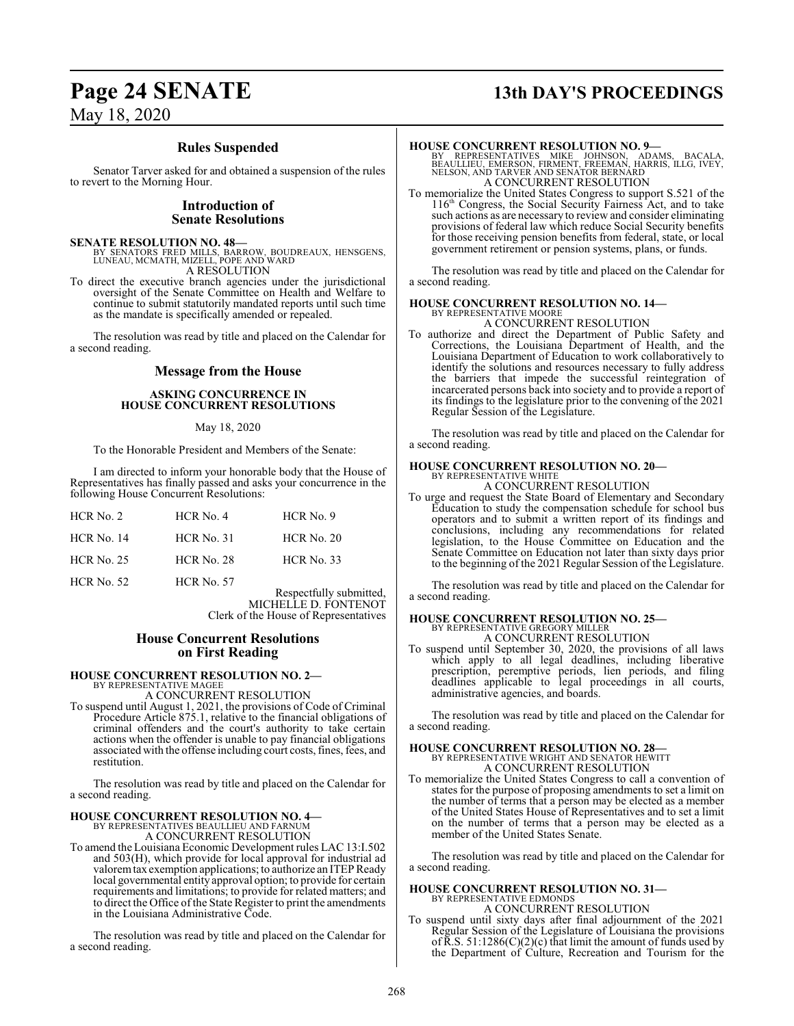# **Page 24 SENATE 13th DAY'S PROCEEDINGS**

## **Rules Suspended**

Senator Tarver asked for and obtained a suspension of the rules to revert to the Morning Hour.

## **Introduction of Senate Resolutions**

#### **SENATE RESOLUTION NO. 48—**

BY SENATORS FRED MILLS, BARROW, BOUDREAUX, HENSGENS, LUNEAU, MCMATH, MIZELL, POPE AND WARD A RESOLUTION

To direct the executive branch agencies under the jurisdictional oversight of the Senate Committee on Health and Welfare to continue to submit statutorily mandated reports until such time as the mandate is specifically amended or repealed.

The resolution was read by title and placed on the Calendar for a second reading.

## **Message from the House**

#### **ASKING CONCURRENCE IN HOUSE CONCURRENT RESOLUTIONS**

#### May 18, 2020

To the Honorable President and Members of the Senate:

I am directed to inform your honorable body that the House of Representatives has finally passed and asks your concurrence in the following House Concurrent Resolutions:

| HCR No. 2         | HCR No. 4         | HCR No. 9          |
|-------------------|-------------------|--------------------|
| <b>HCR No. 14</b> | <b>HCR No. 31</b> | HCR No. 20         |
| <b>HCR No. 25</b> | HCR No. 28        | $HCR$ No. 33       |
| <b>HCR No. 52</b> | <b>HCR No. 57</b> | Respectfully submi |

Respectfully submitted, MICHELLE D. FONTENOT Clerk of the House of Representatives

### **House Concurrent Resolutions on First Reading**

## **HOUSE CONCURRENT RESOLUTION NO. 2—**

BY REPRESENTATIVE MAGEE A CONCURRENT RESOLUTION

To suspend until August 1, 2021, the provisions of Code of Criminal Procedure Article 875.1, relative to the financial obligations of criminal offenders and the court's authority to take certain actions when the offender is unable to pay financial obligations associated with the offense including court costs, fines, fees, and restitution.

The resolution was read by title and placed on the Calendar for a second reading.

## **HOUSE CONCURRENT RESOLUTION NO. 4—**

BY REPRESENTATIVES BEAULLIEU AND FARNUM A CONCURRENT RESOLUTION

To amend the Louisiana Economic Development rules LAC 13:I.502 and 503(H), which provide for local approval for industrial ad valorem tax exemption applications; to authorize an ITEP Ready local governmental entity approval option; to provide for certain requirements and limitations; to provide for related matters; and to direct the Office of the State Register to print the amendments in the Louisiana Administrative Code.

The resolution was read by title and placed on the Calendar for a second reading.

#### **HOUSE CONCURRENT RESOLUTION NO. 9—**

BY REPRESENTATIVES MIKE JOHNSON, ADAMS, BACALA,<br>BEAULLIEU,EMERSON,FIRMENT,FREEMAN,HARRIS,ILLG,IVEY,<br>NELSON,ANDTARVERANDSENATORBERNARD A CONCURRENT RESOLUTION

To memorialize the United States Congress to support S.521 of the 116 th Congress, the Social Security Fairness Act, and to take such actions as are necessary to review and consider eliminating provisions of federal law which reduce Social Security benefits for those receiving pension benefits from federal, state, or local government retirement or pension systems, plans, or funds.

The resolution was read by title and placed on the Calendar for a second reading.

#### **HOUSE CONCURRENT RESOLUTION NO. 14—** BY REPRESENTATIVE MOORE

A CONCURRENT RESOLUTION

To authorize and direct the Department of Public Safety and Corrections, the Louisiana Department of Health, and the Louisiana Department of Education to work collaboratively to identify the solutions and resources necessary to fully address the barriers that impede the successful reintegration of incarcerated persons back into society and to provide a report of its findings to the legislature prior to the convening of the 2021 Regular Session of the Legislature.

The resolution was read by title and placed on the Calendar for a second reading.

# **HOUSE CONCURRENT RESOLUTION NO. 20—** BY REPRESENTATIVE WHITE

A CONCURRENT RESOLUTION

To urge and request the State Board of Elementary and Secondary Education to study the compensation schedule for school bus operators and to submit a written report of its findings and conclusions, including any recommendations for related legislation, to the House Committee on Education and the Senate Committee on Education not later than sixty days prior to the beginning of the 2021 Regular Session of the Legislature.

The resolution was read by title and placed on the Calendar for a second reading.

#### **HOUSE CONCURRENT RESOLUTION NO. 25—** BY REPRESENTATIVE GREGORY MILLER

A CONCURRENT RESOLUTION

To suspend until September 30, 2020, the provisions of all laws which apply to all legal deadlines, including liberative prescription, peremptive periods, lien periods, and filing deadlines applicable to legal proceedings in all courts, administrative agencies, and boards.

The resolution was read by title and placed on the Calendar for a second reading.

**HOUSE CONCURRENT RESOLUTION NO. 28—**<br>BY REPRESENTATIVE WRIGHT AND SENATOR HEWITT<br>A CONCURRENT RESOLUTION

To memorialize the United States Congress to call a convention of states for the purpose of proposing amendments to set a limit on the number of terms that a person may be elected as a member of the United States House of Representatives and to set a limit on the number of terms that a person may be elected as a member of the United States Senate.

The resolution was read by title and placed on the Calendar for a second reading.

#### **HOUSE CONCURRENT RESOLUTION NO. 31—** BY REPRESENTATIVE EDMONDS

A CONCURRENT RESOLUTION

To suspend until sixty days after final adjournment of the 2021 Regular Session of the Legislature of Louisiana the provisions of R.S.  $51:1286(C)(2)(c)$  that limit the amount of funds used by the Department of Culture, Recreation and Tourism for the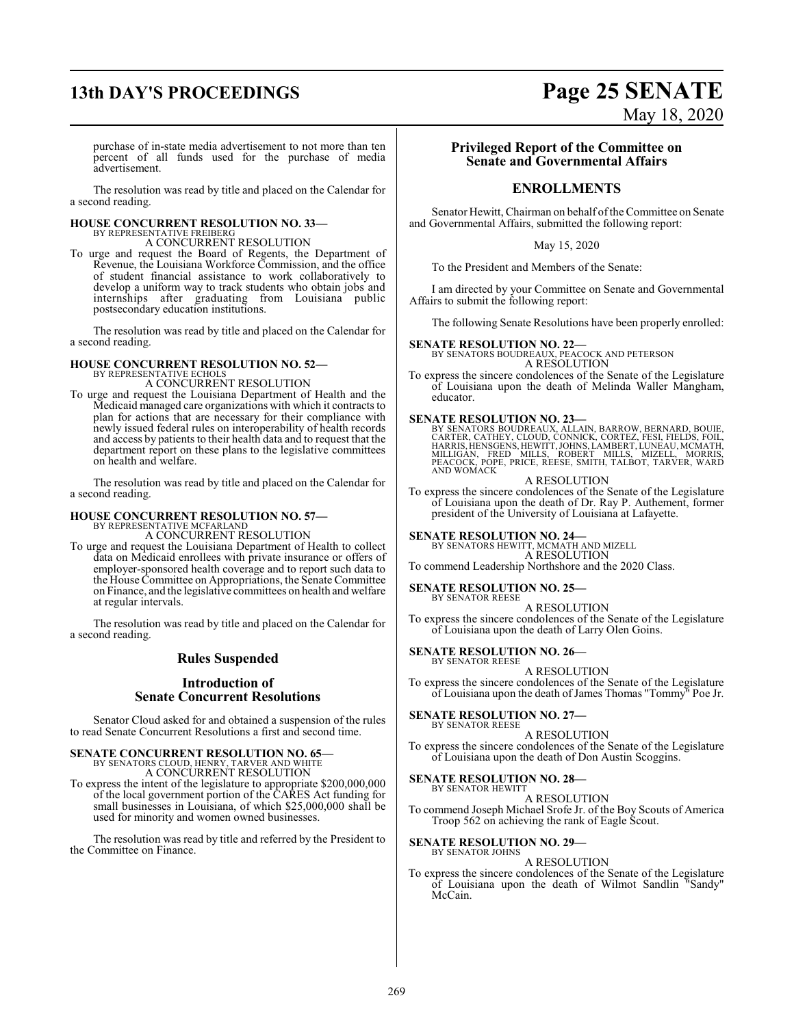# **13th DAY'S PROCEEDINGS Page 25 SENATE**

# May 18, 2020

purchase of in-state media advertisement to not more than ten percent of all funds used for the purchase of media advertisement.

The resolution was read by title and placed on the Calendar for a second reading.

# **HOUSE CONCURRENT RESOLUTION NO. 33—** BY REPRESENTATIVE FREIBERG

A CONCURRENT RESOLUTION

To urge and request the Board of Regents, the Department of Revenue, the Louisiana Workforce Commission, and the office of student financial assistance to work collaboratively to develop a uniform way to track students who obtain jobs and internships after graduating from Louisiana public postsecondary education institutions.

The resolution was read by title and placed on the Calendar for a second reading.

# **HOUSE CONCURRENT RESOLUTION NO. 52—** BY REPRESENTATIVE ECHOLS

A CONCURRENT RESOLUTION

To urge and request the Louisiana Department of Health and the Medicaid managed care organizations with which it contracts to plan for actions that are necessary for their compliance with newly issued federal rules on interoperability of health records and access by patients to their health data and to request that the department report on these plans to the legislative committees on health and welfare.

The resolution was read by title and placed on the Calendar for a second reading.

## **HOUSE CONCURRENT RESOLUTION NO. 57—**

BY REPRESENTATIVE MCFARLAND A CONCURRENT RESOLUTION

To urge and request the Louisiana Department of Health to collect data on Medicaid enrollees with private insurance or offers of employer-sponsored health coverage and to report such data to the House Committee on Appropriations, the Senate Committee on Finance, and the legislative committees on health and welfare at regular intervals.

The resolution was read by title and placed on the Calendar for a second reading.

## **Rules Suspended**

## **Introduction of Senate Concurrent Resolutions**

Senator Cloud asked for and obtained a suspension of the rules to read Senate Concurrent Resolutions a first and second time.

## **SENATE CONCURRENT RESOLUTION NO. 65—** BY SENATORS CLOUD, HENRY, TARVER AND WHITE A CONCURRENT RESOLUTION

To express the intent of the legislature to appropriate \$200,000,000 of the local government portion of the CARES Act funding for small businesses in Louisiana, of which \$25,000,000 shall be used for minority and women owned businesses.

The resolution was read by title and referred by the President to the Committee on Finance.

## **Privileged Report of the Committee on Senate and Governmental Affairs**

## **ENROLLMENTS**

Senator Hewitt, Chairman on behalf of the Committee on Senate and Governmental Affairs, submitted the following report:

May 15, 2020

To the President and Members of the Senate:

I am directed by your Committee on Senate and Governmental Affairs to submit the following report:

The following Senate Resolutions have been properly enrolled:

**SENATE RESOLUTION NO. 22—** BY SENATORS BOUDREAUX, PEACOCK AND PETERSON A RESOLUTION

To express the sincere condolences of the Senate of the Legislature of Louisiana upon the death of Melinda Waller Mangham, educator.

**SENATE RESOLUTION NO. 23**<br>BY SENATORS BOUDREAUX, ALLAIN, BARROW, BERNARD, BOUIE,<br>CARTER, CATHEY, CLOUD, CONNICK, CORTEZ, FESI, FIELDS, FOIL,<br>HARRIS, HENSGENS, HEWITT, JOHNS, LAMBERT, LUNEAU, MCMATH,<br>MILLIGAN, FRED MILLS, AND WOMACK

#### A RESOLUTION

To express the sincere condolences of the Senate of the Legislature of Louisiana upon the death of Dr. Ray P. Authement, former president of the University of Louisiana at Lafayette.

**SENATE RESOLUTION NO. 24—** BY SENATORS HEWITT, MCMATH AND MIZELL A RESOLUTION

To commend Leadership Northshore and the 2020 Class.

#### **SENATE RESOLUTION NO. 25—** BY SENATOR REESE

A RESOLUTION To express the sincere condolences of the Senate of the Legislature

of Louisiana upon the death of Larry Olen Goins.

#### **SENATE RESOLUTION NO. 26—** BY SENATOR REESE

A RESOLUTION

To express the sincere condolences of the Senate of the Legislature of Louisiana upon the death of James Thomas "Tommy" Poe Jr.

#### **SENATE RESOLUTION NO. 27—** BY SENATOR REESE

A RESOLUTION

To express the sincere condolences of the Senate of the Legislature of Louisiana upon the death of Don Austin Scoggins.

## **SENATE RESOLUTION NO. 28—**

BY SENATOR HEWITT A RESOLUTION

To commend Joseph Michael Srofe Jr. of the Boy Scouts of America Troop 562 on achieving the rank of Eagle Scout.

#### **SENATE RESOLUTION NO. 29—** BY SENATOR JOHNS

A RESOLUTION

To express the sincere condolences of the Senate of the Legislature of Louisiana upon the death of Wilmot Sandlin "Sandy" McCain.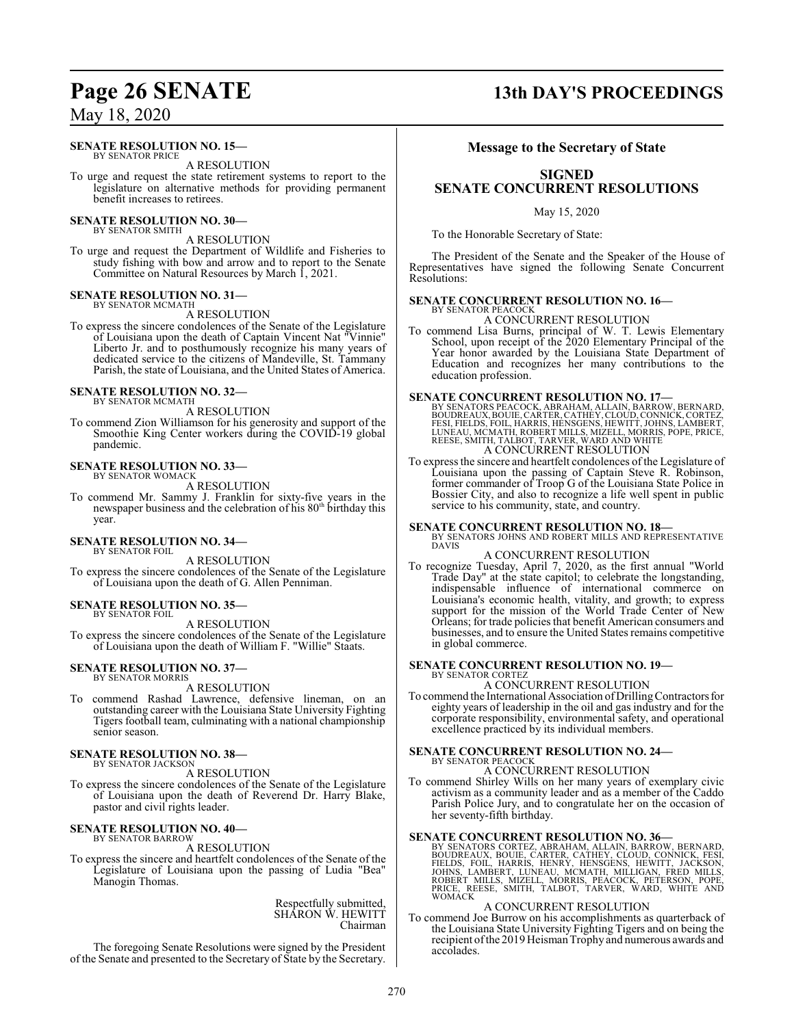#### **SENATE RESOLUTION NO. 15—**

BY SENATOR PRICE A RESOLUTION

To urge and request the state retirement systems to report to the legislature on alternative methods for providing permanent benefit increases to retirees.

#### **SENATE RESOLUTION NO. 30—** BY SENATOR SMITH

A RESOLUTION

To urge and request the Department of Wildlife and Fisheries to study fishing with bow and arrow and to report to the Senate Committee on Natural Resources by March 1, 2021.

# **SENATE RESOLUTION NO. 31—**<br>BY SENATOR MCMATH

A RESOLUTION

To express the sincere condolences of the Senate of the Legislature of Louisiana upon the death of Captain Vincent Nat "Vinnie" Liberto Jr. and to posthumously recognize his many years of dedicated service to the citizens of Mandeville, St. Tammany Parish, the state of Louisiana, and the United States of America.

#### **SENATE RESOLUTION NO. 32—** BY SENATOR MCMATH

A RESOLUTION

To commend Zion Williamson for his generosity and support of the Smoothie King Center workers during the COVID-19 global pandemic.

#### **SENATE RESOLUTION NO. 33—** BY SENATOR WOMACK

A RESOLUTION

To commend Mr. Sammy J. Franklin for sixty-five years in the newspaper business and the celebration of his 80<sup>th</sup> birthday this year.

#### **SENATE RESOLUTION NO. 34—** BY SENATOR FOIL

A RESOLUTION

To express the sincere condolences of the Senate of the Legislature of Louisiana upon the death of G. Allen Penniman.

#### **SENATE RESOLUTION NO. 35—** BY SENATOR FOIL

A RESOLUTION

To express the sincere condolences of the Senate of the Legislature of Louisiana upon the death of William F. "Willie" Staats.

#### **SENATE RESOLUTION NO. 37—** BY SENATOR MORRIS

A RESOLUTION

To commend Rashad Lawrence, defensive lineman, on an outstanding career with the Louisiana State University Fighting Tigers football team, culminating with a national championship senior season.

#### **SENATE RESOLUTION NO. 38—** BY SENATOR JACKSON

#### A RESOLUTION

To express the sincere condolences of the Senate of the Legislature of Louisiana upon the death of Reverend Dr. Harry Blake, pastor and civil rights leader.

## **SENATE RESOLUTION NO. 40—** BY SENATOR BARROW

A RESOLUTION

To express the sincere and heartfelt condolences of the Senate of the Legislature of Louisiana upon the passing of Ludia "Bea" Manogin Thomas.

> Respectfully submitted, SHARON W. HEWITT Chairman

The foregoing Senate Resolutions were signed by the President of the Senate and presented to the Secretary of State by the Secretary.

## **Message to the Secretary of State**

## **SIGNED SENATE CONCURRENT RESOLUTIONS**

May 15, 2020

To the Honorable Secretary of State:

The President of the Senate and the Speaker of the House of Representatives have signed the following Senate Concurrent Resolutions:

#### **SENATE CONCURRENT RESOLUTION NO. 16—** BY SENATOR PEACOCK

A CONCURRENT RESOLUTION

To commend Lisa Burns, principal of W. T. Lewis Elementary School, upon receipt of the 2020 Elementary Principal of the Year honor awarded by the Louisiana State Department of Education and recognizes her many contributions to the education profession.

SENATE CONCURRENT RESOLUTION NO. 17—<br>BY SENATORS PEACOCK, ABRAHAM, ALLAIN, BARROW, BERNARD,<br>BOUDREAUX, BOULE, CARTER, CATHEY, CLOUD, CONNICK, CORTEZ,<br>FESI, FIELDS, FOIL, HARRIS, HENSGENS, HEWITT, JOHNS, LAMBERT,<br>LUNEAU, MC A CONCURRENT RESOLUTION

To express the sincere and heartfelt condolences of the Legislature of Louisiana upon the passing of Captain Steve R. Robinson, former commander of Troop G of the Louisiana State Police in Bossier City, and also to recognize a life well spent in public service to his community, state, and country.

## **SENATE CONCURRENT RESOLUTION NO. 18—** BY SENATORS JOHNS AND ROBERT MILLS AND REPRESENTATIVE

DAVIS

#### A CONCURRENT RESOLUTION

To recognize Tuesday, April 7, 2020, as the first annual "World Trade Day" at the state capitol; to celebrate the longstanding, indispensable influence of international commerce on Louisiana's economic health, vitality, and growth; to express support for the mission of the World Trade Center of New Orleans; for trade policies that benefit American consumers and businesses, and to ensure the United States remains competitive in global commerce.

#### **SENATE CONCURRENT RESOLUTION NO. 19—**

BY SENATOR CORTEZ A CONCURRENT RESOLUTION

To commend the International Association of Drilling Contractors for eighty years of leadership in the oil and gas industry and for the corporate responsibility, environmental safety, and operational excellence practiced by its individual members.

#### **SENATE CONCURRENT RESOLUTION NO. 24—**

## BY SENATOR PEACOCK A CONCURRENT RESOLUTION

To commend Shirley Wills on her many years of exemplary civic activism as a community leader and as a member of the Caddo Parish Police Jury, and to congratulate her on the occasion of her seventy-fifth birthday.

#### **SENATE CONCURRENT RESOLUTION NO. 36—**

BY SENATORS CORTEZ, ABRAHAM, ALLAIN, BARROW, BERNARD,<br>BOUDREAUX, BOUIE, CARTER, CATHEY, CLOUD, CONNICK, FESI,<br>FIELDS, FOIL, HARRIS, HENRY, HENSGENS, HEWITT, JACKSON,<br>JOHNS, LAMBERT, LUNEAU, MCMATH, MILLIGAN, FRED MILLS,<br>RO

#### A CONCURRENT RESOLUTION

To commend Joe Burrow on his accomplishments as quarterback of the Louisiana State University Fighting Tigers and on being the recipient of the 2019 Heisman Trophy and numerous awards and accolades.

## **Page 26 SENATE 13th DAY'S PROCEEDINGS**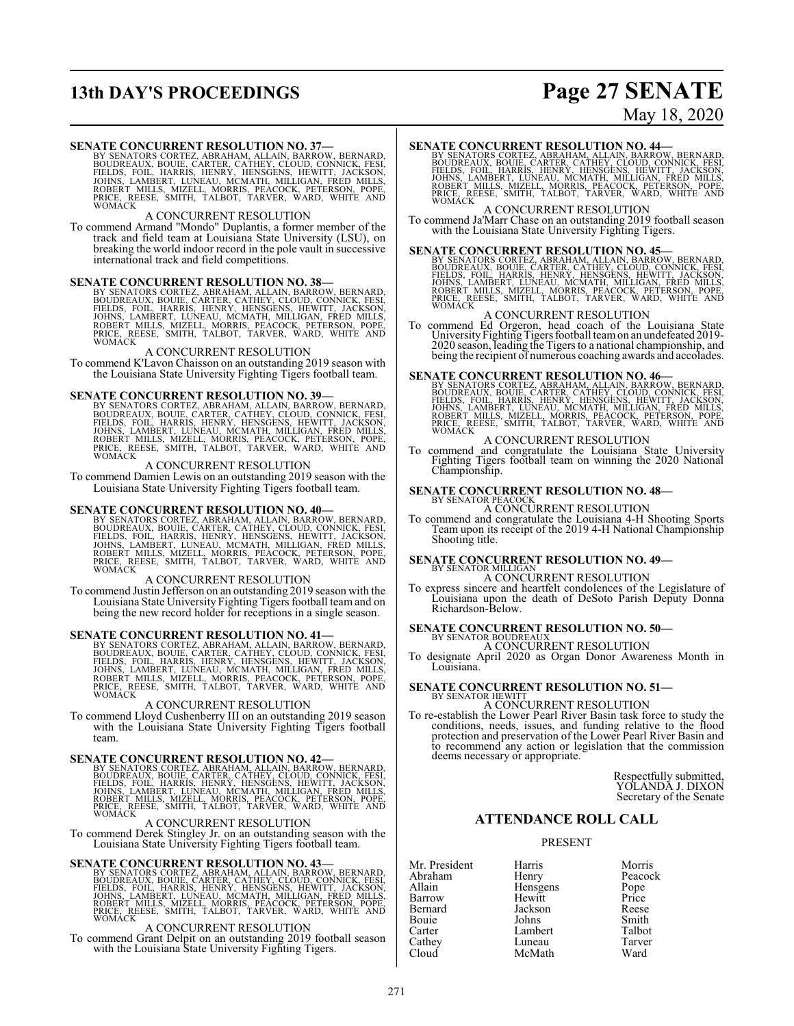# **13th DAY'S PROCEEDINGS Page 27 SENATE**

# May 18, 2020

SENATE CONCURRENT RESOLUTION NO. 37—<br>BY SENATORS CORTEZ, ABRAHAM, ALLAIN, BARROW, BERNARD,<br>BOUDREAUX, BOUIE, CARTER, CATHEY, CLOUD, CONNICK, FESI,<br>FIELDS, FOIL, HARRIS, HENRY, HENSGENS, HEWITT, JACKSON,<br>JOHNS, LAMBERT, LUN

#### A CONCURRENT RESOLUTION

To commend Armand "Mondo" Duplantis, a former member of the track and field team at Louisiana State University (LSU), on breaking the world indoor record in the pole vault in successive international track and field competitions.

### **SENATE CONCURRENT RESOLUTION NO. 38—**

BY SENATORS CORTEZ, ABRAHAM, ALLAIN, BARROW, BERNARD,<br>BOUDREAUX, BOUIE, CARTER, CATHEY, CLOUD, CONNICK, FESI,<br>FIELDS, FOIL, HARRIS, HENRY, HENSGENS, HEWITT, JACKSON,<br>JOHNS, LAMBERT, LUNEAU, MCMATH, MILLIGAN, FRED MILLS,<br>RO PRICE, RE<br>WOMACK

#### A CONCURRENT RESOLUTION

To commend K'Lavon Chaisson on an outstanding 2019 season with the Louisiana State University Fighting Tigers football team.

#### **SENATE CONCURRENT RESOLUTION NO. 39—**

BY SENATORS CORTEZ, ABRAHAM, ALLAIN, BARROW, BERNARD,<br>BOUDREAUX, BOUIE, CARTER, CATHEY, CLOUD, CONNICK, FESI,<br>FIELDS, FOIL, HARRIS, HENRY, HENSGENS, HEWITT, JACKSON,<br>JOHNS, LAMBERT, LUNEAU, MCMATH, MILLIGAN, FRED MILLS,<br>RO WOMACK

#### A CONCURRENT RESOLUTION

To commend Damien Lewis on an outstanding 2019 season with the Louisiana State University Fighting Tigers football team.

SENATE CONCURRENT RESOLUTION NO. 40—<br>BY SENATORS CORTEZ, ABRAHAM, ALLAIN, BARROW, BERNARD,<br>BOUDREAUX, BOUIE, CARTER, CATHEY, CLOUD, CONNICK, FESI,<br>FIELDS, FOIL, HARRIS, HENRY, HENSGENS, HEWITT, JACKSON,<br>JOHNS, LAMBERT, LUN WOMACK

#### A CONCURRENT RESOLUTION

To commend Justin Jefferson on an outstanding 2019 season with the Louisiana State University Fighting Tigers football team and on being the new record holder for receptions in a single season.

#### **SENATE CONCURRENT RESOLUTION NO. 41—**

BY SENATORS CORTEZ, ABRAHAM, ALLAIN, BARROW, BERNARD,<br>BOUDREAUX, BOUIE, CARTER, CATHEY, CLOUD, CONNICK, FESI,<br>FIELDS, FOIL, HARRIS, HENRY, HENSGENS, HEWITT, JACKSON,<br>JOHNS, LAMBERT, LUNEAU, MCMATH, MILLIGAN, FRED MILLS,<br>RO WOMACK

#### A CONCURRENT RESOLUTION

To commend Lloyd Cushenberry III on an outstanding 2019 season with the Louisiana State University Fighting Tigers football team.

SENATE CONCURRENT RESOLUTION NO. 42—<br>BY SENATORS CORTEZ, ABRAHAM, ALLAIN, BARROW, BERNARD,<br>BOUDREAUX, BOUIE, CARTER, CATHEY, CLOUD, CONNICK, FESI,<br>FIELDS, FOIL, HARRIS, HENRY, HENSGENS, HEWITT, JACKSON,<br>JOHNS, LAMBERT, LUN WOMACK

#### A CONCURRENT RESOLUTION

To commend Derek Stingley Jr. on an outstanding season with the Louisiana State University Fighting Tigers football team.

SENATE CONCURRENT RESOLUTION NO. 43-BY SENATORS CORTEZ, ABRAHAM, ALLAIN, BARROW, BERNARD, BOUDREAUX, BOUDREAUX, CATER, CATHEY, CLOUD, CONNICK, FESI, FIELDS, FOIL, HARRIS, HENRY, HENSGENS, HEWITT, JACKSON, JOHNS, LAMBERT, L PRICE, REWOMACK

## A CONCURRENT RESOLUTION

To commend Grant Delpit on an outstanding 2019 football season with the Louisiana State University Fighting Tigers.

SENATE CONCURRENT RESOLUTION NO. 44-BY SENATRO BY SENATORS CORTEZ, ABRAHAM, ALLAIN, BARROW, BERNARD, BOUDREAUX, BOUDREAUX, CATER, CATHEY, CLOUD, CONNICK, FESI, FIELDS, FOIL, HARRIS, HENRY, HENSGENS, HEWITT, JACKSON, JOHNS, PRICE, REWOMACK

A CONCURRENT RESOLUTION

To commend Ja'Marr Chase on an outstanding 2019 football season with the Louisiana State University Fighting Tigers.

SENATE CONCURRENT RESOLUTION NO. 45-BY SENATE CONCURRENT RESOLUTION NO. 45-BY SENATION BOUDREAUX, BOUDREAUX, BOUDREAUX, ALLAIN, BARROW, CONDICK, FESI, FIELDS, FOIL, HARRIS, HENRY, HENSGENS, HEWITT, JACKSON, JOHNS, LAMBERT, PRICE, RE<br>WOMACK

#### A CONCURRENT RESOLUTION

To commend Ed Orgeron, head coach of the Louisiana State<br>University Fighting Tigers football team on an undefeated 2019-<br>2020 season, leading the Tigers to a national championship, and<br>being the recipient of numerous coach

**SENATE CONCURRENT RESOLUTION NO. 46**<br>BY SENATORS CORTEZ, ABRAHAM, ALLAIN, BARROW, BERNARD,<br>BOUDREAUX, BOUIE, CARTER, CATHEY, CLOUD, CONNICK, FESI,<br>FIELDS, FOIL, HARRIS, HENRY, HENSGENS, HEWITT, JACKSON,<br>JOHNS, LAMBERT, LU

## A CONCURRENT RESOLUTION

To commend and congratulate the Louisiana State University Fighting Tigers football team on winning the 2020 National Championship.

## **SENATE CONCURRENT RESOLUTION NO. 48-**BY SENATOR PEACOCK A CONCURRENT RESOLUTION

To commend and congratulate the Louisiana 4-H Shooting Sports Team upon its receipt of the 2019 4-H National Championship Shooting title.

## **SENATE CONCURRENT RESOLUTION NO. 49-**

A CONCURRENT RESOLUTION

To express sincere and heartfelt condolences of the Legislature of Louisiana upon the death of DeSoto Parish Deputy Donna Richardson-Below.

# **SENATE CONCURRENT RESOLUTION NO. 50—** BY SENATOR BOUDREAUX

A CONCURRENT RESOLUTION To designate April 2020 as Organ Donor Awareness Month in Louisiana.

## **SENATE CONCURRENT RESOLUTION NO. 51-BY SENATOR HEWITT**

A CONCURRENT RESOLUTION To re-establish the Lower Pearl River Basin task force to study the conditions, needs, issues, and funding relative to the flood protection and preservation of the Lower Pearl River Basin and to recommend any action or legislation that the commission deems necessary or appropriate.

> Respectfully submitted, YOLANDA J. DIXON Secretary of the Senate

#### **ATTENDANCE ROLL CALL**

#### PRESENT

McMath

Mr. President Harris Morris Morris<br>Abraham Henry Peacock Abraham Henry Peacock<br>Allain Hensgens Pope Allain Hensgens Pope Bernard Jackson Reese<br>Bouie Johns Smith Bouie Johns Smith Carter Lambert Talbot<br>Cathey Luneau Tarver Cathey Luneau Tarve<br>Cloud McMath Ward

Hewitt Price<br>Jackson Reese